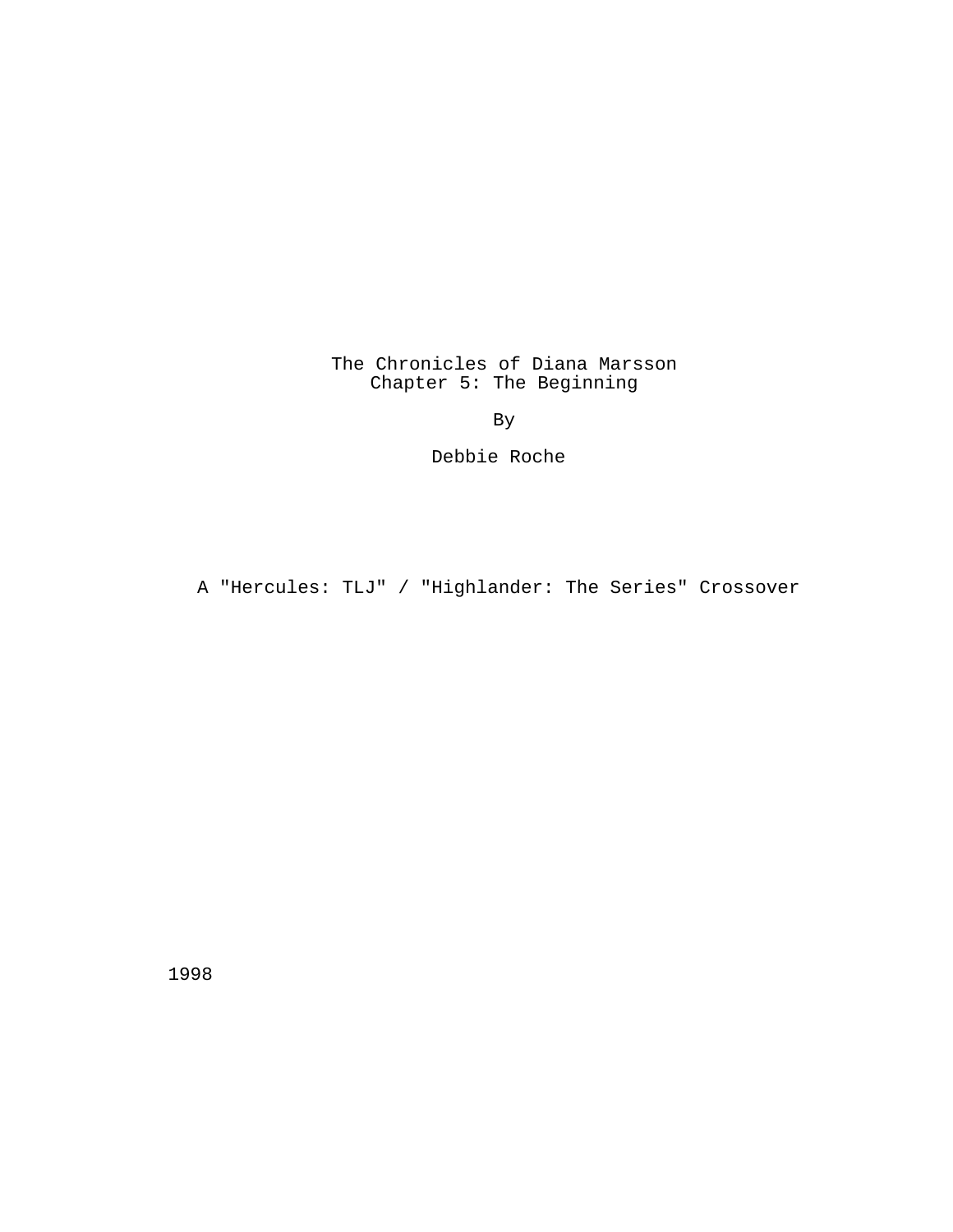The Chronicles of Diana Marsson Chapter 5: The Beginning

By

Debbie Roche

A "Hercules: TLJ" / "Highlander: The Series" Crossover

1998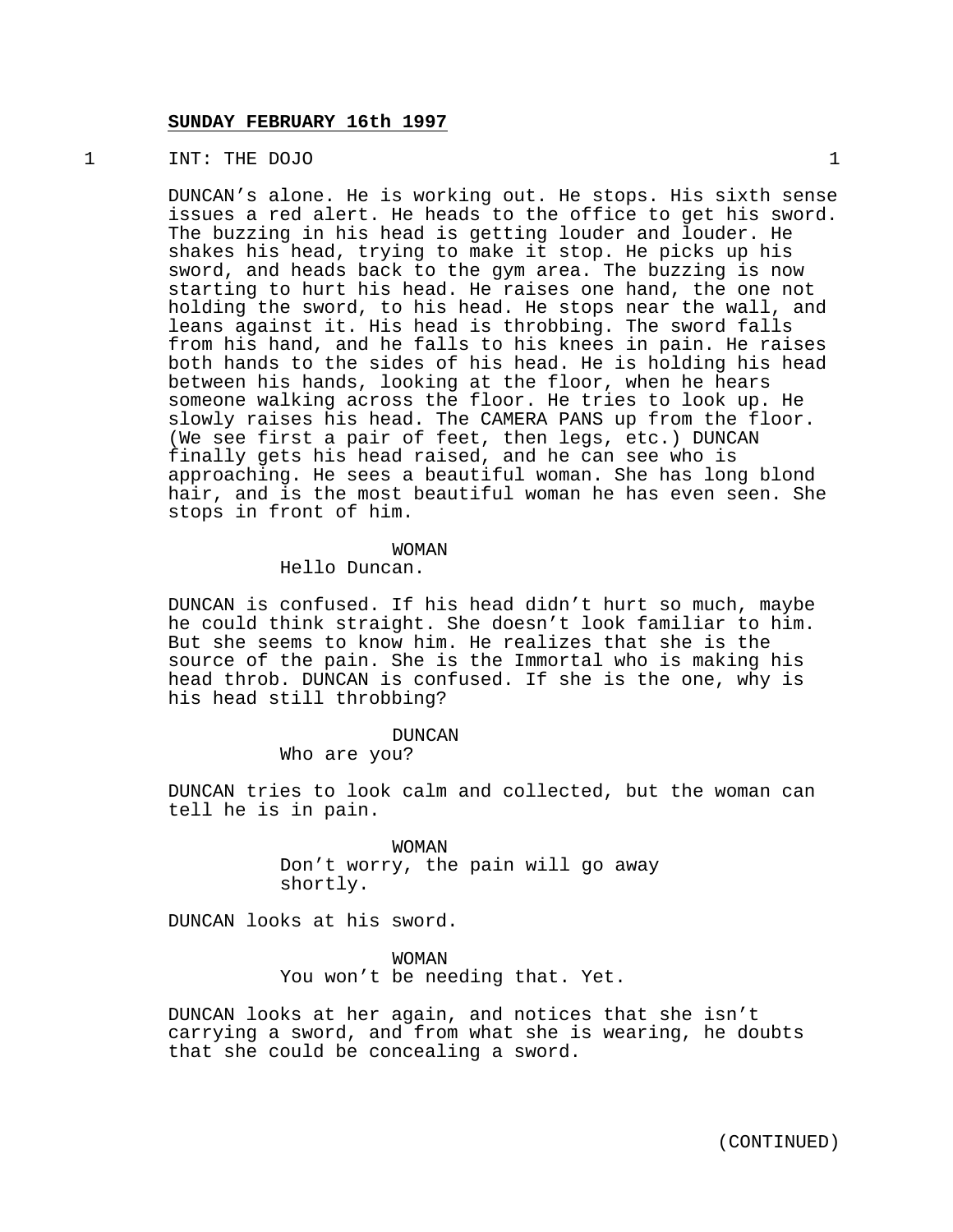## **SUNDAY FEBRUARY 16th 1997**

## 1 INT: THE DOJO 1

DUNCAN's alone. He is working out. He stops. His sixth sense issues a red alert. He heads to the office to get his sword. The buzzing in his head is getting louder and louder. He shakes his head, trying to make it stop. He picks up his sword, and heads back to the gym area. The buzzing is now starting to hurt his head. He raises one hand, the one not holding the sword, to his head. He stops near the wall, and leans against it. His head is throbbing. The sword falls from his hand, and he falls to his knees in pain. He raises both hands to the sides of his head. He is holding his head between his hands, looking at the floor, when he hears someone walking across the floor. He tries to look up. He slowly raises his head. The CAMERA PANS up from the floor. (We see first a pair of feet, then legs, etc.) DUNCAN finally gets his head raised, and he can see who is approaching. He sees a beautiful woman. She has long blond hair, and is the most beautiful woman he has even seen. She stops in front of him.

#### WOMAN

# Hello Duncan.

DUNCAN is confused. If his head didn't hurt so much, maybe he could think straight. She doesn't look familiar to him. But she seems to know him. He realizes that she is the source of the pain. She is the Immortal who is making his head throb. DUNCAN is confused. If she is the one, why is his head still throbbing?

#### DUNCAN

Who are you?

DUNCAN tries to look calm and collected, but the woman can tell he is in pain.

> WOMAN Don't worry, the pain will go away shortly.

DUNCAN looks at his sword.

WOMAN You won't be needing that. Yet.

DUNCAN looks at her again, and notices that she isn't carrying a sword, and from what she is wearing, he doubts that she could be concealing a sword.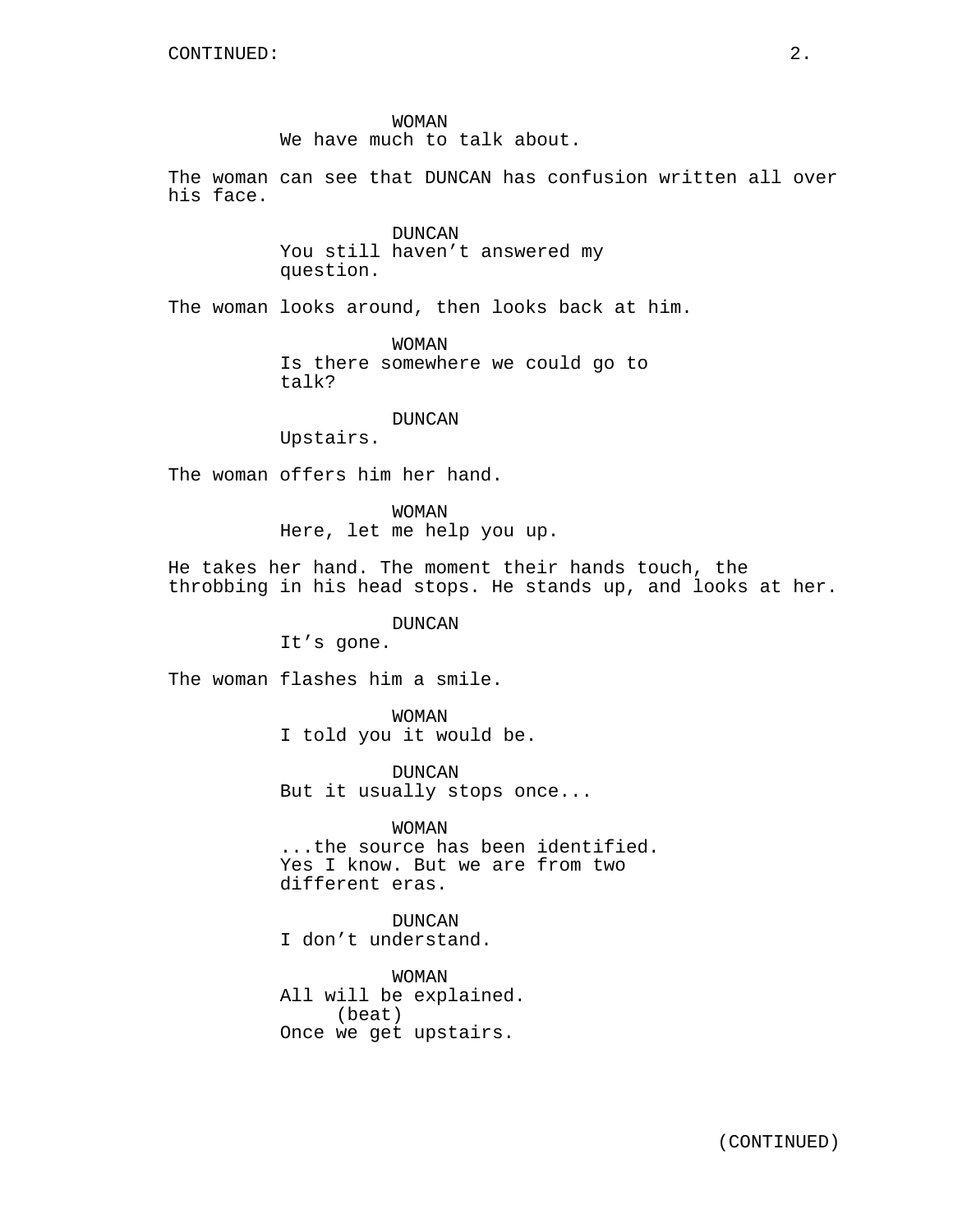WOMAN

We have much to talk about.

The woman can see that DUNCAN has confusion written all over his face.

> DUNCAN You still haven't answered my question.

The woman looks around, then looks back at him.

WOMAN Is there somewhere we could go to talk?

## DUNCAN

Upstairs.

The woman offers him her hand.

WOMAN Here, let me help you up.

He takes her hand. The moment their hands touch, the throbbing in his head stops. He stands up, and looks at her.

# DUNCAN

It's gone.

The woman flashes him a smile.

WOMAN I told you it would be.

DUNCAN But it usually stops once...

WOMAN ...the source has been identified. Yes I know. But we are from two different eras.

DUNCAN I don't understand.

WOMAN All will be explained. (beat) Once we get upstairs.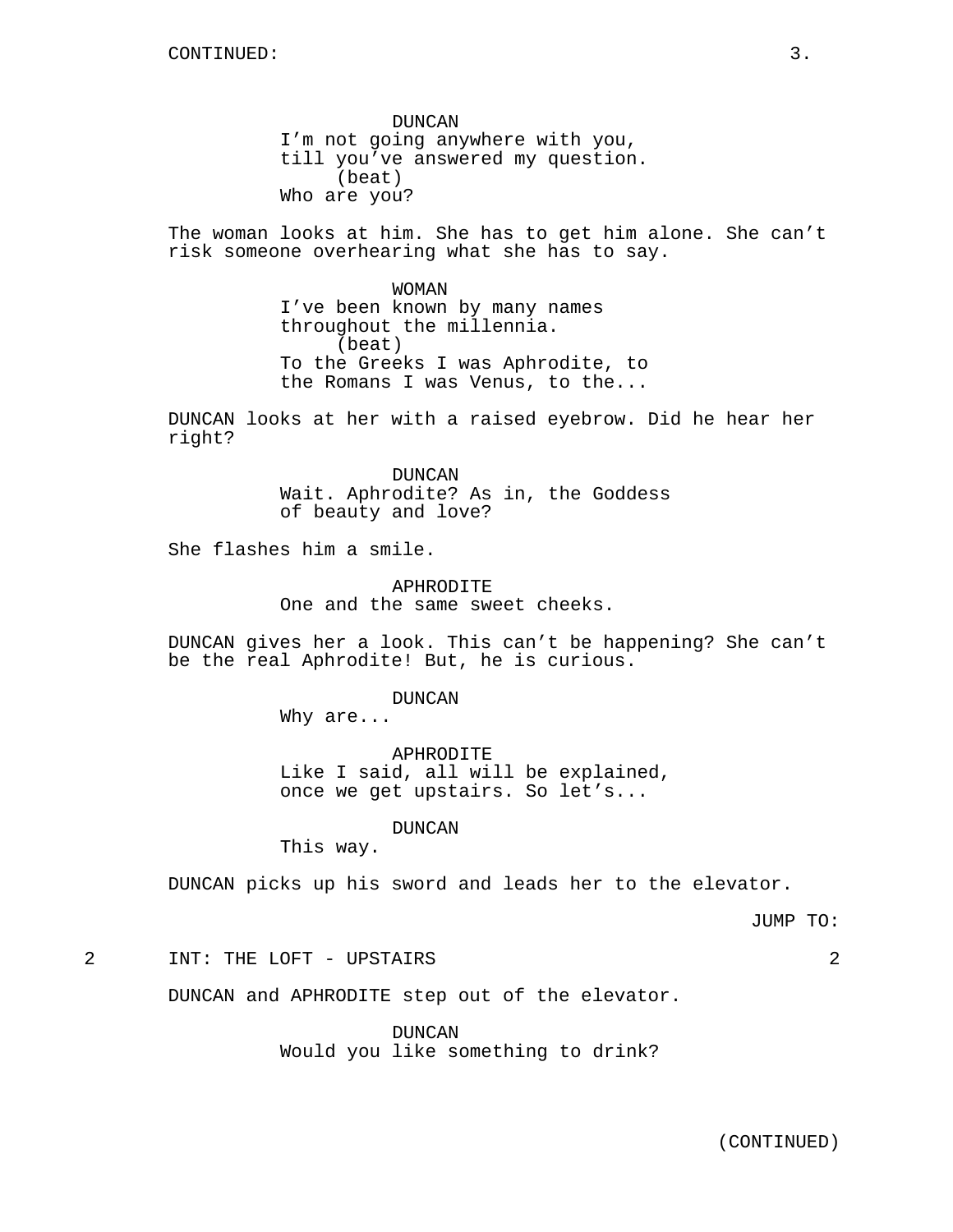DUNCAN I'm not going anywhere with you, till you've answered my question. (beat) Who are you?

The woman looks at him. She has to get him alone. She can't risk someone overhearing what she has to say.

> WOMAN I've been known by many names throughout the millennia. (beat) To the Greeks I was Aphrodite, to the Romans I was Venus, to the...

DUNCAN looks at her with a raised eyebrow. Did he hear her right?

> DUNCAN Wait. Aphrodite? As in, the Goddess of beauty and love?

She flashes him a smile.

APHRODITE One and the same sweet cheeks.

DUNCAN gives her a look. This can't be happening? She can't be the real Aphrodite! But, he is curious.

DUNCAN

Why are...

APHRODITE Like I said, all will be explained, once we get upstairs. So let's...

DUNCAN

This way.

DUNCAN picks up his sword and leads her to the elevator.

JUMP TO:

2 INT: THE LOFT - UPSTAIRS 2

DUNCAN and APHRODITE step out of the elevator.

DUNCAN Would you like something to drink?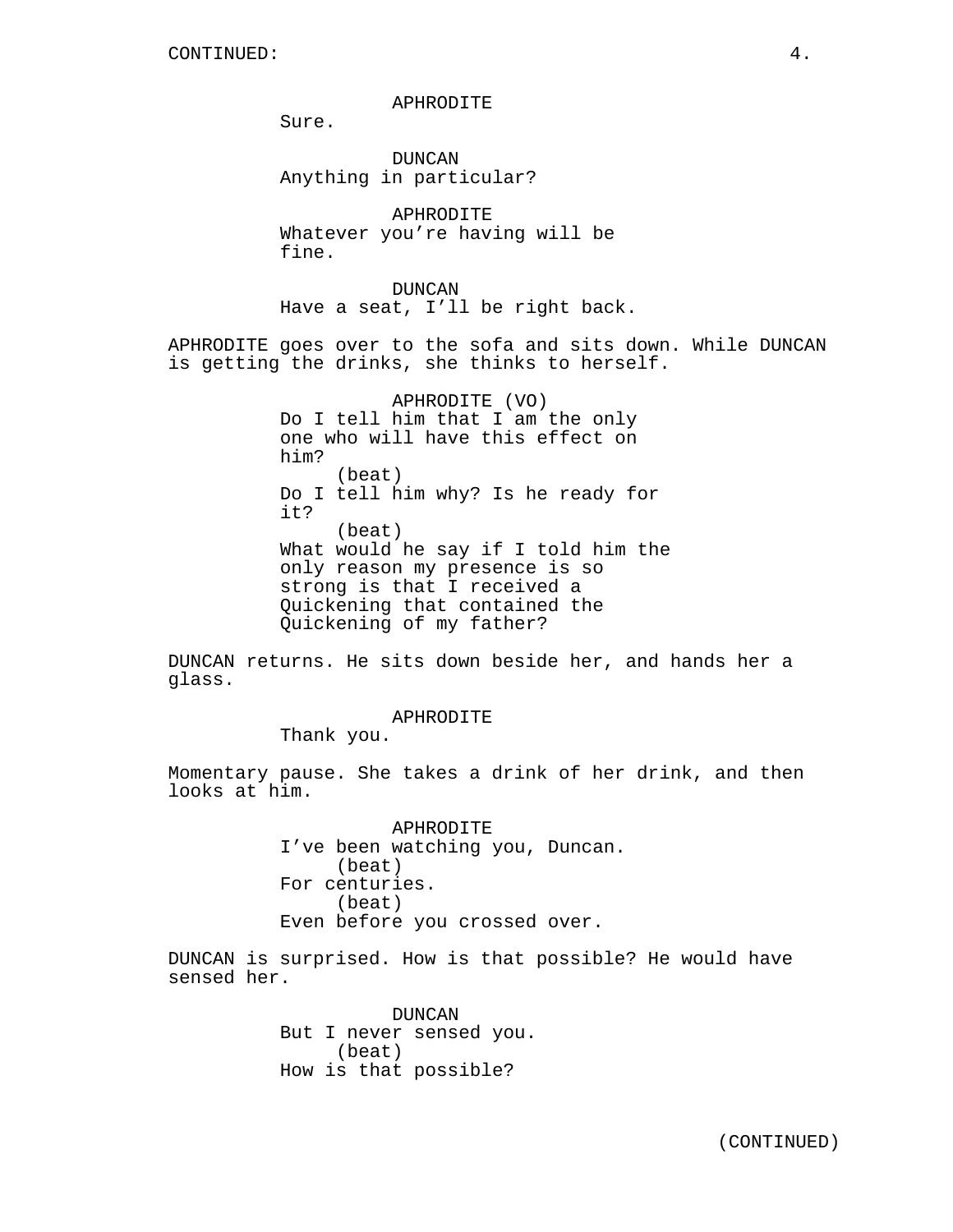APHRODITE

Sure.

DUNCAN Anything in particular?

APHRODITE Whatever you're having will be fine.

DUNCAN Have a seat, I'll be right back.

APHRODITE goes over to the sofa and sits down. While DUNCAN is getting the drinks, she thinks to herself.

> APHRODITE (VO) Do I tell him that I am the only one who will have this effect on him? (beat) Do I tell him why? Is he ready for it? (beat) What would he say if I told him the only reason my presence is so strong is that I received a Quickening that contained the Quickening of my father?

DUNCAN returns. He sits down beside her, and hands her a glass.

APHRODITE

Thank you.

Momentary pause. She takes a drink of her drink, and then looks at him.

> APHRODITE I've been watching you, Duncan. (beat) For centuries. (beat) Even before you crossed over.

DUNCAN is surprised. How is that possible? He would have sensed her.

> DUNCAN But I never sensed you. (beat) How is that possible?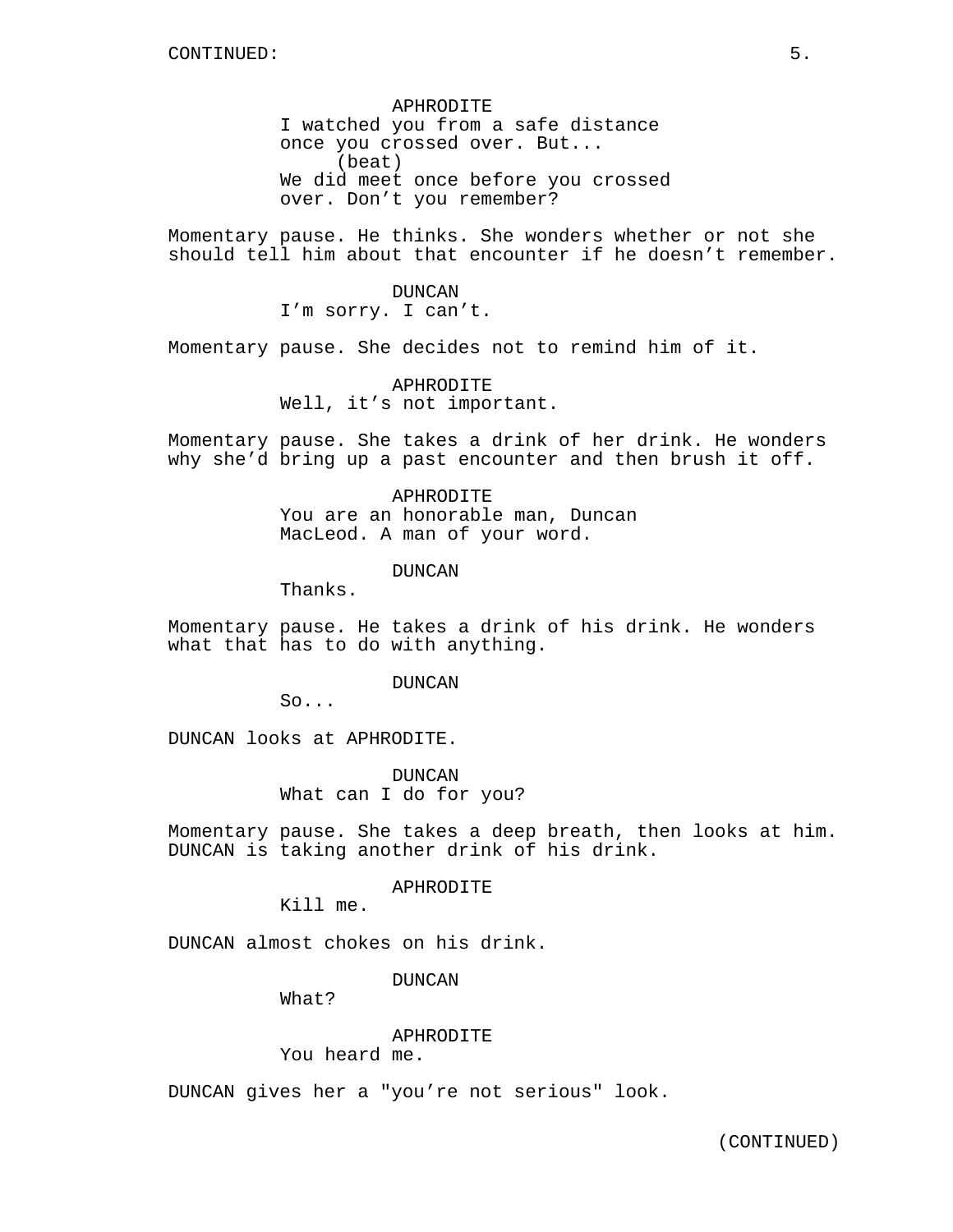APHRODITE I watched you from a safe distance once you crossed over. But... (beat) We did meet once before you crossed over. Don't you remember?

Momentary pause. He thinks. She wonders whether or not she should tell him about that encounter if he doesn't remember.

> DUNCAN I'm sorry. I can't.

Momentary pause. She decides not to remind him of it.

APHRODITE Well, it's not important.

Momentary pause. She takes a drink of her drink. He wonders why she'd bring up a past encounter and then brush it off.

> APHRODITE You are an honorable man, Duncan MacLeod. A man of your word.

> > DUNCAN

Thanks.

Momentary pause. He takes a drink of his drink. He wonders what that has to do with anything.

DUNCAN

So...

DUNCAN looks at APHRODITE.

DUNCAN What can I do for you?

Momentary pause. She takes a deep breath, then looks at him. DUNCAN is taking another drink of his drink.

APHRODITE

Kill me.

DUNCAN almost chokes on his drink.

DUNCAN

What?

## APHRODITE

You heard me.

DUNCAN gives her a "you're not serious" look.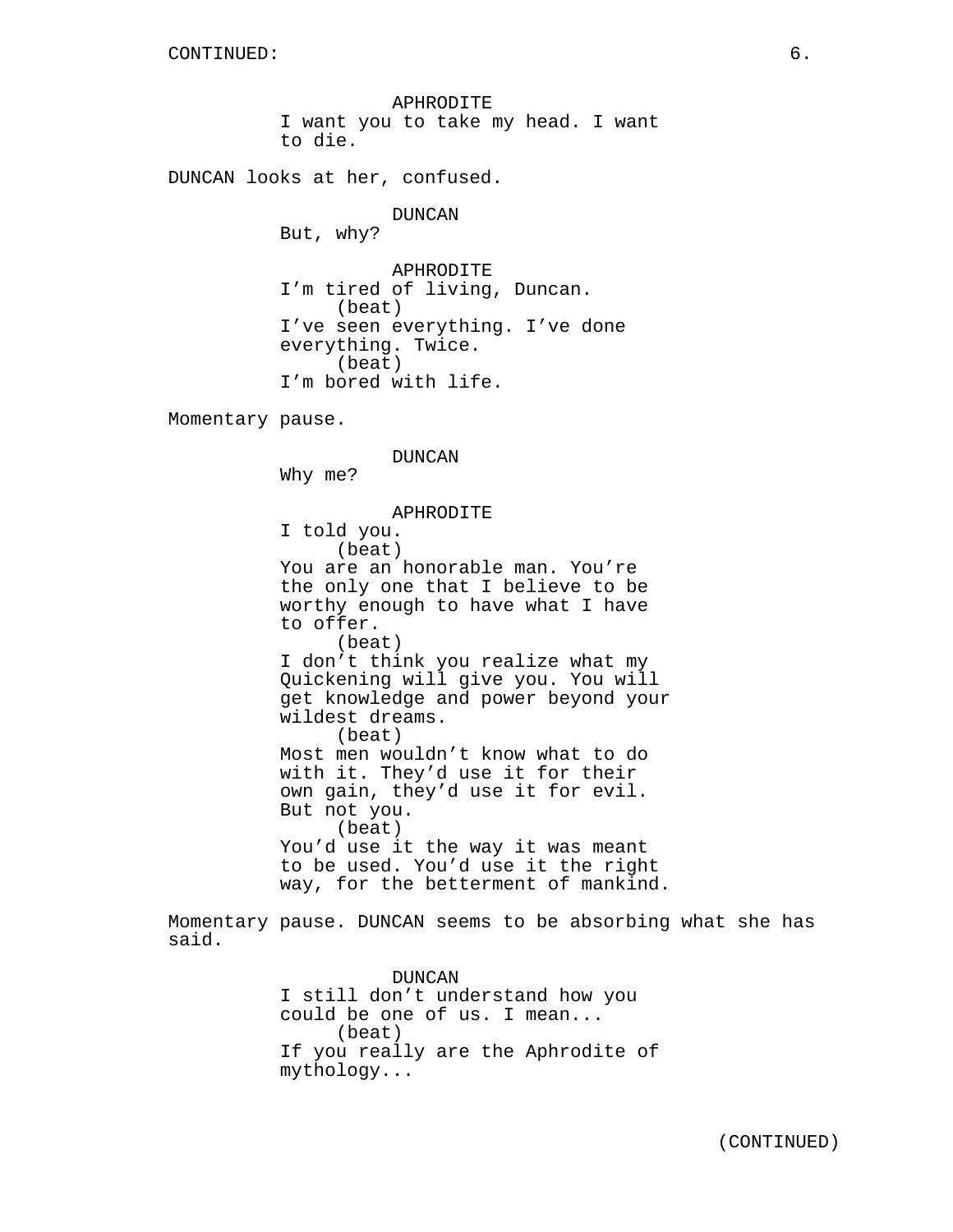APHRODITE I want you to take my head. I want to die.

DUNCAN looks at her, confused.

DUNCAN But, why?

APHRODITE I'm tired of living, Duncan. (beat) I've seen everything. I've done everything. Twice. (beat) I'm bored with life.

Momentary pause.

DUNCAN Why me? APHRODITE I told you. (beat) You are an honorable man. You're the only one that I believe to be worthy enough to have what I have to offer. (beat) I don't think you realize what my Quickening will give you. You will get knowledge and power beyond your wildest dreams. (beat) Most men wouldn't know what to do with it. They'd use it for their own gain, they'd use it for evil. But not you. (beat) You'd use it the way it was meant to be used. You'd use it the right way, for the betterment of mankind. Momentary pause. DUNCAN seems to be absorbing what she has said.

> DUNCAN I still don't understand how you could be one of us. I mean... (beat) If you really are the Aphrodite of mythology...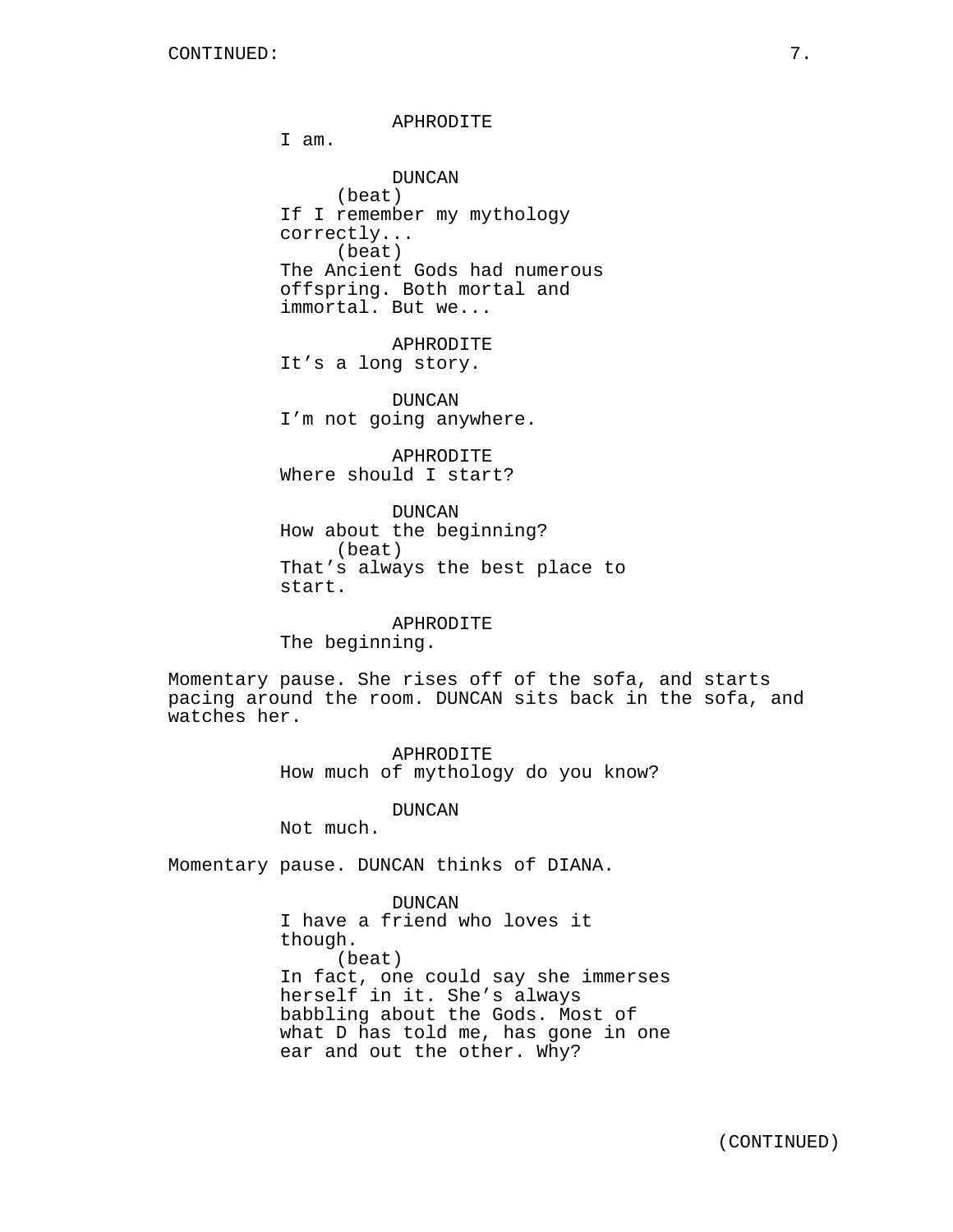# APHRODITE

I am.

DUNCAN (beat) If I remember my mythology correctly... (beat) The Ancient Gods had numerous offspring. Both mortal and immortal. But we...

APHRODITE It's a long story.

DUNCAN I'm not going anywhere.

APHRODITE Where should I start?

DUNCAN How about the beginning? (beat) That's always the best place to start.

APHRODITE The beginning.

Momentary pause. She rises off of the sofa, and starts pacing around the room. DUNCAN sits back in the sofa, and watches her.

> APHRODITE How much of mythology do you know?

> > DUNCAN

Not much.

Momentary pause. DUNCAN thinks of DIANA.

DUNCAN I have a friend who loves it though. (beat) In fact, one could say she immerses herself in it. She's always babbling about the Gods. Most of what D has told me, has gone in one ear and out the other. Why?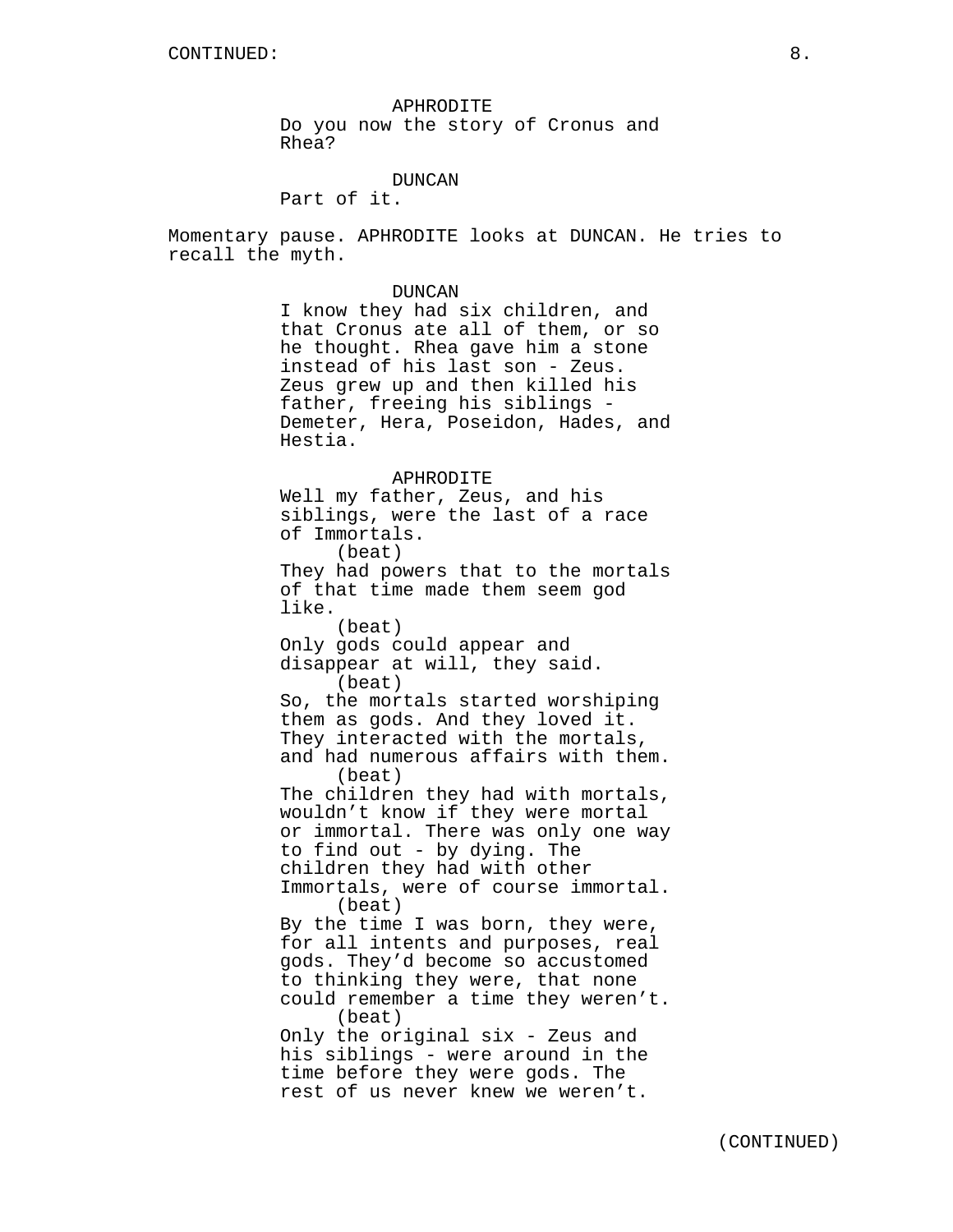APHRODITE Do you now the story of Cronus and Rhea?

# DUNCAN

Part of it.

Momentary pause. APHRODITE looks at DUNCAN. He tries to recall the myth.

# DUNCAN

I know they had six children, and that Cronus ate all of them, or so he thought. Rhea gave him a stone instead of his last son - Zeus. Zeus grew up and then killed his father, freeing his siblings - Demeter, Hera, Poseidon, Hades, and Hestia.

#### APHRODITE

Well my father, Zeus, and his siblings, were the last of a race of Immortals. (beat) They had powers that to the mortals of that time made them seem god like. (beat) Only gods could appear and disappear at will, they said. (beat) So, the mortals started worshiping them as gods. And they loved it. They interacted with the mortals, and had numerous affairs with them. (beat) The children they had with mortals, wouldn't know if they were mortal or immortal. There was only one way to find out - by dying. The children they had with other Immortals, were of course immortal. (beat) By the time I was born, they were, for all intents and purposes, real gods. They'd become so accustomed to thinking they were, that none could remember a time they weren't. (beat) Only the original six - Zeus and his siblings - were around in the time before they were gods. The rest of us never knew we weren't.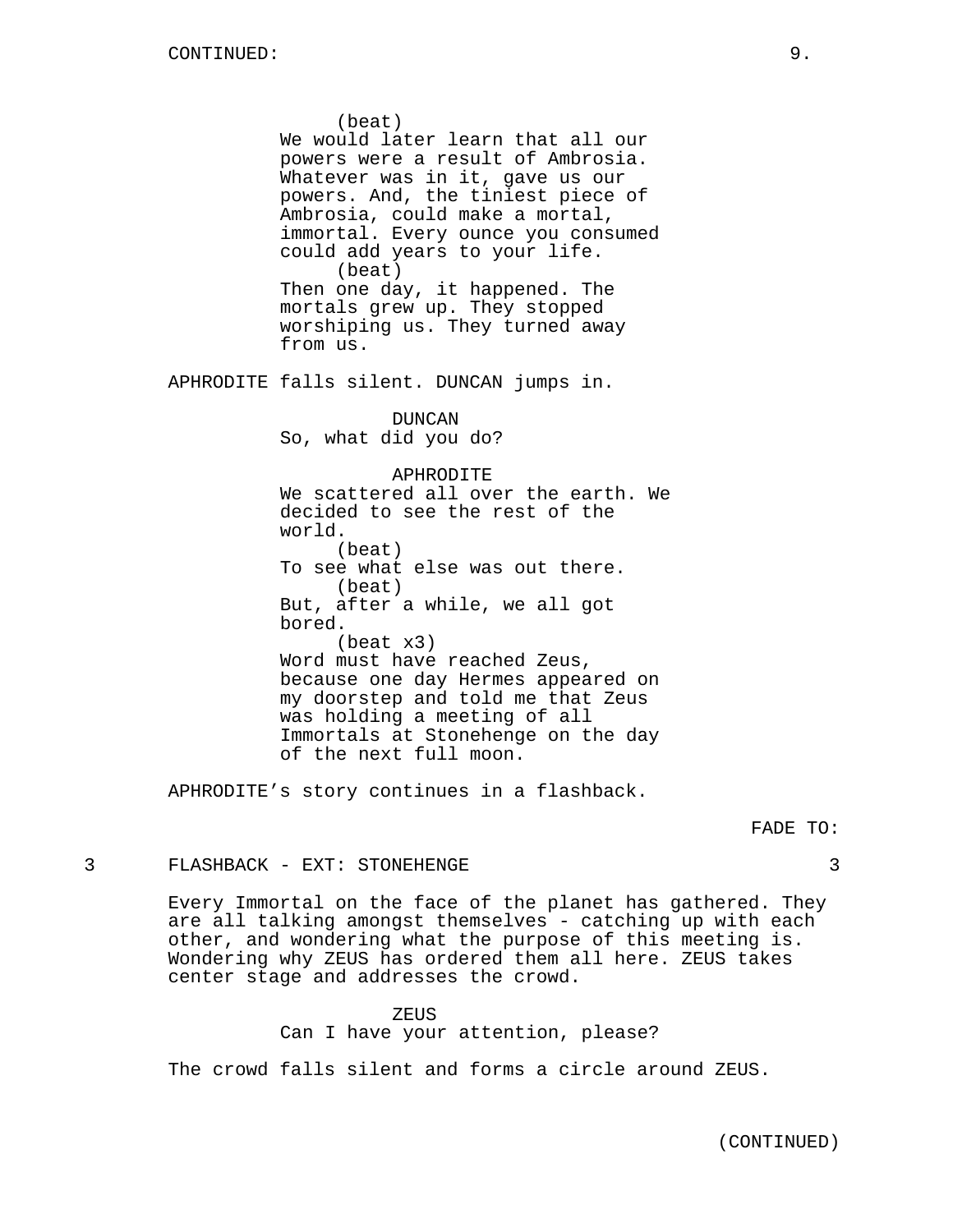(beat) We would later learn that all our powers were a result of Ambrosia. Whatever was in it, gave us our powers. And, the tiniest piece of Ambrosia, could make a mortal, immortal. Every ounce you consumed could add years to your life. (beat) Then one day, it happened. The mortals grew up. They stopped worshiping us. They turned away from us. APHRODITE falls silent. DUNCAN jumps in. DUNCAN So, what did you do? APHRODITE We scattered all over the earth. We decided to see the rest of the world. (beat) To see what else was out there. (beat) But, after a while, we all got bored. (beat x3) Word must have reached Zeus, because one day Hermes appeared on my doorstep and told me that Zeus was holding a meeting of all Immortals at Stonehenge on the day of the next full moon.

APHRODITE's story continues in a flashback.

#### FADE TO:

# 3 FLASHBACK - EXT: STONEHENGE 3

Every Immortal on the face of the planet has gathered. They are all talking amongst themselves - catching up with each other, and wondering what the purpose of this meeting is. Wondering why ZEUS has ordered them all here. ZEUS takes center stage and addresses the crowd.

#### ZEUS

Can I have your attention, please?

The crowd falls silent and forms a circle around ZEUS.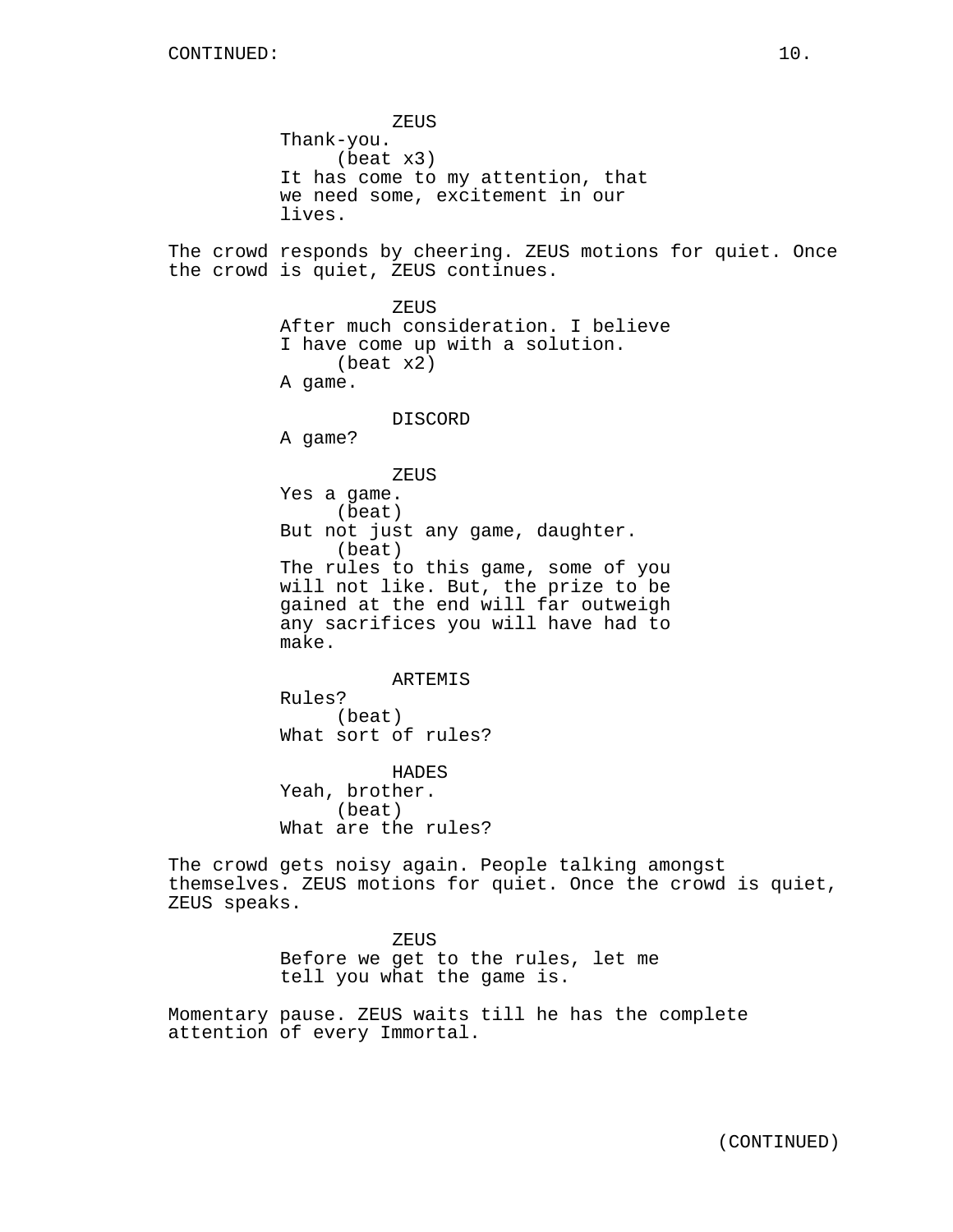ZEUS Thank-you. (beat x3) It has come to my attention, that we need some, excitement in our lives. The crowd responds by cheering. ZEUS motions for quiet. Once the crowd is quiet, ZEUS continues. ZEUS After much consideration. I believe I have come up with a solution. (beat x2) A game. DISCORD A game? ZEUS Yes a game. (beat) But not just any game, daughter. (beat) The rules to this game, some of you will not like. But, the prize to be gained at the end will far outweigh any sacrifices you will have had to make. ARTEMIS Rules? (beat) What sort of rules? HADES Yeah, brother. (beat) What are the rules? The crowd gets noisy again. People talking amongst themselves. ZEUS motions for quiet. Once the crowd is quiet, ZEUS speaks. ZEUS Before we get to the rules, let me tell you what the game is. Momentary pause. ZEUS waits till he has the complete

attention of every Immortal.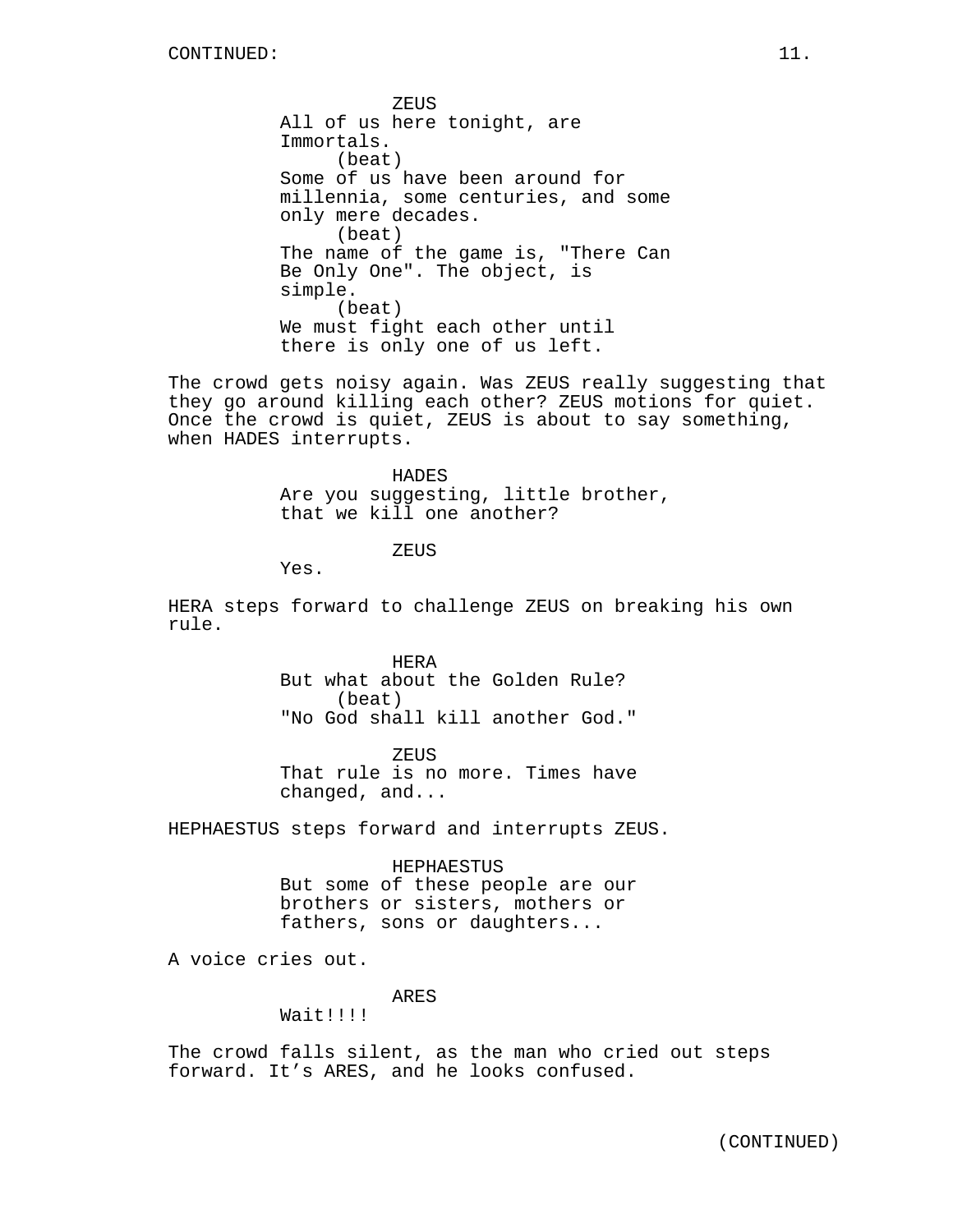ZEUS All of us here tonight, are Immortals. (beat) Some of us have been around for millennia, some centuries, and some only mere decades. (beat) The name of the game is, "There Can Be Only One". The object, is simple. (beat) We must fight each other until there is only one of us left.

The crowd gets noisy again. Was ZEUS really suggesting that they go around killing each other? ZEUS motions for quiet. Once the crowd is quiet, ZEUS is about to say something, when HADES interrupts.

> HADES Are you suggesting, little brother, that we kill one another?

> > **ZEUS**

Yes.

HERA steps forward to challenge ZEUS on breaking his own rule.

> HERA But what about the Golden Rule? (beat) "No God shall kill another God."

ZEUS That rule is no more. Times have changed, and...

HEPHAESTUS steps forward and interrupts ZEUS.

HEPHAESTUS But some of these people are our brothers or sisters, mothers or fathers, sons or daughters...

A voice cries out.

#### ARES

Wait!!!!

The crowd falls silent, as the man who cried out steps forward. It's ARES, and he looks confused.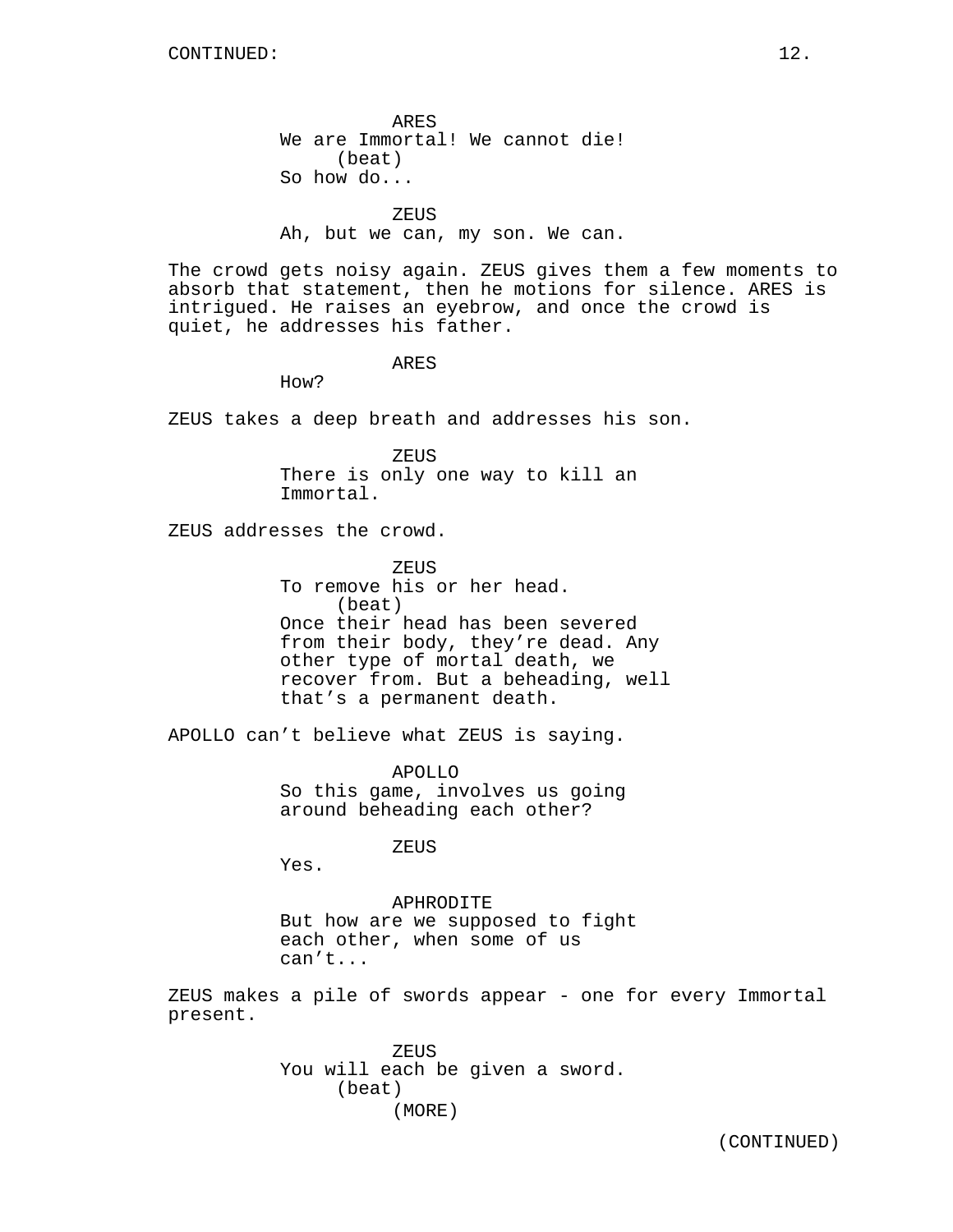ARES We are Immortal! We cannot die! (beat) So how do...

**ZEUS** 

Ah, but we can, my son. We can.

The crowd gets noisy again. ZEUS gives them a few moments to absorb that statement, then he motions for silence. ARES is intrigued. He raises an eyebrow, and once the crowd is quiet, he addresses his father.

ARES

How?

ZEUS takes a deep breath and addresses his son.

ZEUS There is only one way to kill an Immortal.

ZEUS addresses the crowd.

**ZEUS** To remove his or her head. (beat) Once their head has been severed from their body, they're dead. Any other type of mortal death, we recover from. But a beheading, well that's a permanent death.

APOLLO can't believe what ZEUS is saying.

APOLLO So this game, involves us going around beheading each other?

ZEUS

Yes.

APHRODITE But how are we supposed to fight each other, when some of us can't...

ZEUS makes a pile of swords appear - one for every Immortal present.

> ZEUS You will each be given a sword. (beat) (MORE)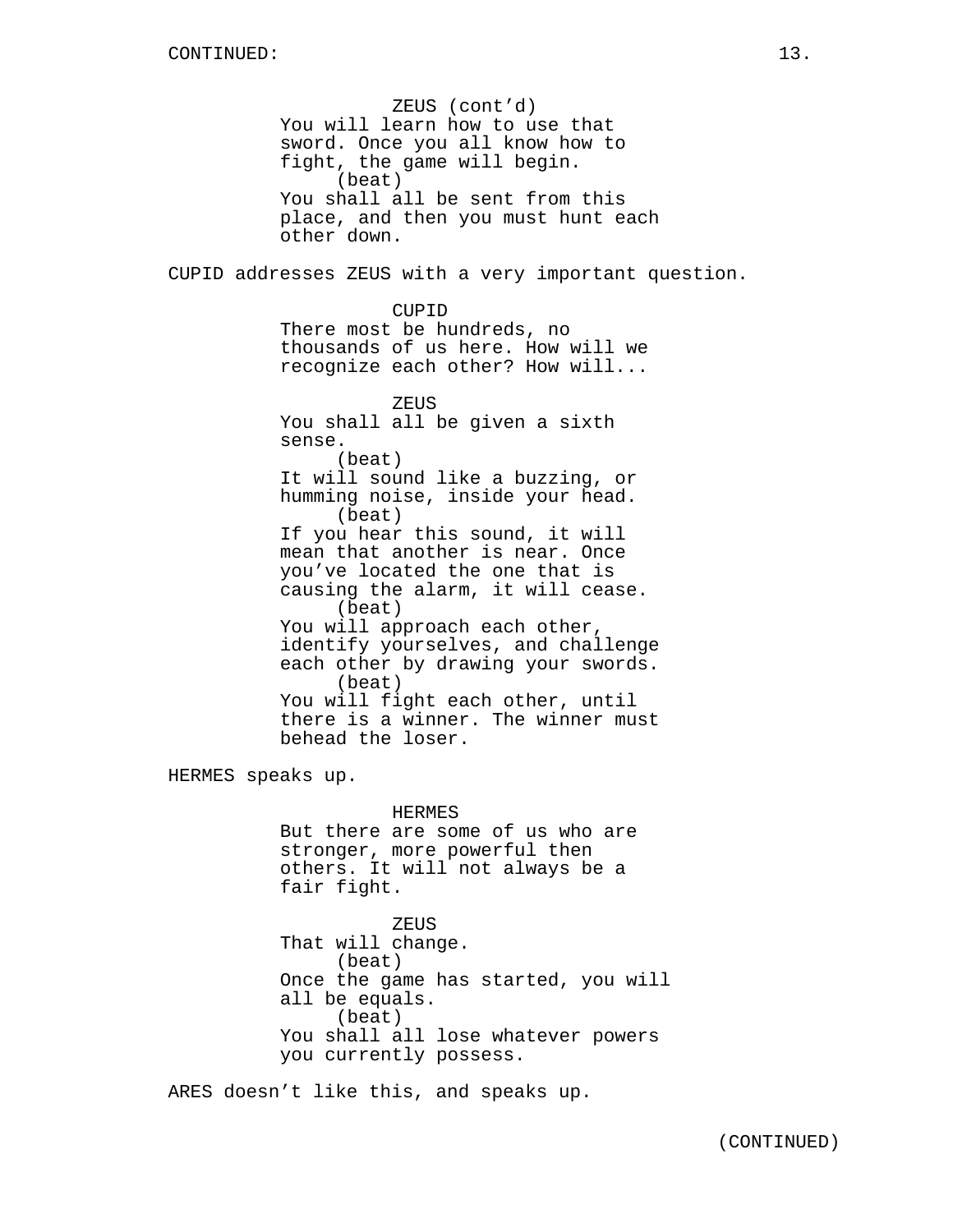ZEUS (cont'd) You will learn how to use that sword. Once you all know how to fight, the game will begin. (beat) You shall all be sent from this place, and then you must hunt each other down. CUPID addresses ZEUS with a very important question. CUPID There most be hundreds, no thousands of us here. How will we recognize each other? How will... ZEUS You shall all be given a sixth sense. (beat) It will sound like a buzzing, or humming noise, inside your head. (beat) If you hear this sound, it will mean that another is near. Once you've located the one that is causing the alarm, it will cease. (beat) You will approach each other, identify yourselves, and challenge each other by drawing your swords. (beat) You will fight each other, until there is a winner. The winner must behead the loser. HERMES speaks up. HERMES But there are some of us who are stronger, more powerful then others. It will not always be a fair fight. ZEUS That will change. (beat)

Once the game has started, you will

You shall all lose whatever powers

all be equals. (beat)

you currently possess.

ARES doesn't like this, and speaks up.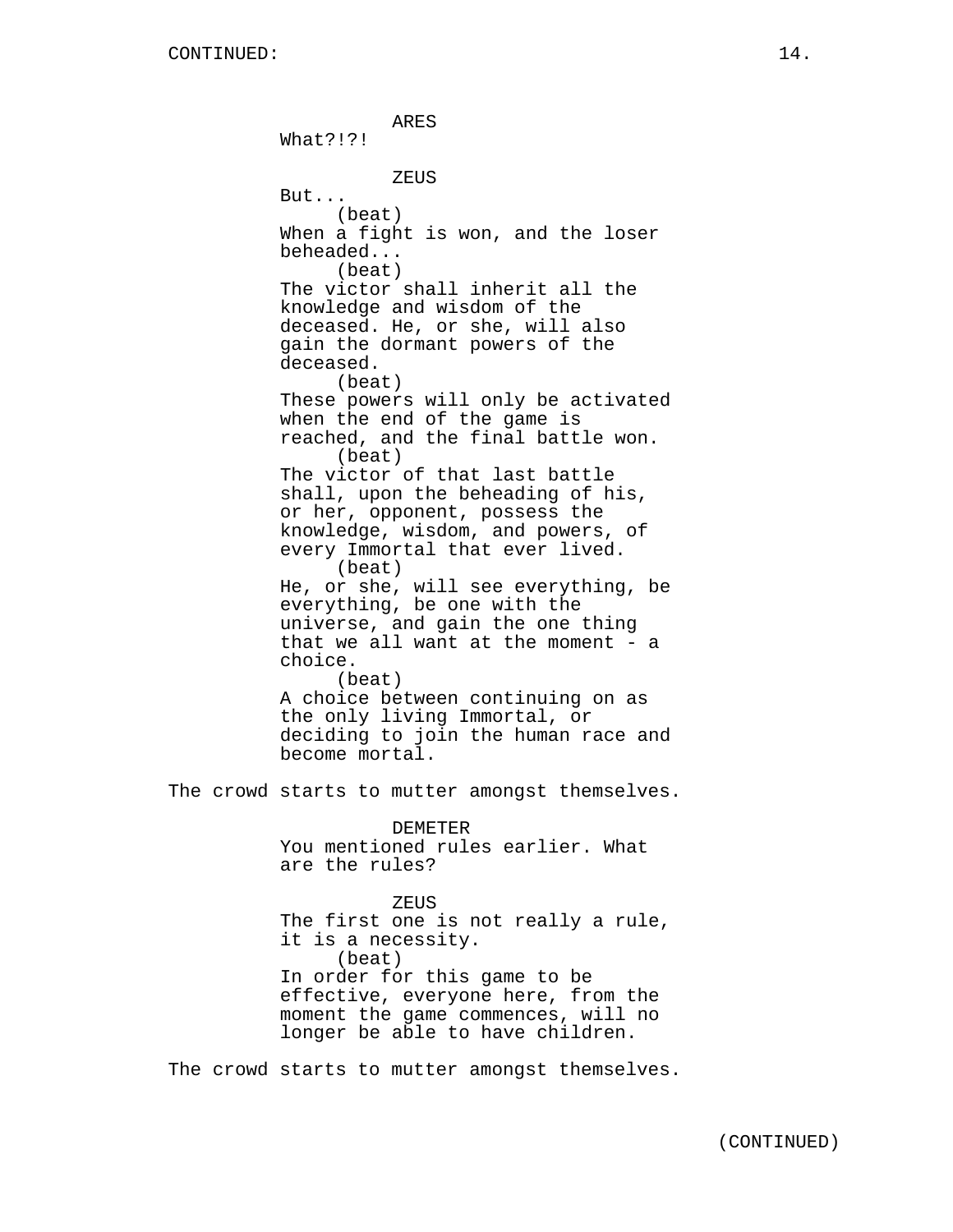ARES What?!?! ZEUS But... (beat) When a fight is won, and the loser beheaded... (beat) The victor shall inherit all the knowledge and wisdom of the deceased. He, or she, will also gain the dormant powers of the deceased. (beat) These powers will only be activated when the end of the game is reached, and the final battle won. (beat) The victor of that last battle shall, upon the beheading of his, or her, opponent, possess the knowledge, wisdom, and powers, of every Immortal that ever lived. (beat) He, or she, will see everything, be everything, be one with the universe, and gain the one thing that we all want at the moment - a choice. (beat) A choice between continuing on as the only living Immortal, or deciding to join the human race and become mortal. The crowd starts to mutter amongst themselves. DEMETER You mentioned rules earlier. What are the rules? ZEUS The first one is not really a rule, it is a necessity. (beat) In order for this game to be effective, everyone here, from the moment the game commences, will no longer be able to have children.

The crowd starts to mutter amongst themselves.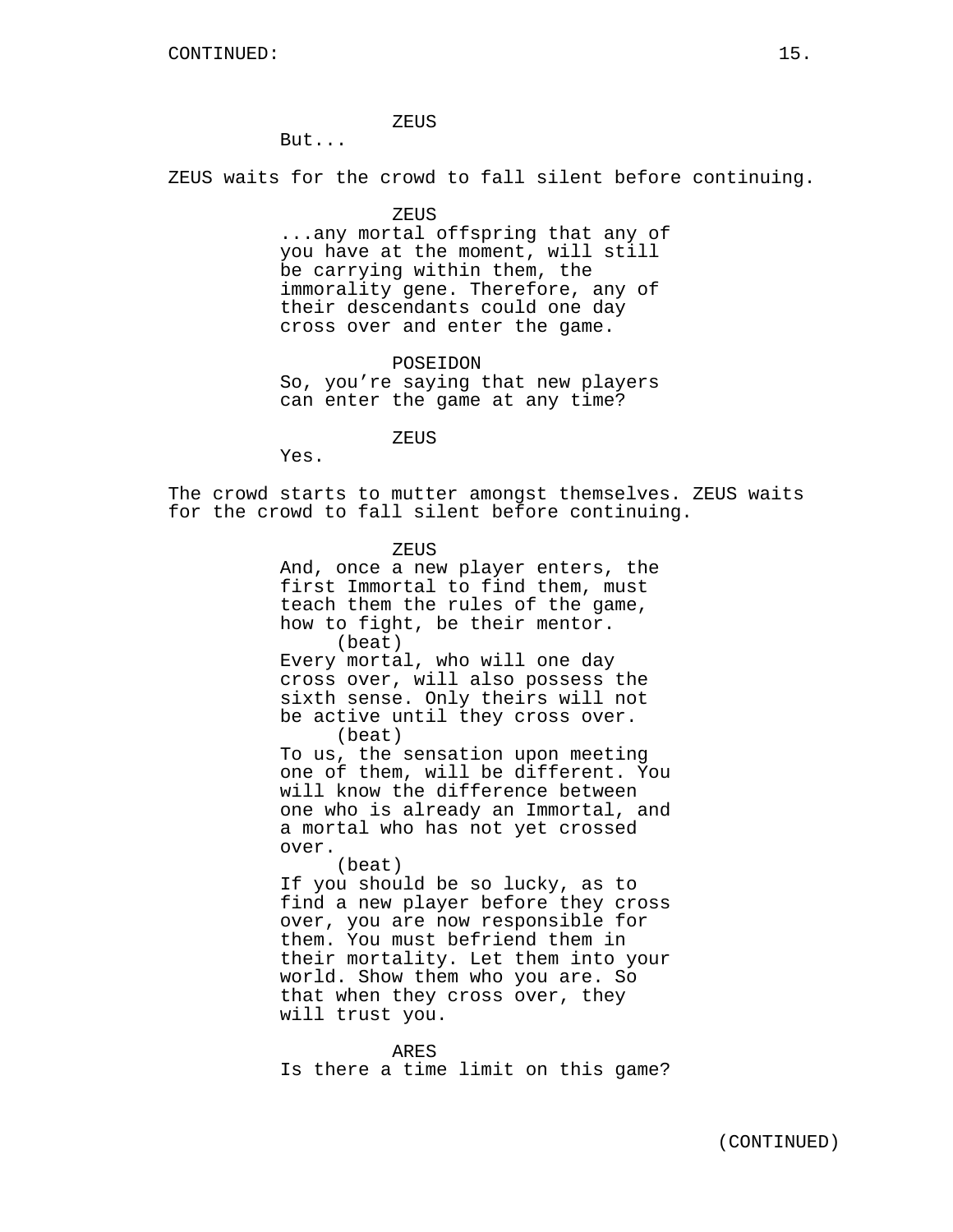#### ZEUS

But...

ZEUS waits for the crowd to fall silent before continuing.

# ZEUS

...any mortal offspring that any of you have at the moment, will still be carrying within them, the immorality gene. Therefore, any of their descendants could one day cross over and enter the game.

POSEIDON So, you're saying that new players can enter the game at any time?

ZEUS

Yes.

The crowd starts to mutter amongst themselves. ZEUS waits for the crowd to fall silent before continuing.

ZEUS

And, once a new player enters, the first Immortal to find them, must teach them the rules of the game, how to fight, be their mentor. (beat) Every mortal, who will one day cross over, will also possess the sixth sense. Only theirs will not be active until they cross over. (beat) To us, the sensation upon meeting one of them, will be different. You will know the difference between one who is already an Immortal, and a mortal who has not yet crossed over. (beat) If you should be so lucky, as to

find a new player before they cross over, you are now responsible for them. You must befriend them in their mortality. Let them into your world. Show them who you are. So that when they cross over, they will trust you.

ARES

Is there a time limit on this game?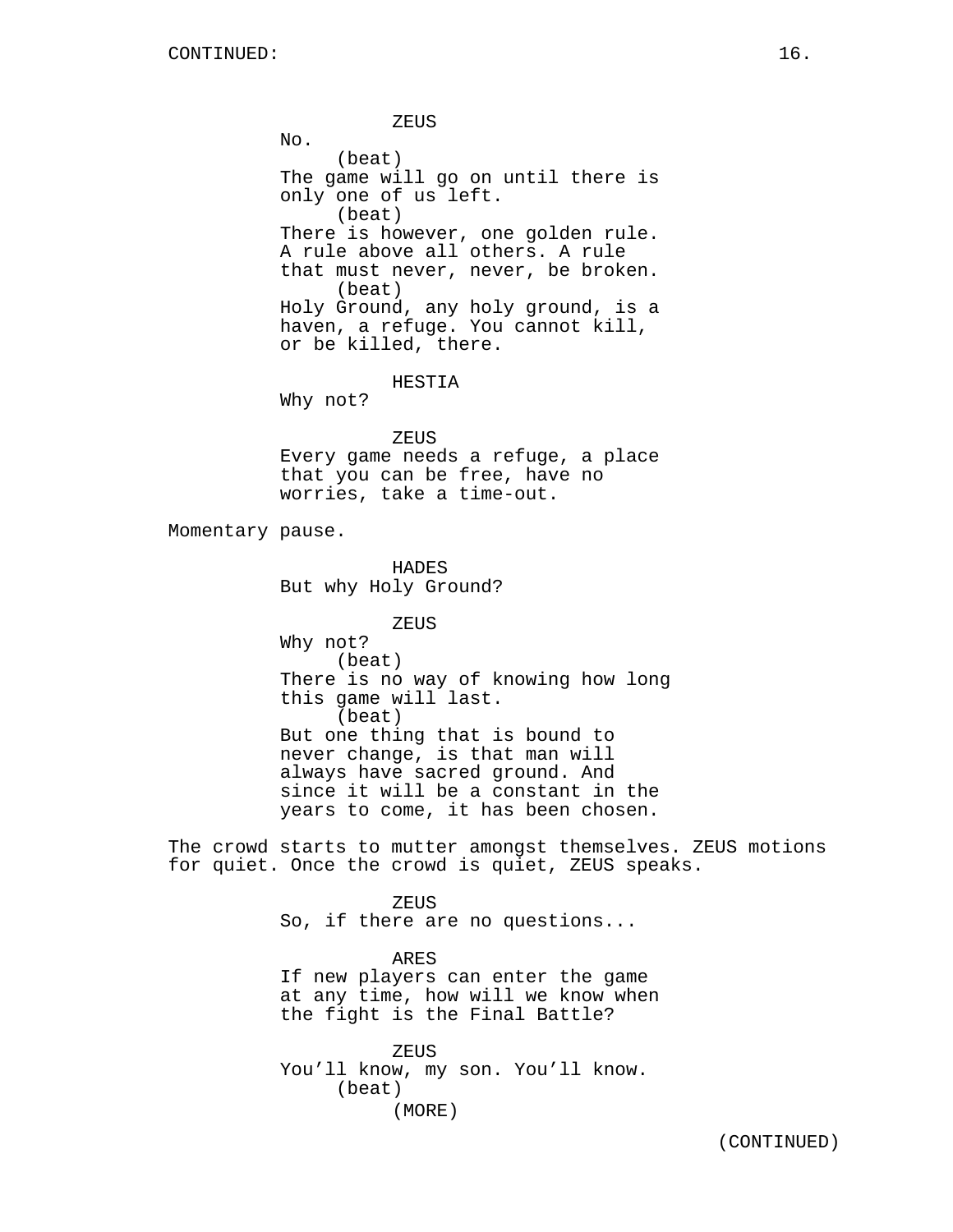ZEUS  $No.$ (beat) The game will go on until there is only one of us left. (beat) There is however, one golden rule. A rule above all others. A rule that must never, never, be broken. (beat) Holy Ground, any holy ground, is a haven, a refuge. You cannot kill, or be killed, there. HESTIA Why not? ZEUS Every game needs a refuge, a place that you can be free, have no worries, take a time-out. Momentary pause. HADES But why Holy Ground? ZEUS Why not? (beat) There is no way of knowing how long this game will last. (beat) But one thing that is bound to never change, is that man will always have sacred ground. And since it will be a constant in the years to come, it has been chosen. The crowd starts to mutter amongst themselves. ZEUS motions for quiet. Once the crowd is quiet, ZEUS speaks. ZEUS So, if there are no questions... ARES If new players can enter the game at any time, how will we know when

> ZEUS You'll know, my son. You'll know. (beat) (MORE)

the fight is the Final Battle?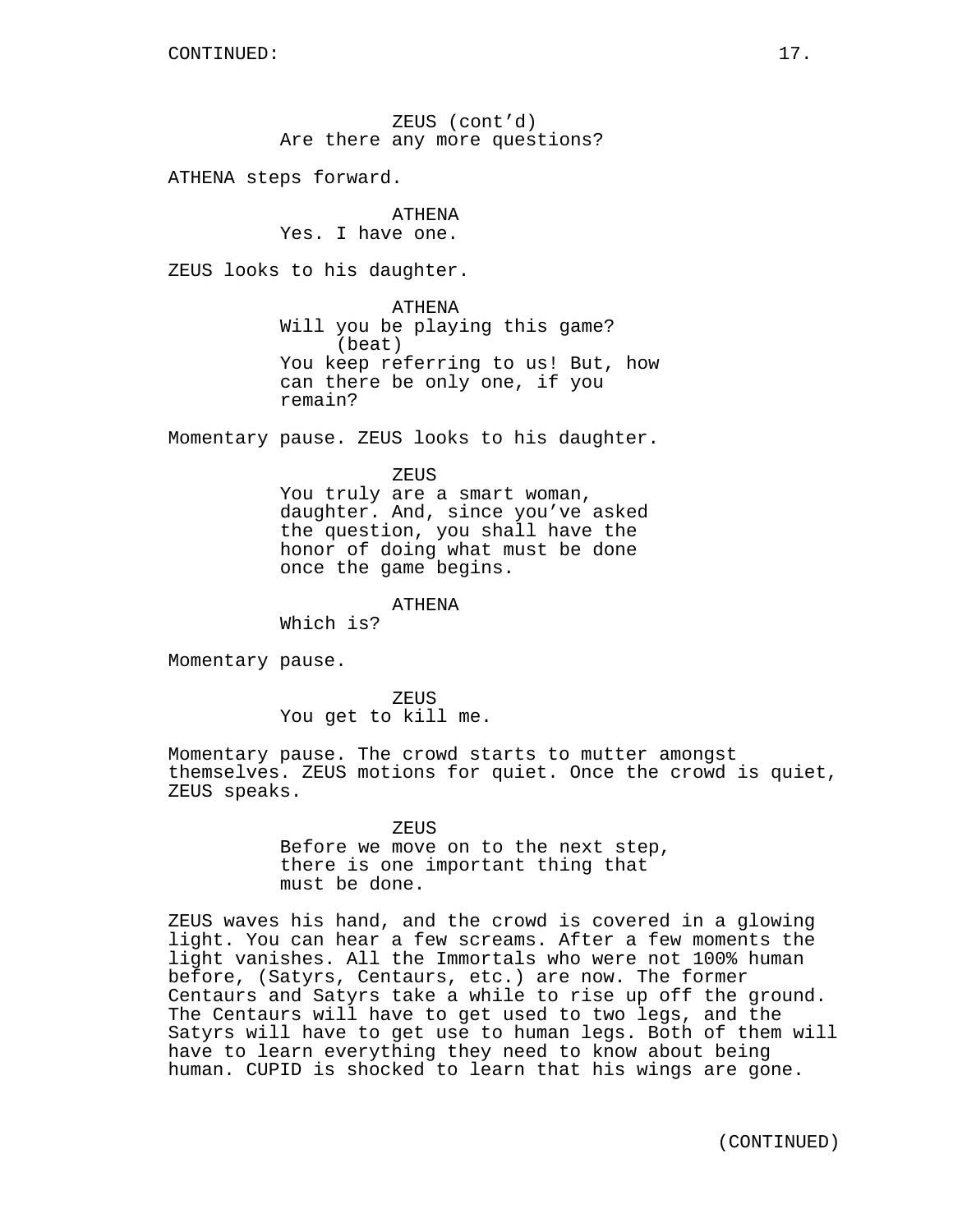ZEUS (cont'd) Are there any more questions?

ATHENA steps forward.

ATHENA Yes. I have one.

ZEUS looks to his daughter.

ATHENA Will you be playing this game? (beat) You keep referring to us! But, how can there be only one, if you remain?

Momentary pause. ZEUS looks to his daughter.

ZEUS

You truly are a smart woman, daughter. And, since you've asked the question, you shall have the honor of doing what must be done once the game begins.

ATHENA

Which is?

Momentary pause.

ZEUS You get to kill me.

Momentary pause. The crowd starts to mutter amongst themselves. ZEUS motions for quiet. Once the crowd is quiet, ZEUS speaks.

> ZEUS Before we move on to the next step, there is one important thing that must be done.

ZEUS waves his hand, and the crowd is covered in a glowing light. You can hear a few screams. After a few moments the light vanishes. All the Immortals who were not 100% human before, (Satyrs, Centaurs, etc.) are now. The former Centaurs and Satyrs take a while to rise up off the ground. The Centaurs will have to get used to two legs, and the Satyrs will have to get use to human legs. Both of them will have to learn everything they need to know about being human. CUPID is shocked to learn that his wings are gone.

(CONTINUED)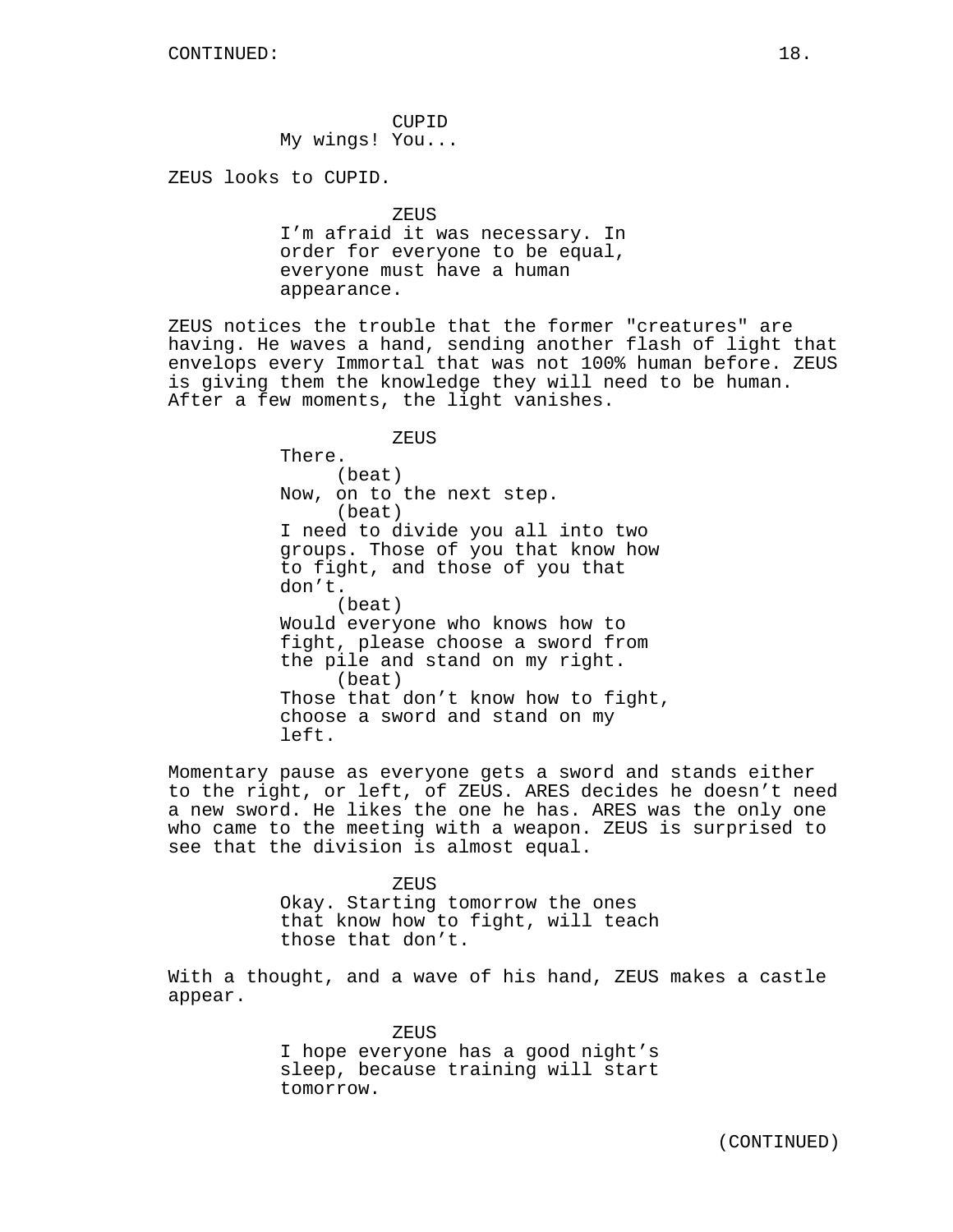CUPID My wings! You...

ZEUS looks to CUPID.

```
ZEUS
```
I'm afraid it was necessary. In order for everyone to be equal, everyone must have a human appearance.

ZEUS notices the trouble that the former "creatures" are having. He waves a hand, sending another flash of light that envelops every Immortal that was not 100% human before. ZEUS is giving them the knowledge they will need to be human. After a few moments, the light vanishes.

> ZEUS There. (beat) Now, on to the next step. (beat) I need to divide you all into two groups. Those of you that know how to fight, and those of you that don't. (beat) Would everyone who knows how to fight, please choose a sword from the pile and stand on my right. (beat) Those that don't know how to fight, choose a sword and stand on my left.

Momentary pause as everyone gets a sword and stands either to the right, or left, of ZEUS. ARES decides he doesn't need a new sword. He likes the one he has. ARES was the only one who came to the meeting with a weapon. ZEUS is surprised to see that the division is almost equal.

> **ZEUS** Okay. Starting tomorrow the ones that know how to fight, will teach those that don't.

With a thought, and a wave of his hand, ZEUS makes a castle appear.

> ZEUS I hope everyone has a good night's sleep, because training will start tomorrow.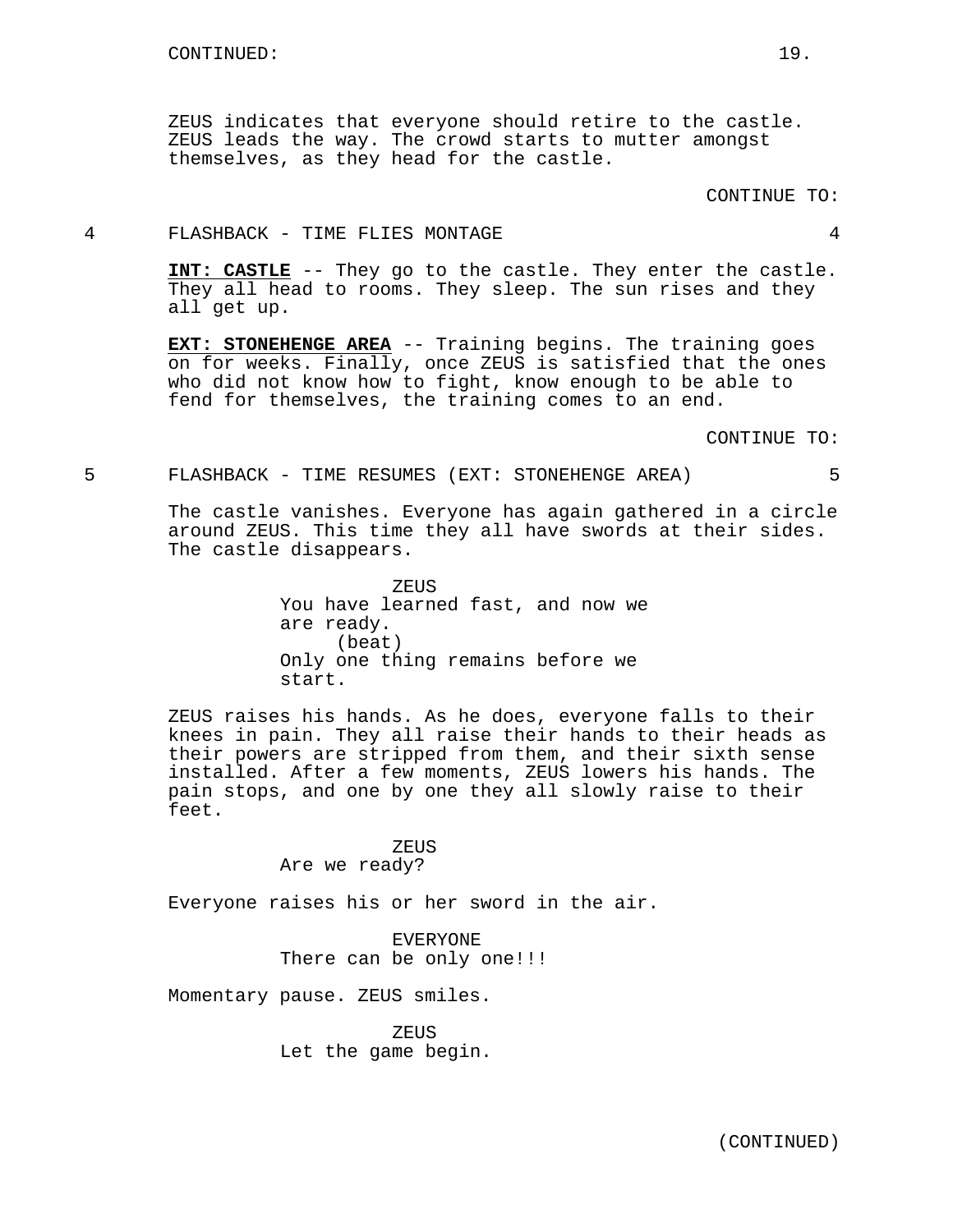ZEUS indicates that everyone should retire to the castle. ZEUS leads the way. The crowd starts to mutter amongst themselves, as they head for the castle.

## 4 FLASHBACK - TIME FLIES MONTAGE 4

**INT: CASTLE** -- They go to the castle. They enter the castle. They all head to rooms. They sleep. The sun rises and they all get up.

**EXT: STONEHENGE AREA** -- Training begins. The training goes on for weeks. Finally, once ZEUS is satisfied that the ones who did not know how to fight, know enough to be able to fend for themselves, the training comes to an end.

CONTINUE TO:

## 5 FLASHBACK - TIME RESUMES (EXT: STONEHENGE AREA) 5

The castle vanishes. Everyone has again gathered in a circle around ZEUS. This time they all have swords at their sides. The castle disappears.

> ZEUS You have learned fast, and now we are ready. (beat) Only one thing remains before we start.

ZEUS raises his hands. As he does, everyone falls to their knees in pain. They all raise their hands to their heads as their powers are stripped from them, and their sixth sense installed. After a few moments, ZEUS lowers his hands. The pain stops, and one by one they all slowly raise to their feet.

> ZEUS Are we ready?

Everyone raises his or her sword in the air.

EVERYONE There can be only one!!!

Momentary pause. ZEUS smiles.

ZEUS Let the game begin.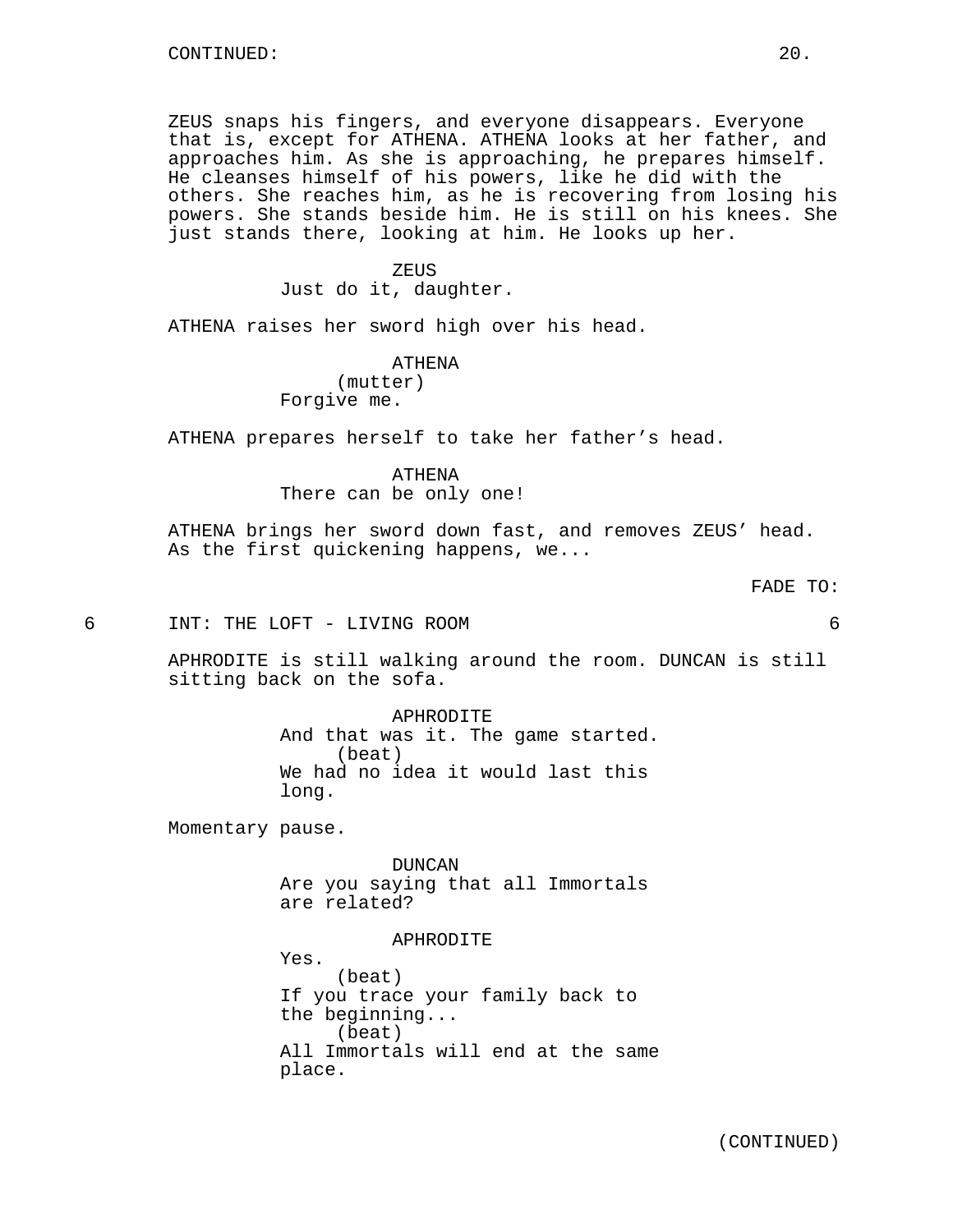ZEUS snaps his fingers, and everyone disappears. Everyone that is, except for ATHENA. ATHENA looks at her father, and approaches him. As she is approaching, he prepares himself. He cleanses himself of his powers, like he did with the others. She reaches him, as he is recovering from losing his powers. She stands beside him. He is still on his knees. She just stands there, looking at him. He looks up her.

#### ZEUS

Just do it, daughter.

ATHENA raises her sword high over his head.

#### ATHENA

(mutter) Forgive me.

ATHENA prepares herself to take her father's head.

#### ATHENA

There can be only one!

ATHENA brings her sword down fast, and removes ZEUS' head. As the first quickening happens, we...

6 INT: THE LOFT - LIVING ROOM 6

APHRODITE is still walking around the room. DUNCAN is still sitting back on the sofa.

> APHRODITE And that was it. The game started. (beat) We had no idea it would last this long.

Momentary pause.

DUNCAN Are you saying that all Immortals are related?

## APHRODITE

Yes. (beat) If you trace your family back to the beginning... (beat) All Immortals will end at the same place.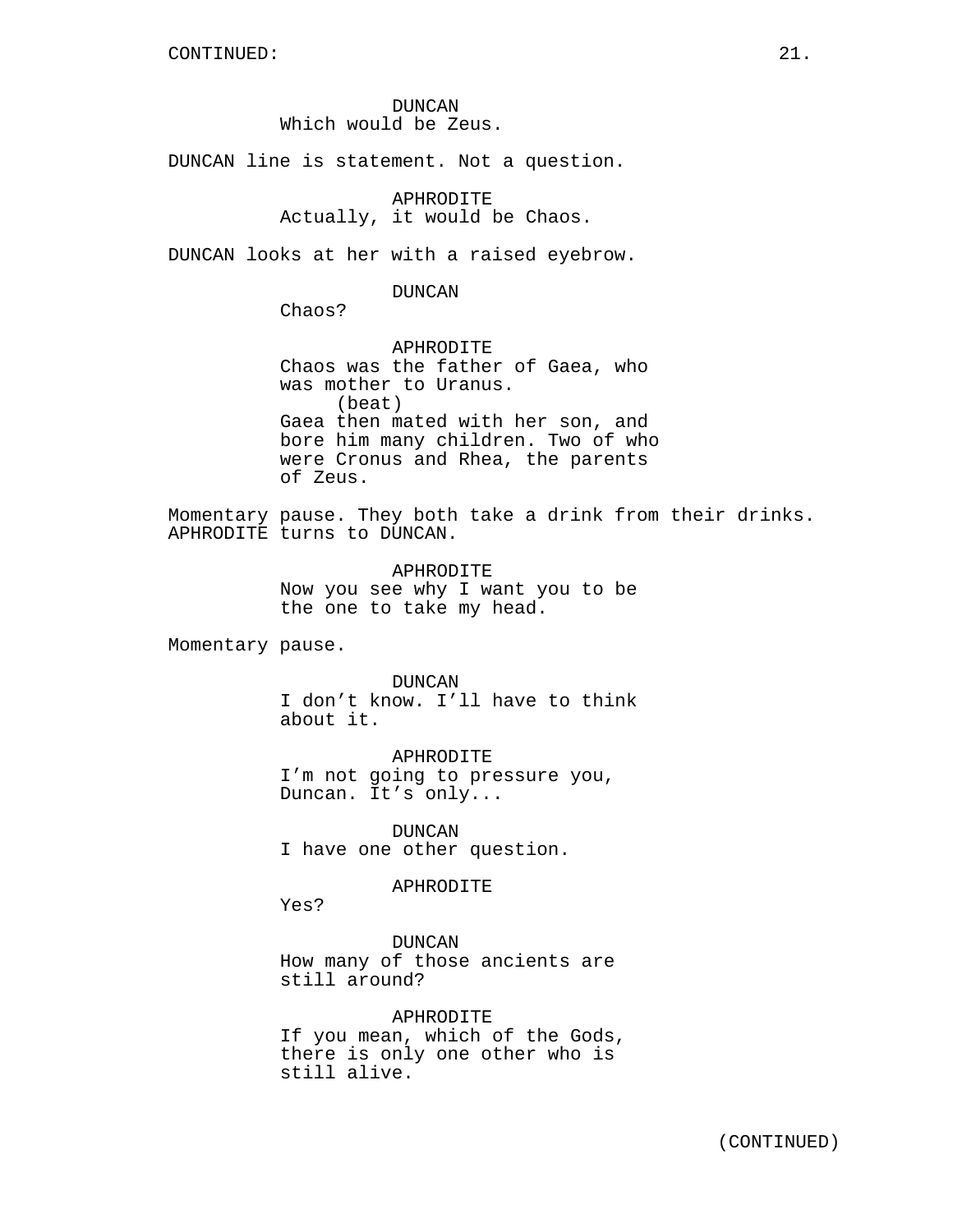DUNCAN Which would be Zeus.

DUNCAN line is statement. Not a question.

APHRODITE Actually, it would be Chaos.

DUNCAN looks at her with a raised eyebrow.

DUNCAN

Chaos?

APHRODITE Chaos was the father of Gaea, who was mother to Uranus. (beat) Gaea then mated with her son, and bore him many children. Two of who were Cronus and Rhea, the parents of Zeus.

Momentary pause. They both take a drink from their drinks. APHRODITE turns to DUNCAN.

> APHRODITE Now you see why I want you to be the one to take my head.

Momentary pause.

DUNCAN

I don't know. I'll have to think about it.

APHRODITE I'm not going to pressure you, Duncan. It's only...

DUNCAN I have one other question.

APHRODITE

Yes?

DUNCAN How many of those ancients are still around?

APHRODITE If you mean, which of the Gods, there is only one other who is still alive.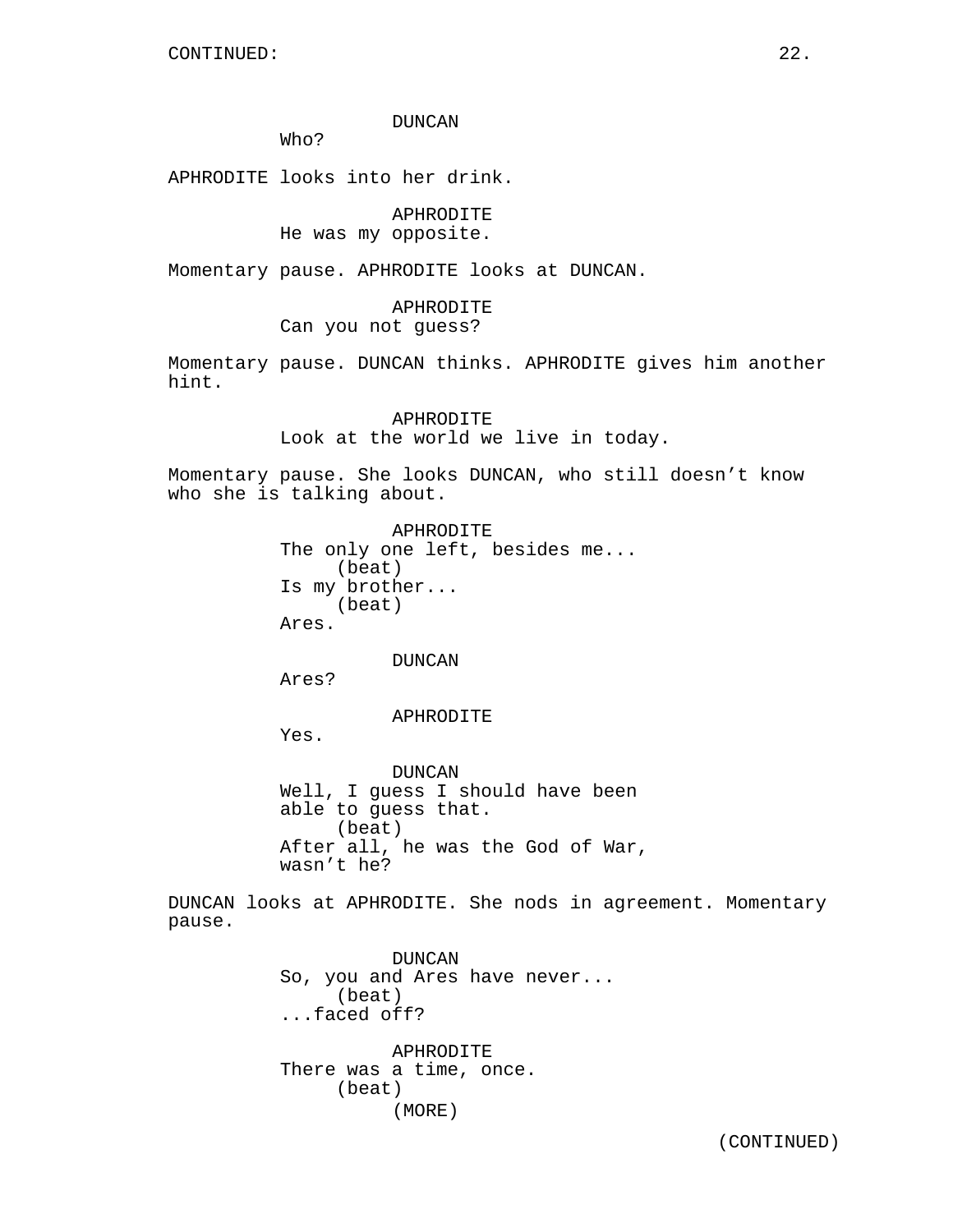## DUNCAN

Who?

APHRODITE looks into her drink.

APHRODITE He was my opposite.

Momentary pause. APHRODITE looks at DUNCAN.

# APHRODITE Can you not guess?

Momentary pause. DUNCAN thinks. APHRODITE gives him another hint.

> APHRODITE Look at the world we live in today.

Momentary pause. She looks DUNCAN, who still doesn't know who she is talking about.

> APHRODITE The only one left, besides me... (beat) Is my brother... (beat) Ares.

> > DUNCAN

Ares?

APHRODITE

Yes.

DUNCAN Well, I guess I should have been able to guess that. (beat) After all, he was the God of War, wasn't he?

DUNCAN looks at APHRODITE. She nods in agreement. Momentary pause.

> DUNCAN So, you and Ares have never... (beat) ...faced off?

APHRODITE There was a time, once. (beat) (MORE)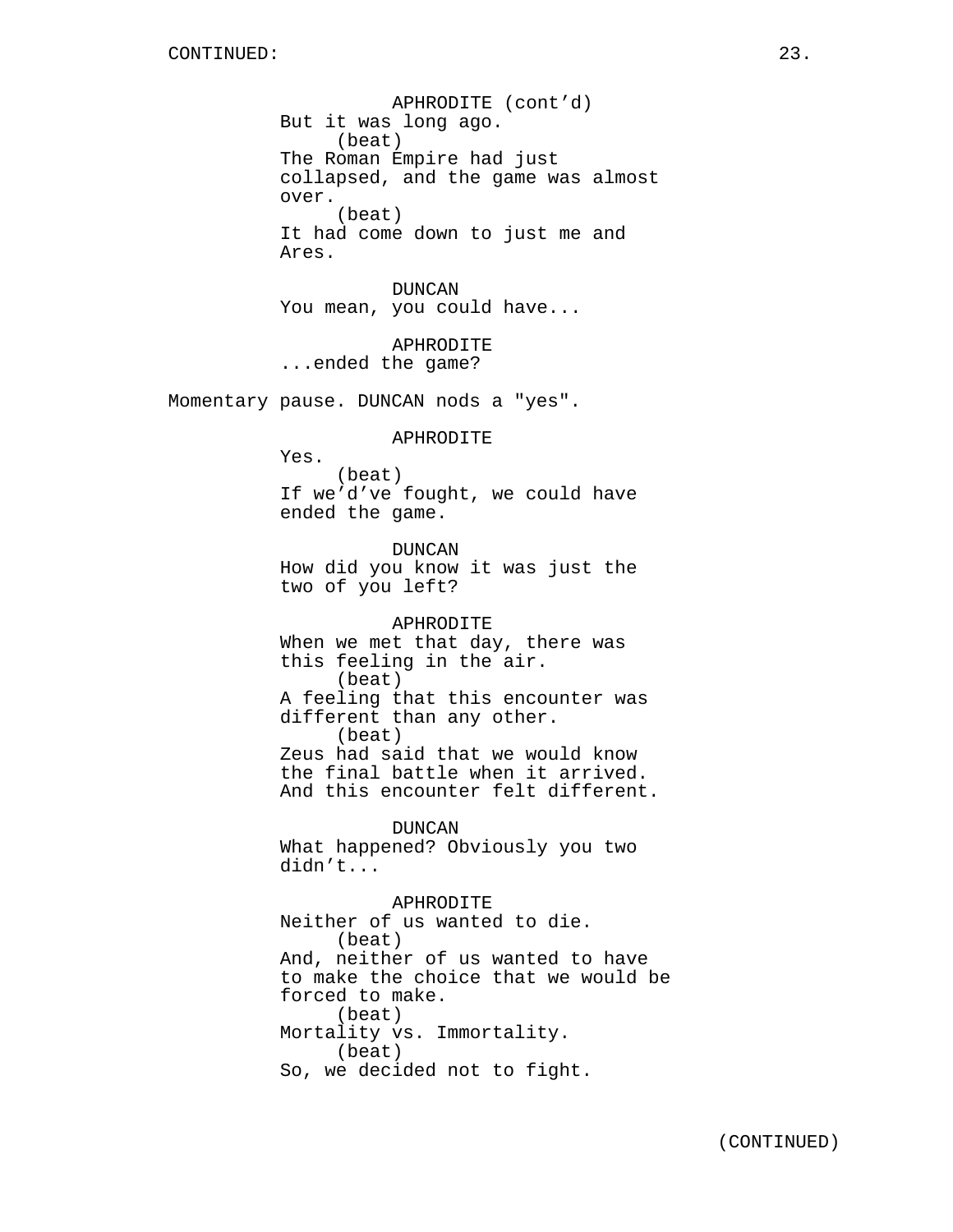APHRODITE (cont'd) But it was long ago. (beat) The Roman Empire had just collapsed, and the game was almost over. (beat) It had come down to just me and Ares.

DUNCAN You mean, you could have...

**APHRODITE** ...ended the game?

Momentary pause. DUNCAN nods a "yes".

APHRODITE

Yes. (beat) If we'd've fought, we could have ended the game.

DUNCAN How did you know it was just the two of you left?

APHRODITE When we met that day, there was this feeling in the air. (beat) A feeling that this encounter was different than any other. (beat) Zeus had said that we would know the final battle when it arrived. And this encounter felt different.

DUNCAN What happened? Obviously you two didn't...

APHRODITE Neither of us wanted to die. (beat) And, neither of us wanted to have to make the choice that we would be forced to make. (beat) Mortality vs. Immortality. (beat) So, we decided not to fight.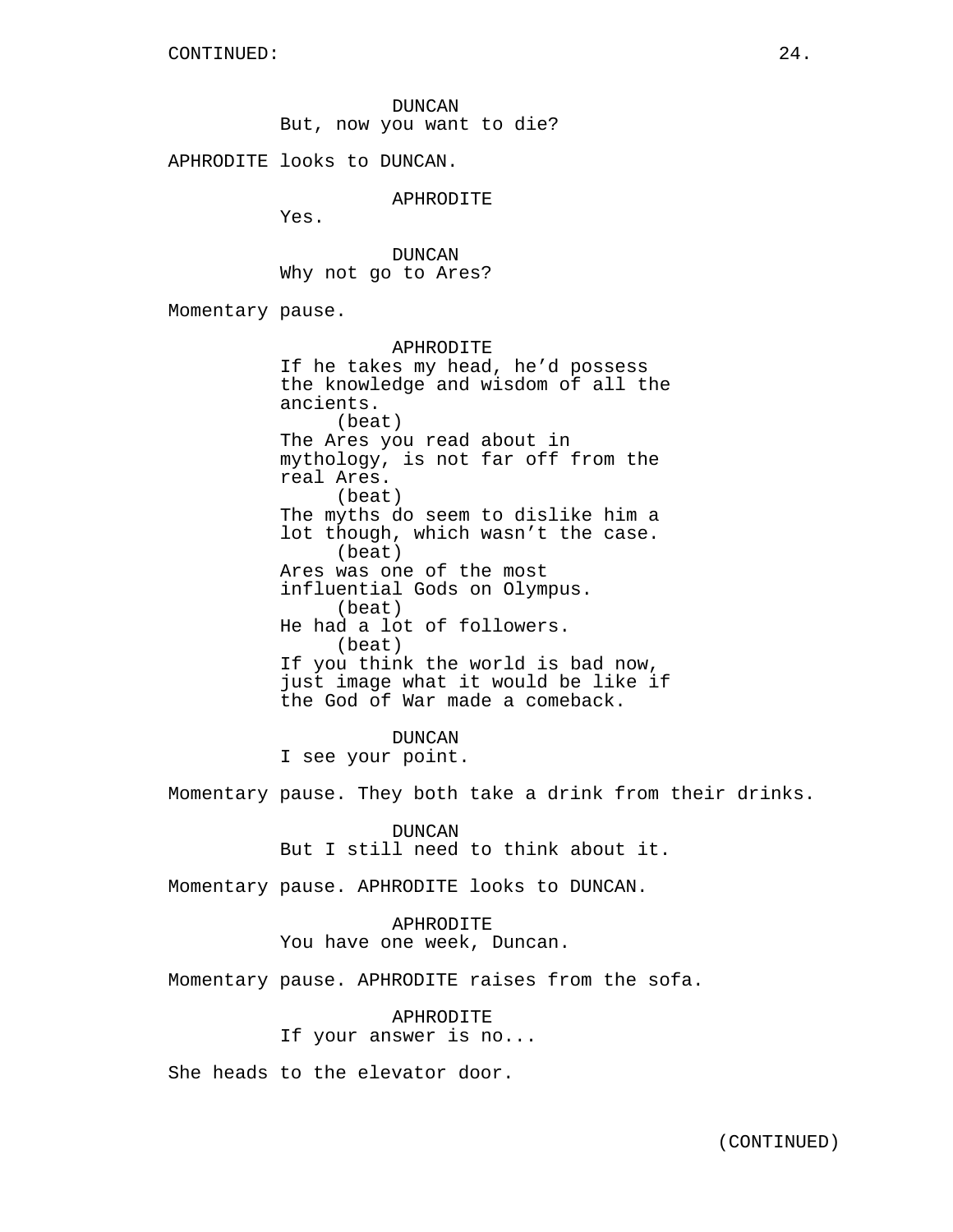DUNCAN But, now you want to die?

APHRODITE looks to DUNCAN.

APHRODITE

Yes.

DUNCAN Why not go to Ares?

Momentary pause.

APHRODITE If he takes my head, he'd possess the knowledge and wisdom of all the ancients. (beat) The Ares you read about in mythology, is not far off from the real Ares. (beat) The myths do seem to dislike him a lot though, which wasn't the case. (beat) Ares was one of the most influential Gods on Olympus. (beat) He had a lot of followers. (beat) If you think the world is bad now, just image what it would be like if the God of War made a comeback.

DUNCAN I see your point.

Momentary pause. They both take a drink from their drinks.

DUNCAN But I still need to think about it.

Momentary pause. APHRODITE looks to DUNCAN.

APHRODITE You have one week, Duncan.

Momentary pause. APHRODITE raises from the sofa.

APHRODITE If your answer is no...

She heads to the elevator door.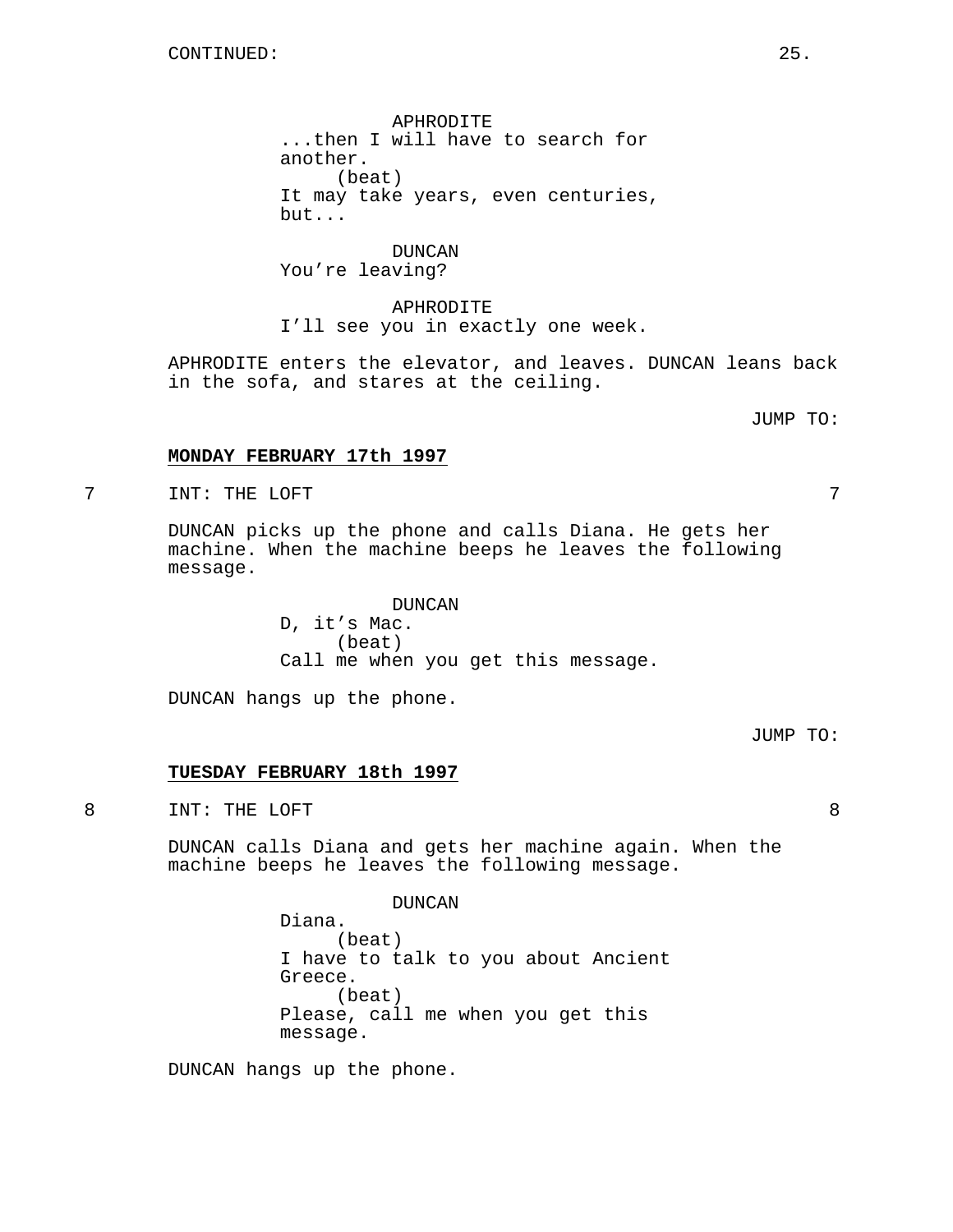APHRODITE ...then I will have to search for another. (beat) It may take years, even centuries, but...

DUNCAN You're leaving?

APHRODITE I'll see you in exactly one week.

APHRODITE enters the elevator, and leaves. DUNCAN leans back in the sofa, and stares at the ceiling.

JUMP TO:

## **MONDAY FEBRUARY 17th 1997**

7 INT: THE LOFT 7

DUNCAN picks up the phone and calls Diana. He gets her machine. When the machine beeps he leaves the following message.

> DUNCAN D, it's Mac. (beat) Call me when you get this message.

DUNCAN hangs up the phone.

JUMP TO:

## **TUESDAY FEBRUARY 18th 1997**

8 INT: THE LOFT 8

DUNCAN calls Diana and gets her machine again. When the machine beeps he leaves the following message.

DUNCAN

Diana. (beat) I have to talk to you about Ancient Greece. (beat) Please, call me when you get this message.

DUNCAN hangs up the phone.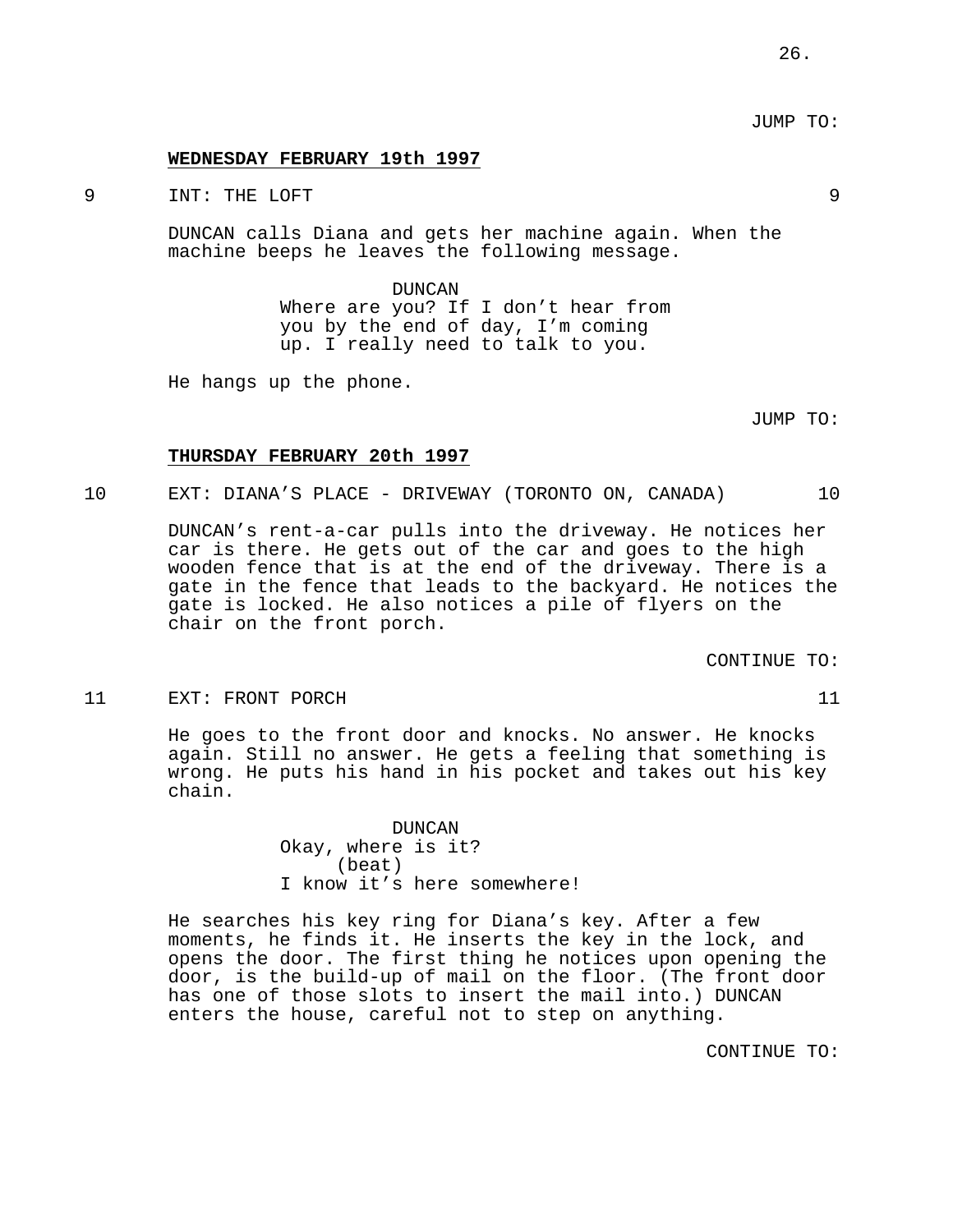#### **WEDNESDAY FEBRUARY 19th 1997**

9 INT: THE LOFT 9

DUNCAN calls Diana and gets her machine again. When the machine beeps he leaves the following message.

> DUNCAN Where are you? If I don't hear from you by the end of day, I'm coming up. I really need to talk to you.

He hangs up the phone.

JUMP TO:

### **THURSDAY FEBRUARY 20th 1997**

10 EXT: DIANA'S PLACE - DRIVEWAY (TORONTO ON, CANADA) 10

DUNCAN's rent-a-car pulls into the driveway. He notices her car is there. He gets out of the car and goes to the high wooden fence that is at the end of the driveway. There is a gate in the fence that leads to the backyard. He notices the gate is locked. He also notices a pile of flyers on the chair on the front porch.

CONTINUE TO:

#### 11 EXT: FRONT PORCH 11

He goes to the front door and knocks. No answer. He knocks again. Still no answer. He gets a feeling that something is wrong. He puts his hand in his pocket and takes out his key chain.

# DUNCAN Okay, where is it? (beat) I know it's here somewhere!

He searches his key ring for Diana's key. After a few moments, he finds it. He inserts the key in the lock, and opens the door. The first thing he notices upon opening the door, is the build-up of mail on the floor. (The front door has one of those slots to insert the mail into.) DUNCAN enters the house, careful not to step on anything.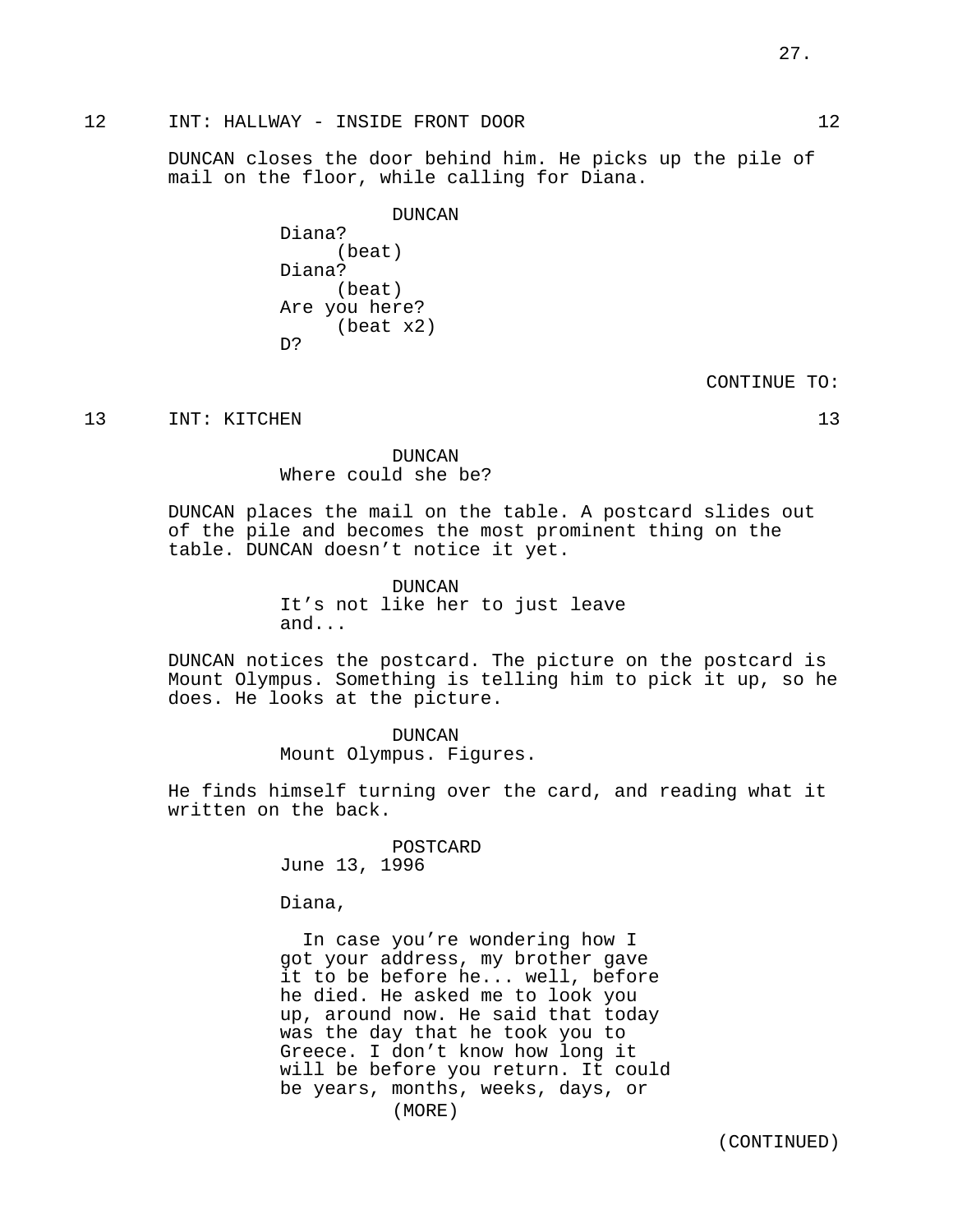# 12 INT: HALLWAY - INSIDE FRONT DOOR 12

DUNCAN closes the door behind him. He picks up the pile of mail on the floor, while calling for Diana.

> DUNCAN Diana? (beat) Diana? (beat) Are you here? (beat x2) D?

> > CONTINUE TO:

13 INT: KITCHEN 13

DUNCAN Where could she be?

DUNCAN places the mail on the table. A postcard slides out of the pile and becomes the most prominent thing on the table. DUNCAN doesn't notice it yet.

> DUNCAN It's not like her to just leave and...

DUNCAN notices the postcard. The picture on the postcard is Mount Olympus. Something is telling him to pick it up, so he does. He looks at the picture.

> DUNCAN Mount Olympus. Figures.

He finds himself turning over the card, and reading what it written on the back.

> POSTCARD June 13, 1996

Diana,

In case you're wondering how I got your address, my brother gave it to be before he... well, before he died. He asked me to look you up, around now. He said that today was the day that he took you to Greece. I don't know how long it will be before you return. It could be years, months, weeks, days, or (MORE)

(CONTINUED)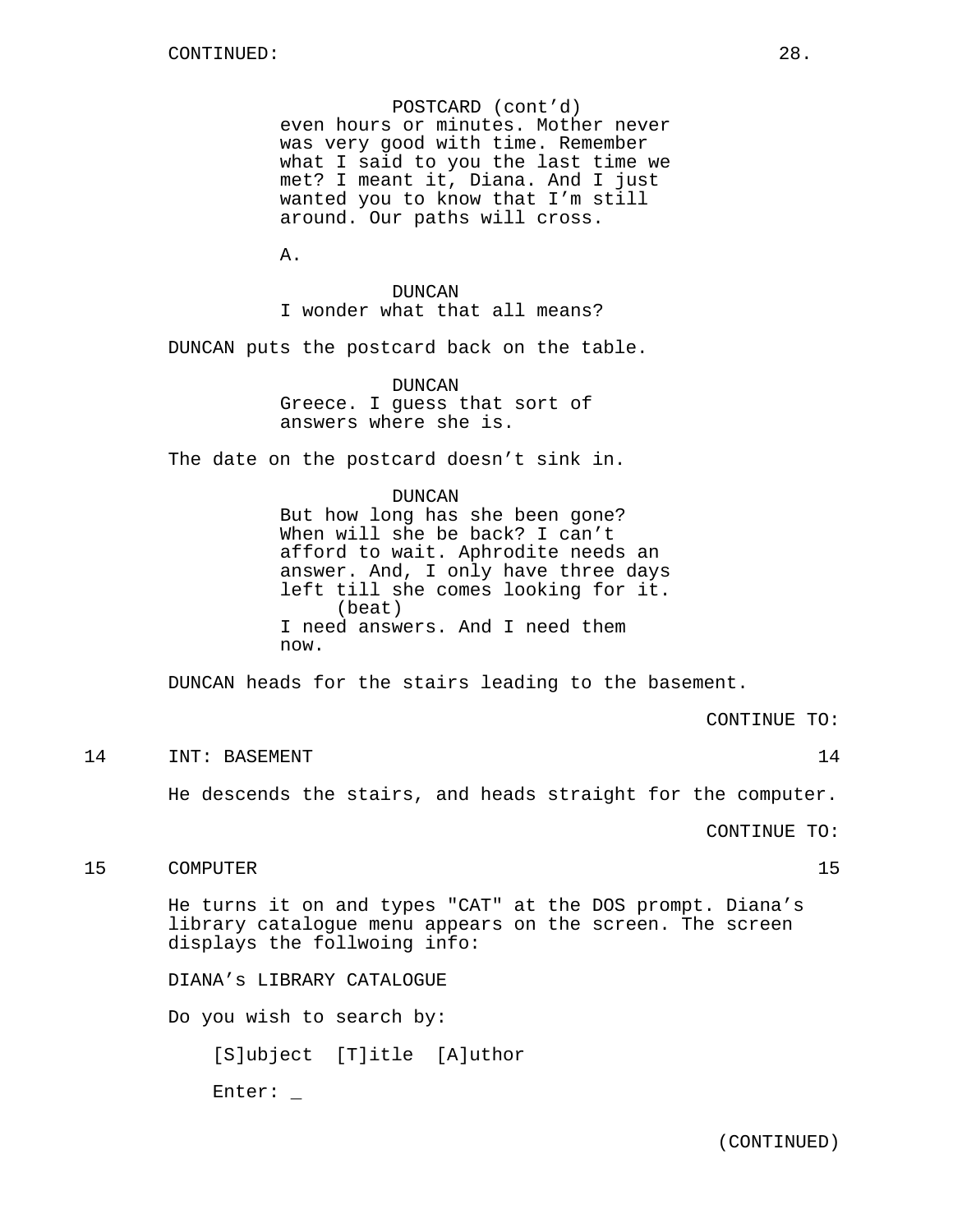POSTCARD (cont'd) even hours or minutes. Mother never was very good with time. Remember what I said to you the last time we met? I meant it, Diana. And I just wanted you to know that I'm still around. Our paths will cross.

A.

DUNCAN I wonder what that all means?

DUNCAN puts the postcard back on the table.

DUNCAN Greece. I guess that sort of answers where she is.

The date on the postcard doesn't sink in.

DUNCAN

But how long has she been gone? When will she be back? I can't afford to wait. Aphrodite needs an answer. And, I only have three days left till she comes looking for it. (beat) I need answers. And I need them now.

DUNCAN heads for the stairs leading to the basement.

CONTINUE TO:

#### 14 INT: BASEMENT 14

He descends the stairs, and heads straight for the computer.

CONTINUE TO:

# 15 COMPUTER 15

He turns it on and types "CAT" at the DOS prompt. Diana's library catalogue menu appears on the screen. The screen displays the follwoing info:

DIANA's LIBRARY CATALOGUE

Do you wish to search by:

[S]ubject [T]itle [A]uthor

Enter: \_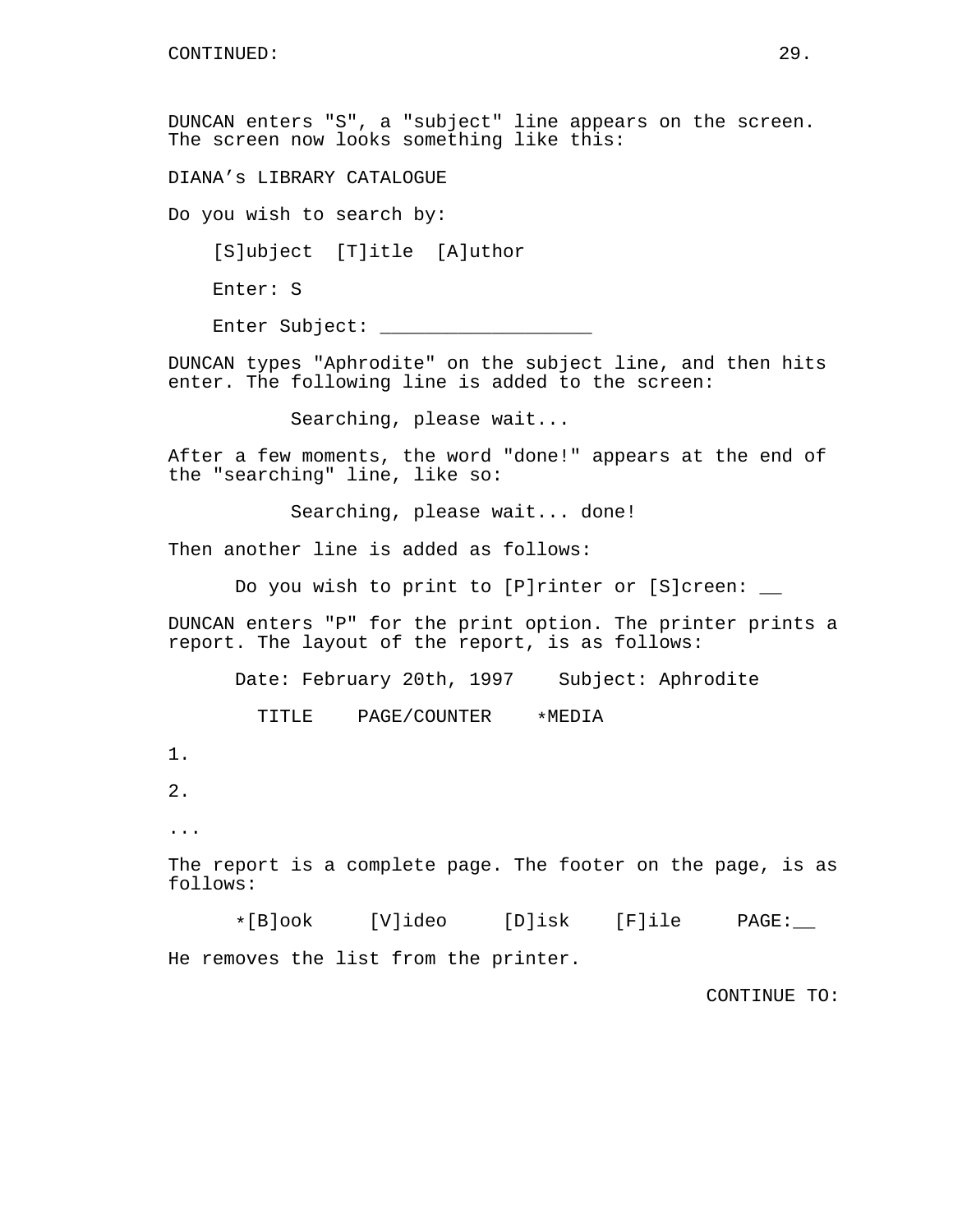DUNCAN enters "S", a "subject" line appears on the screen. The screen now looks something like this:

DIANA's LIBRARY CATALOGUE

Do you wish to search by:

[S]ubject [T]itle [A]uthor

Enter: S

Enter Subject: \_\_\_\_\_\_\_

DUNCAN types "Aphrodite" on the subject line, and then hits enter. The following line is added to the screen:

Searching, please wait...

After a few moments, the word "done!" appears at the end of the "searching" line, like so:

Searching, please wait... done!

Then another line is added as follows:

Do you wish to print to [P]rinter or [S]creen: \_\_

DUNCAN enters "P" for the print option. The printer prints a report. The layout of the report, is as follows:

Date: February 20th, 1997 Subject: Aphrodite

TITLE PAGE/COUNTER \*MEDIA

1.

2.

...

The report is a complete page. The footer on the page, is as follows:

\*[B]ook [V]ideo [D]isk [F]ile PAGE:\_\_ He removes the list from the printer.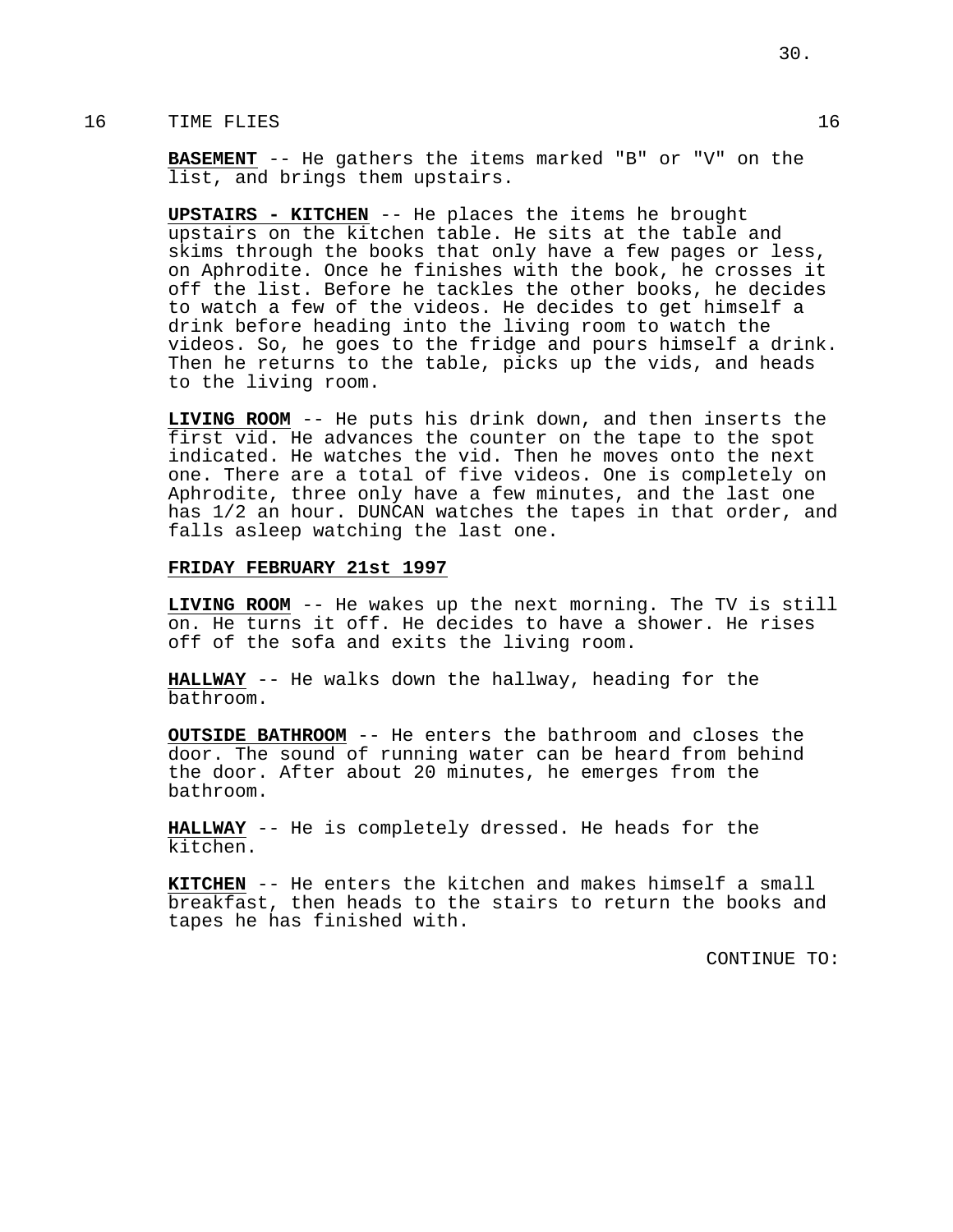# 16 TIME FLIES 2012 16

**BASEMENT** -- He gathers the items marked "B" or "V" on the list, and brings them upstairs.

**UPSTAIRS - KITCHEN** -- He places the items he brought upstairs on the kitchen table. He sits at the table and skims through the books that only have a few pages or less, on Aphrodite. Once he finishes with the book, he crosses it off the list. Before he tackles the other books, he decides to watch a few of the videos. He decides to get himself a drink before heading into the living room to watch the videos. So, he goes to the fridge and pours himself a drink. Then he returns to the table, picks up the vids, and heads to the living room.

**LIVING ROOM** -- He puts his drink down, and then inserts the first vid. He advances the counter on the tape to the spot indicated. He watches the vid. Then he moves onto the next one. There are a total of five videos. One is completely on Aphrodite, three only have a few minutes, and the last one has 1/2 an hour. DUNCAN watches the tapes in that order, and falls asleep watching the last one.

## **FRIDAY FEBRUARY 21st 1997**

**LIVING ROOM** -- He wakes up the next morning. The TV is still on. He turns it off. He decides to have a shower. He rises off of the sofa and exits the living room.

**HALLWAY** -- He walks down the hallway, heading for the bathroom.

**OUTSIDE BATHROOM** -- He enters the bathroom and closes the door. The sound of running water can be heard from behind the door. After about 20 minutes, he emerges from the bathroom.

**HALLWAY** -- He is completely dressed. He heads for the kitchen.

**KITCHEN** -- He enters the kitchen and makes himself a small breakfast, then heads to the stairs to return the books and tapes he has finished with.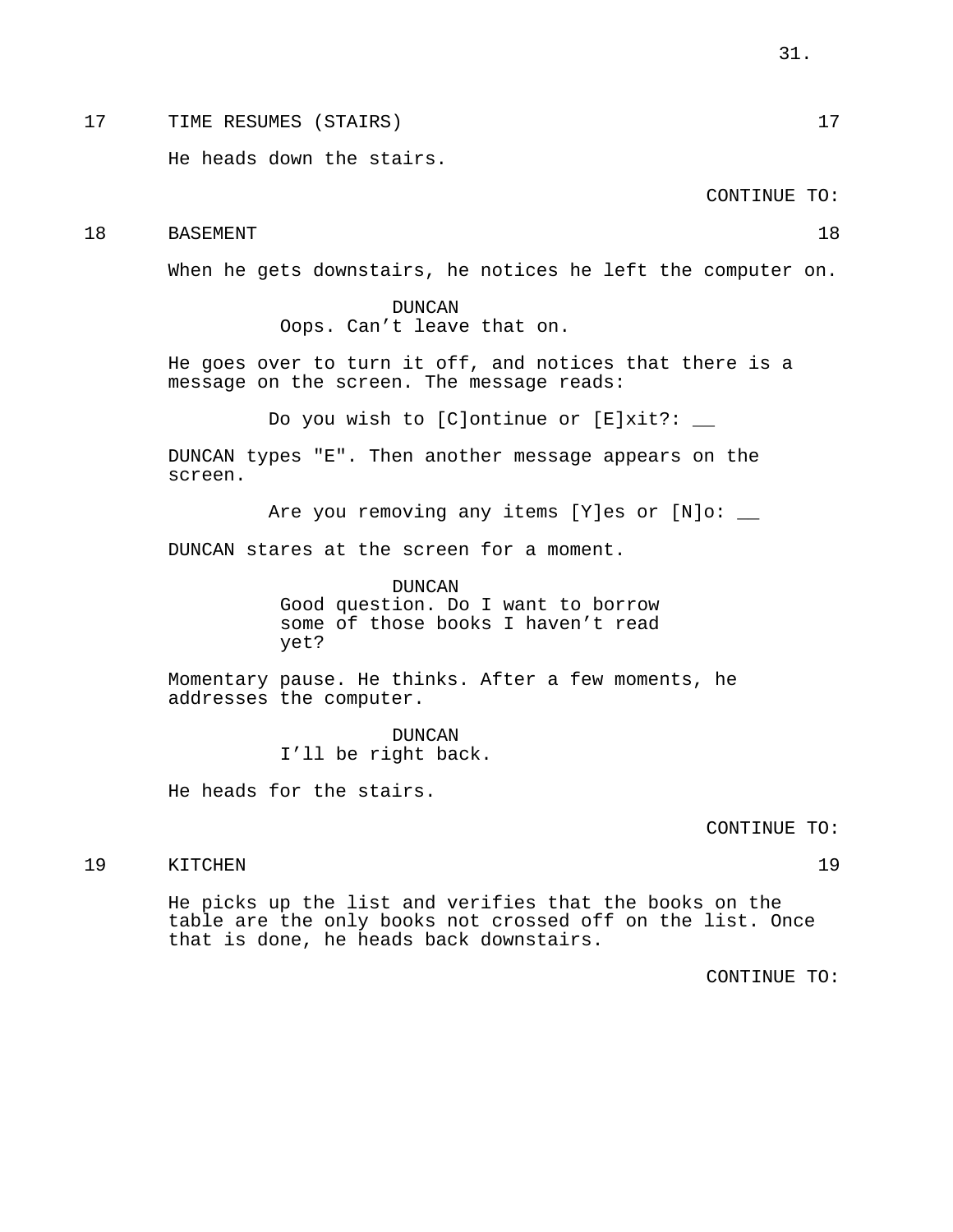17 TIME RESUMES (STAIRS) 17

He heads down the stairs.

CONTINUE TO:

18 BASEMENT 18

When he gets downstairs, he notices he left the computer on.

DUNCAN Oops. Can't leave that on.

He goes over to turn it off, and notices that there is a message on the screen. The message reads:

Do you wish to [C]ontinue or [E]xit?: \_\_

DUNCAN types "E". Then another message appears on the screen.

Are you removing any items [Y]es or [N]o: \_\_

DUNCAN stares at the screen for a moment.

DUNCAN Good question. Do I want to borrow some of those books I haven't read yet?

Momentary pause. He thinks. After a few moments, he addresses the computer.

> DUNCAN I'll be right back.

He heads for the stairs.

CONTINUE TO:

19 KITCHEN 19

He picks up the list and verifies that the books on the table are the only books not crossed off on the list. Once that is done, he heads back downstairs.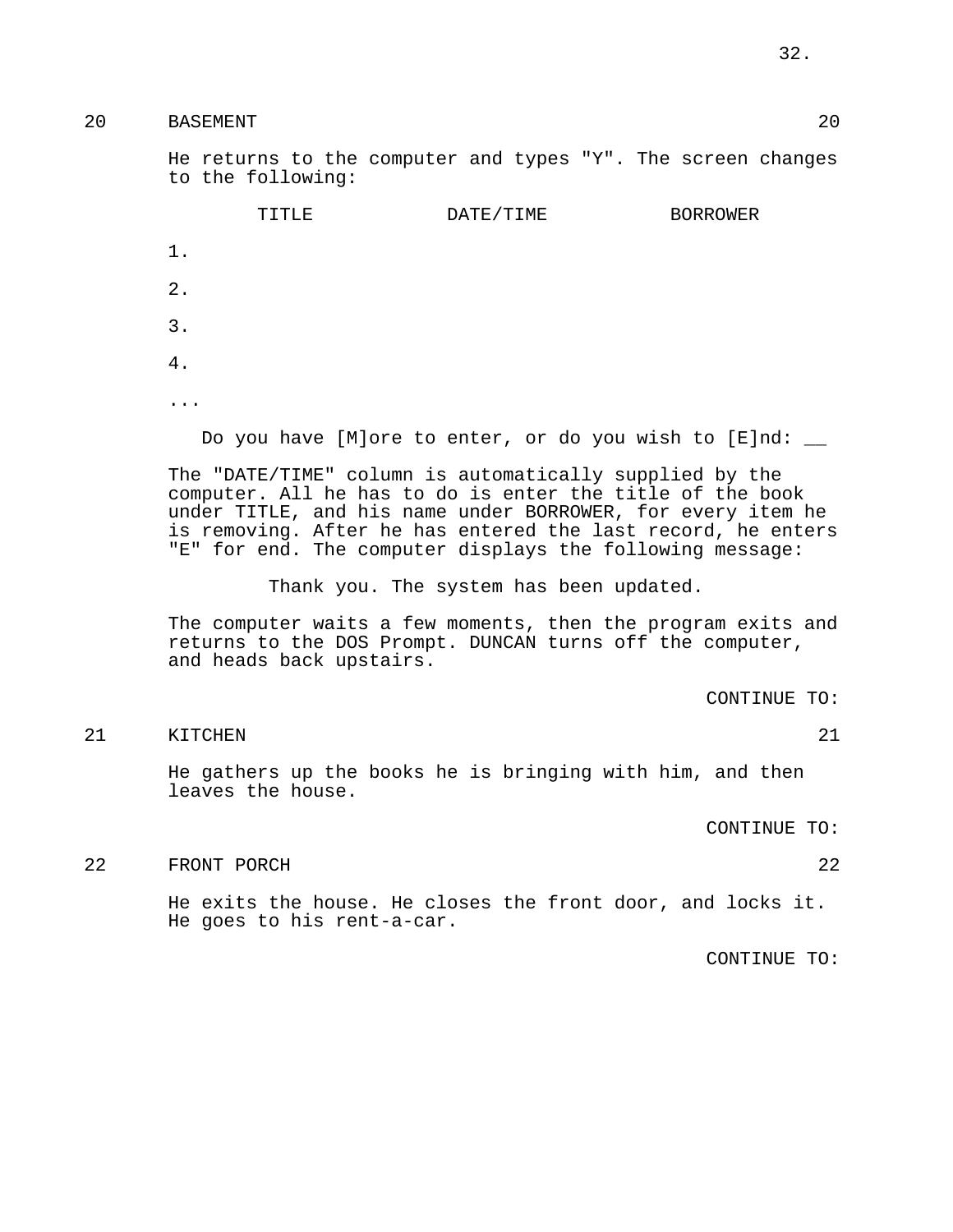20 BASEMENT 20

He returns to the computer and types "Y". The screen changes to the following:

|           | TITLE | DATE/TIME | <b>BORROWER</b> |
|-----------|-------|-----------|-----------------|
| $1$ .     |       |           |                 |
| $2$ .     |       |           |                 |
| 3.        |       |           |                 |
| 4.        |       |           |                 |
| $\ddotsc$ |       |           |                 |
|           |       |           | _____           |

Do you have [M]ore to enter, or do you wish to  $[E]nd:$ 

The "DATE/TIME" column is automatically supplied by the computer. All he has to do is enter the title of the book under TITLE, and his name under BORROWER, for every item he is removing. After he has entered the last record, he enters "E" for end. The computer displays the following message:

Thank you. The system has been updated.

The computer waits a few moments, then the program exits and returns to the DOS Prompt. DUNCAN turns off the computer, and heads back upstairs.

CONTINUE TO:

21 KITCHEN 21

He gathers up the books he is bringing with him, and then leaves the house.

CONTINUE TO:

22 FRONT PORCH 22

He exits the house. He closes the front door, and locks it. He goes to his rent-a-car.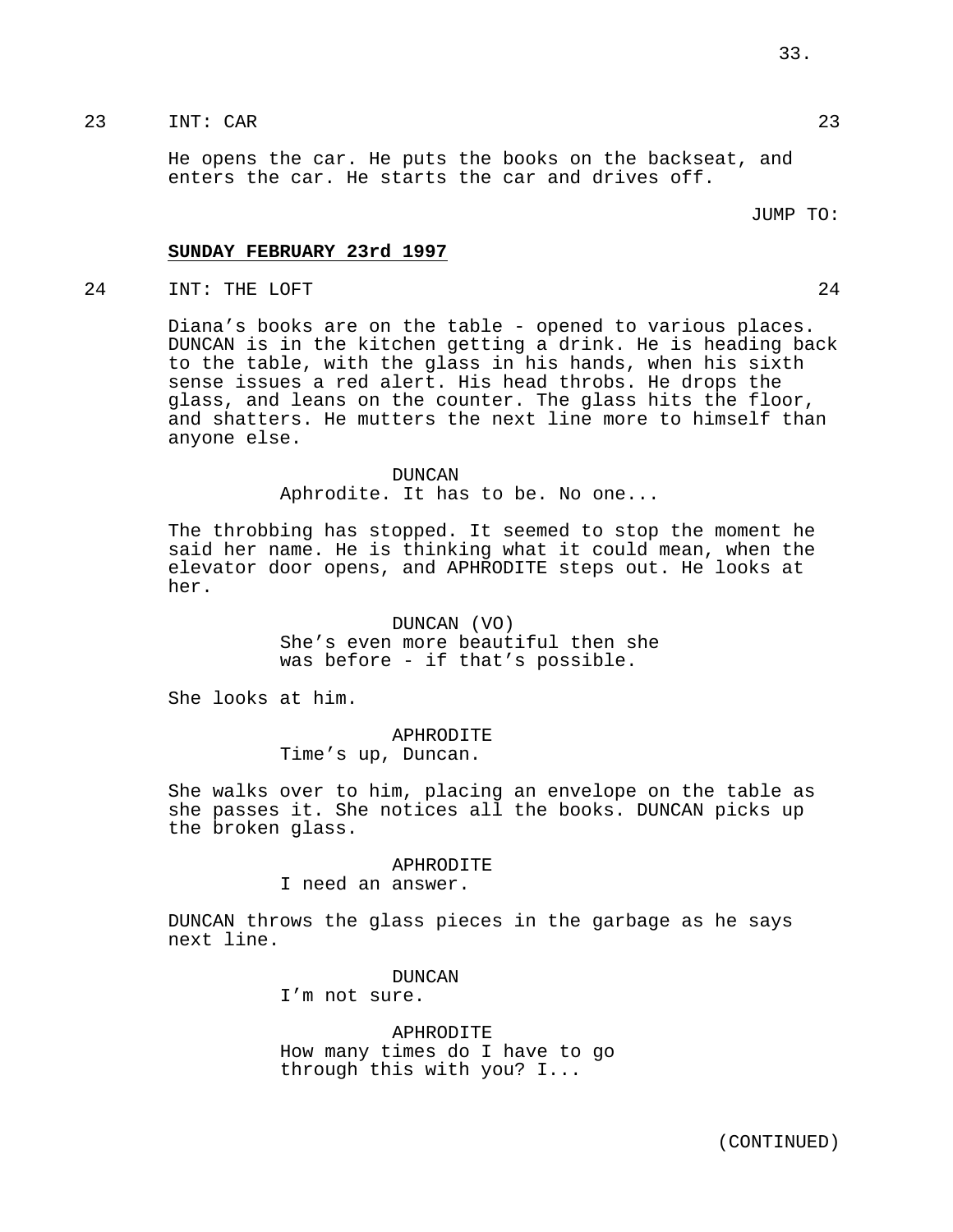# 23 INT: CAR 23

He opens the car. He puts the books on the backseat, and enters the car. He starts the car and drives off.

### JUMP TO:

## **SUNDAY FEBRUARY 23rd 1997**

24 INT: THE LOFT 24

Diana's books are on the table - opened to various places. DUNCAN is in the kitchen getting a drink. He is heading back to the table, with the glass in his hands, when his sixth sense issues a red alert. His head throbs. He drops the glass, and leans on the counter. The glass hits the floor, and shatters. He mutters the next line more to himself than anyone else.

#### DUNCAN

Aphrodite. It has to be. No one...

The throbbing has stopped. It seemed to stop the moment he said her name. He is thinking what it could mean, when the elevator door opens, and APHRODITE steps out. He looks at her.

# DUNCAN (VO)

She's even more beautiful then she was before - if that's possible.

She looks at him.

# APHRODITE

Time's up, Duncan.

She walks over to him, placing an envelope on the table as she passes it. She notices all the books. DUNCAN picks up the broken glass.

#### APHRODITE

I need an answer.

DUNCAN throws the glass pieces in the garbage as he says next line.

> DUNCAN I'm not sure.

APHRODITE How many times do I have to go through this with you? I...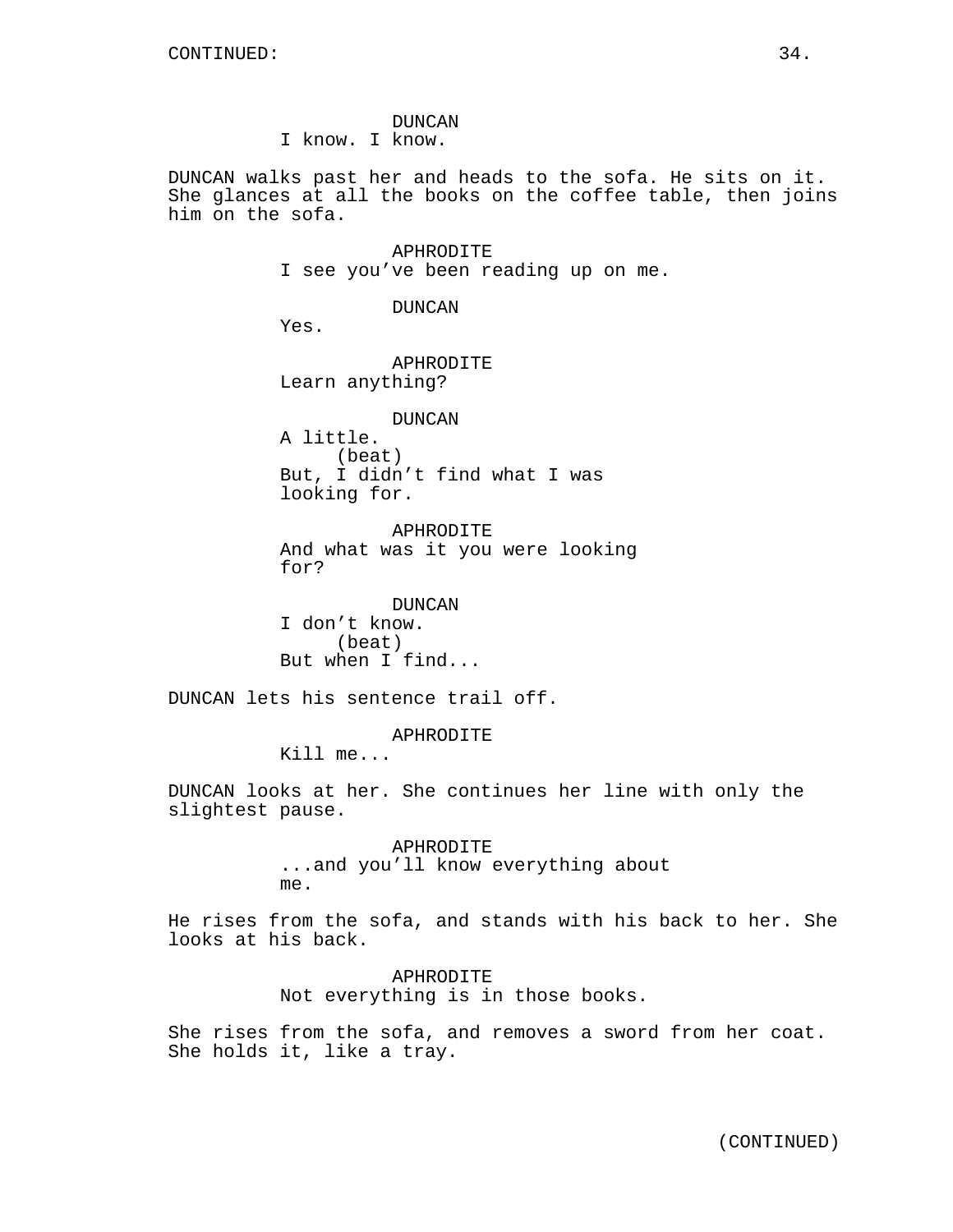DUNCAN I know. I know.

DUNCAN walks past her and heads to the sofa. He sits on it. She glances at all the books on the coffee table, then joins him on the sofa.

> APHRODITE I see you've been reading up on me.

> > DUNCAN

Yes.

APHRODITE Learn anything?

DUNCAN

A little. (beat) But, I didn't find what I was looking for.

APHRODITE And what was it you were looking for?

DUNCAN I don't know. (beat) But when I find...

DUNCAN lets his sentence trail off.

## APHRODITE

Kill me...

DUNCAN looks at her. She continues her line with only the slightest pause.

> APHRODITE ...and you'll know everything about me.

He rises from the sofa, and stands with his back to her. She looks at his back.

> APHRODITE Not everything is in those books.

She rises from the sofa, and removes a sword from her coat. She holds it, like a tray.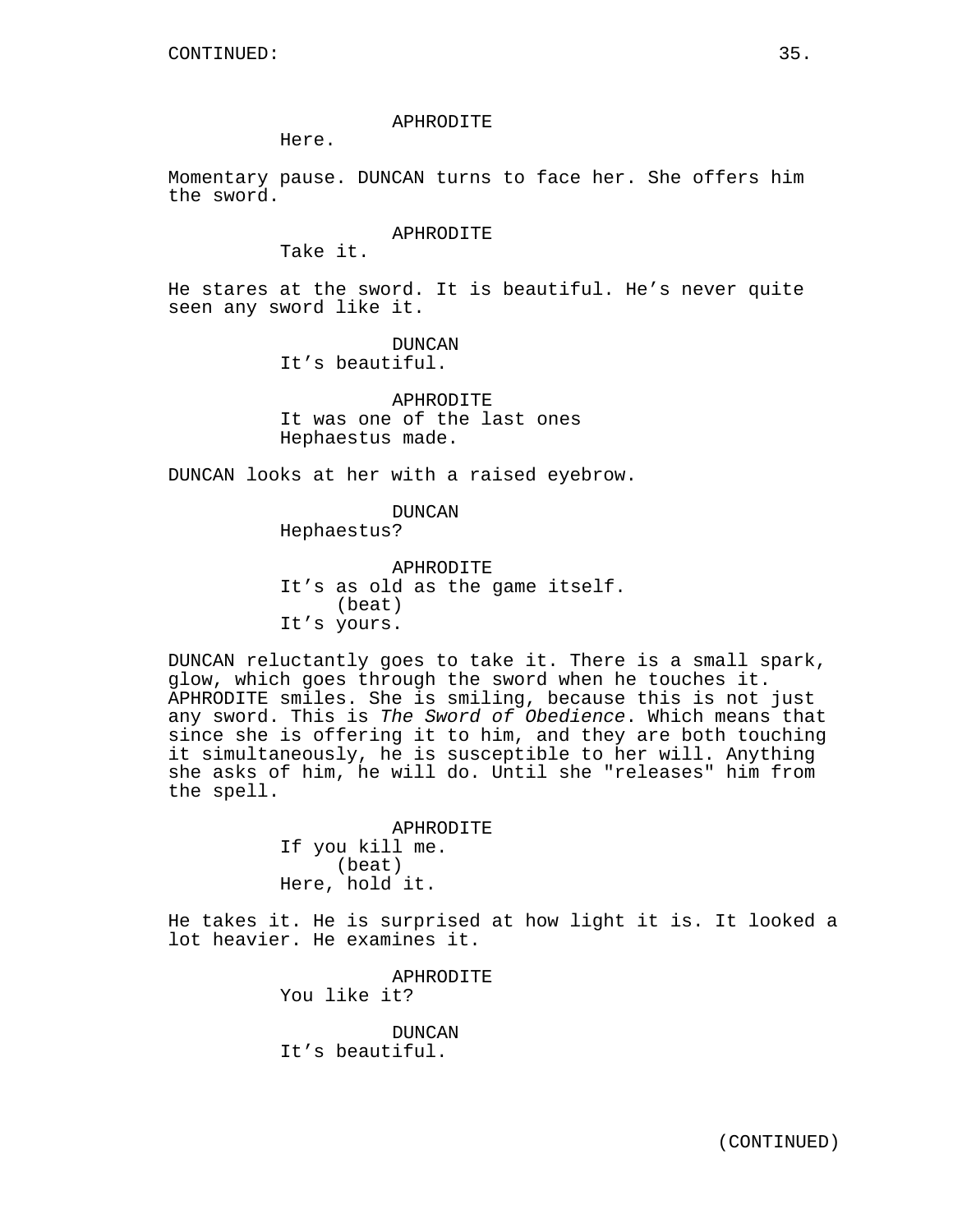## APHRODITE

Here.

Momentary pause. DUNCAN turns to face her. She offers him the sword.

#### APHRODITE

Take it.

He stares at the sword. It is beautiful. He's never quite seen any sword like it.

> DUNCAN It's beautiful.

APHRODITE It was one of the last ones Hephaestus made.

DUNCAN looks at her with a raised eyebrow.

DUNCAN Hephaestus?

APHRODITE It's as old as the game itself. (beat) It's yours.

DUNCAN reluctantly goes to take it. There is a small spark, glow, which goes through the sword when he touches it. APHRODITE smiles. She is smiling, because this is not just any sword. This is The Sword of Obedience. Which means that since she is offering it to him, and they are both touching it simultaneously, he is susceptible to her will. Anything she asks of him, he will do. Until she "releases" him from the spell.

> APHRODITE If you kill me. (beat) Here, hold it.

He takes it. He is surprised at how light it is. It looked a lot heavier. He examines it.

> APHRODITE You like it?

DUNCAN It's beautiful.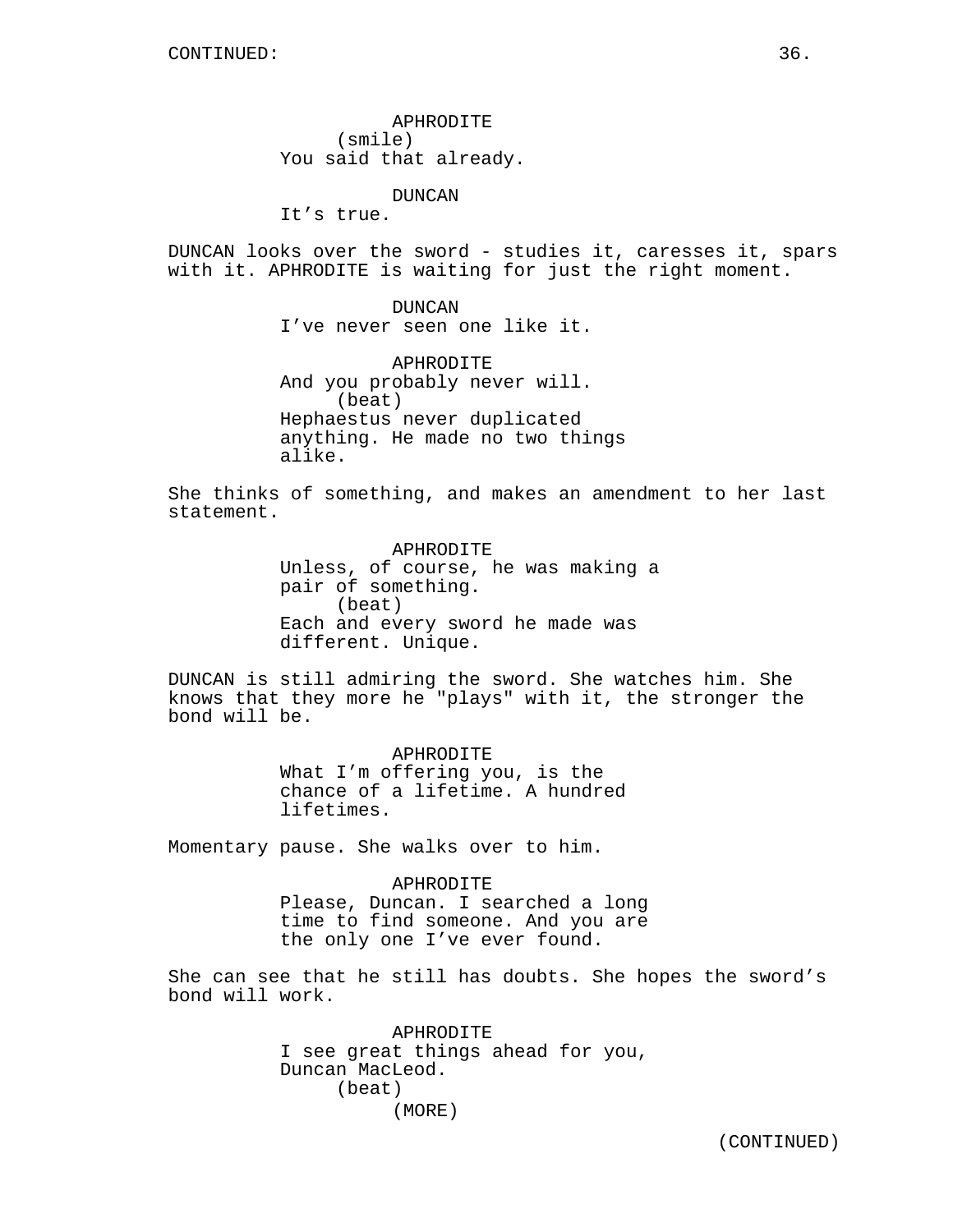APHRODITE (smile) You said that already.

DUNCAN

It's true.

DUNCAN looks over the sword - studies it, caresses it, spars with it. APHRODITE is waiting for just the right moment.

> DUNCAN I've never seen one like it.

APHRODITE And you probably never will. (beat) Hephaestus never duplicated anything. He made no two things alike.

She thinks of something, and makes an amendment to her last statement.

> APHRODITE Unless, of course, he was making a pair of something. (beat) Each and every sword he made was different. Unique.

DUNCAN is still admiring the sword. She watches him. She knows that they more he "plays" with it, the stronger the bond will be.

> APHRODITE What I'm offering you, is the chance of a lifetime. A hundred lifetimes.

Momentary pause. She walks over to him.

APHRODITE Please, Duncan. I searched a long time to find someone. And you are the only one I've ever found.

She can see that he still has doubts. She hopes the sword's bond will work.

> APHRODITE I see great things ahead for you, Duncan MacLeod. (beat) (MORE)

(CONTINUED)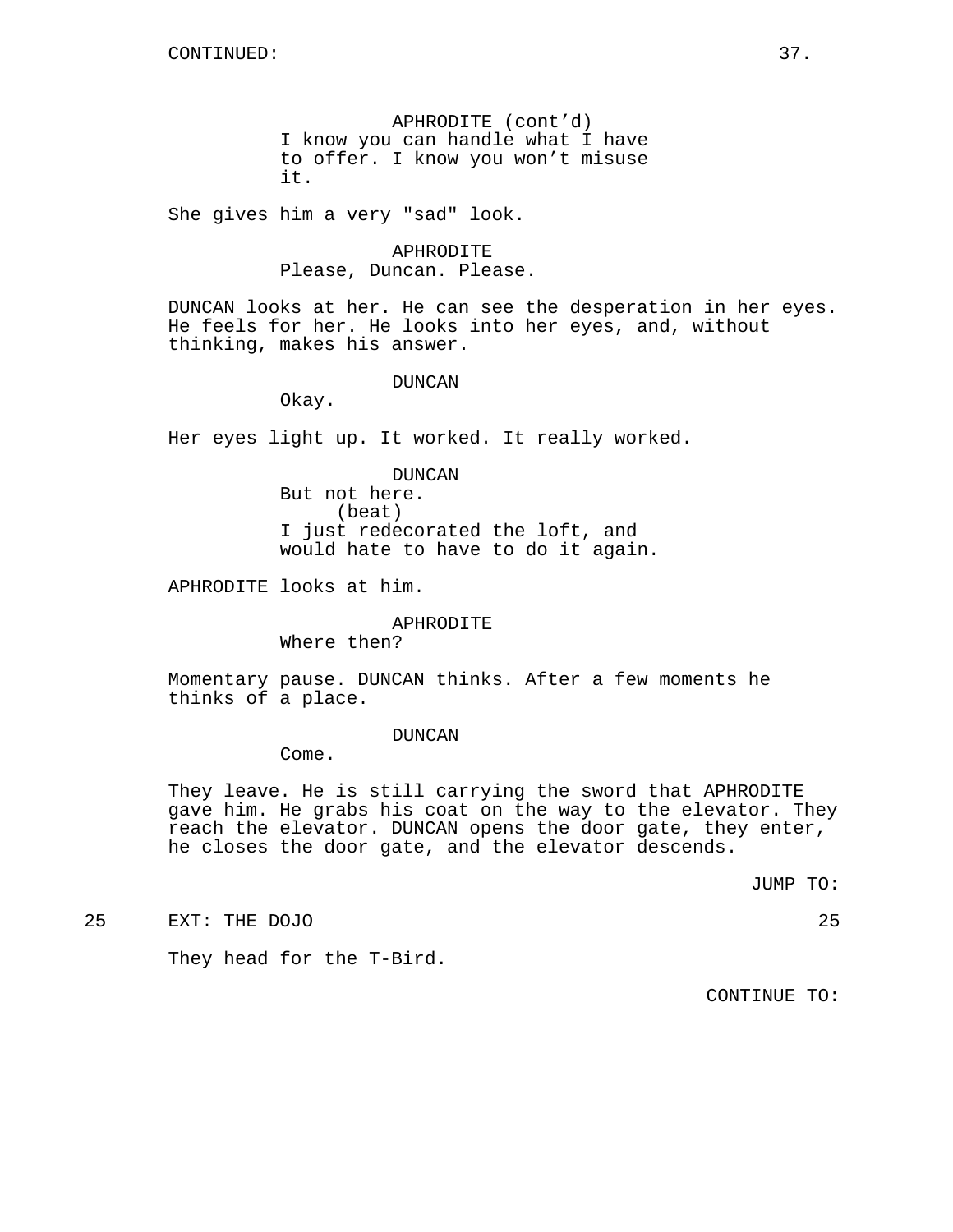APHRODITE (cont'd) I know you can handle what I have to offer. I know you won't misuse it.

She gives him a very "sad" look.

APHRODITE Please, Duncan. Please.

DUNCAN looks at her. He can see the desperation in her eyes. He feels for her. He looks into her eyes, and, without thinking, makes his answer.

#### DUNCAN

Okay.

Her eyes light up. It worked. It really worked.

DUNCAN But not here. (beat) I just redecorated the loft, and would hate to have to do it again.

APHRODITE looks at him.

## APHRODITE

Where then?

Momentary pause. DUNCAN thinks. After a few moments he thinks of a place.

#### DUNCAN

Come.

They leave. He is still carrying the sword that APHRODITE gave him. He grabs his coat on the way to the elevator. They reach the elevator. DUNCAN opens the door gate, they enter, he closes the door gate, and the elevator descends.

JUMP TO:

25 EXT: THE DOJO 25

They head for the T-Bird.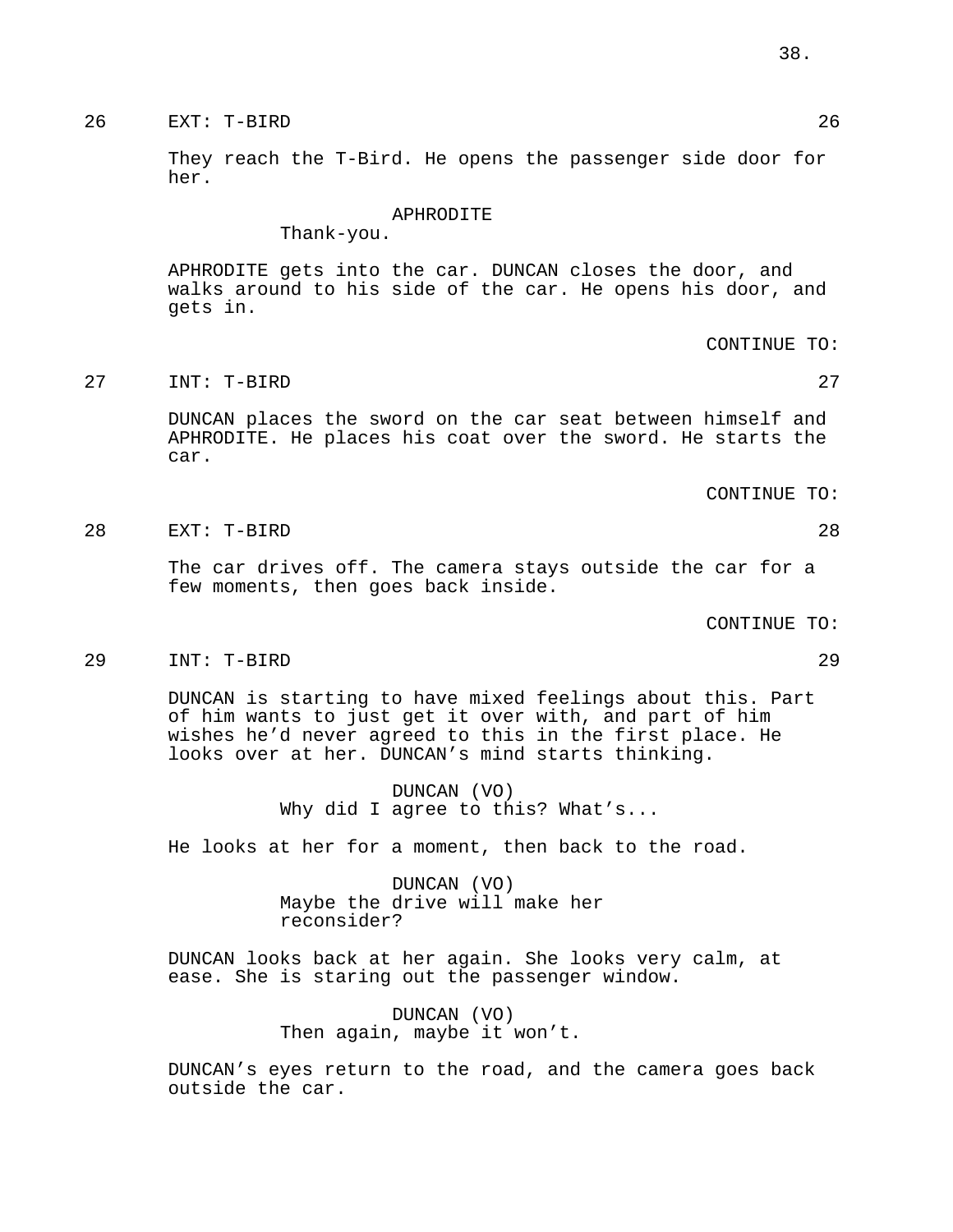# 26 EXT: T-BIRD 26

They reach the T-Bird. He opens the passenger side door for her.

#### APHRODITE

Thank-you.

APHRODITE gets into the car. DUNCAN closes the door, and walks around to his side of the car. He opens his door, and gets in.

CONTINUE TO:

27 INT: T-BIRD 27

DUNCAN places the sword on the car seat between himself and APHRODITE. He places his coat over the sword. He starts the car.

CONTINUE TO:

28 EXT: T-BIRD 28

The car drives off. The camera stays outside the car for a few moments, then goes back inside.

CONTINUE TO:

29 INT: T-BIRD 29

DUNCAN is starting to have mixed feelings about this. Part of him wants to just get it over with, and part of him wishes he'd never agreed to this in the first place. He looks over at her. DUNCAN's mind starts thinking.

> DUNCAN (VO) Why did I agree to this? What's...

He looks at her for a moment, then back to the road.

DUNCAN (VO) Maybe the drive will make her reconsider?

DUNCAN looks back at her again. She looks very calm, at ease. She is staring out the passenger window.

> DUNCAN (VO) Then again, maybe it won't.

DUNCAN's eyes return to the road, and the camera goes back outside the car.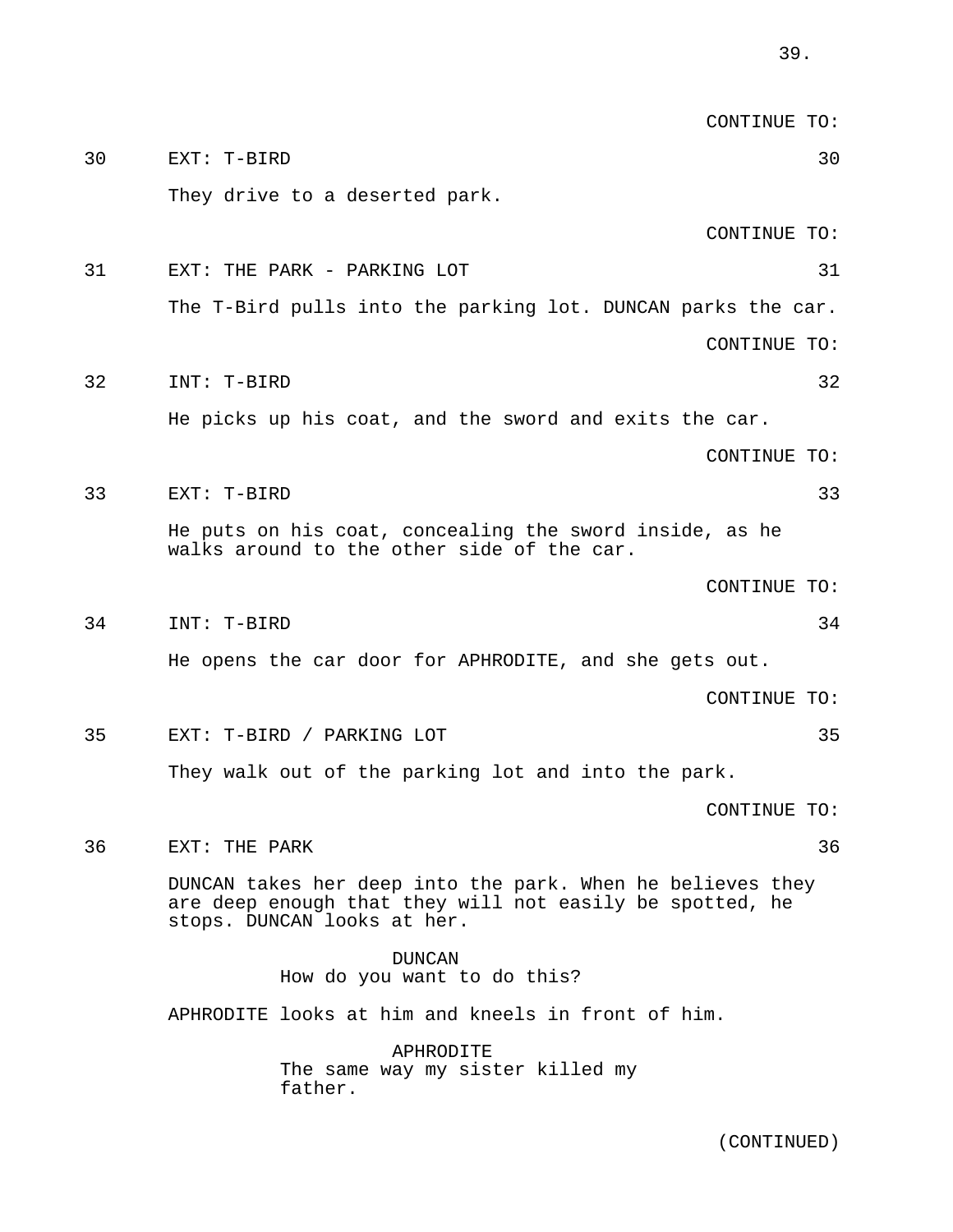CONTINUE TO: 30 EXT: T-BIRD 30 They drive to a deserted park. CONTINUE TO: 31 EXT: THE PARK - PARKING LOT 31 The T-Bird pulls into the parking lot. DUNCAN parks the car. CONTINUE TO: 32 INT: T-BIRD 32 He picks up his coat, and the sword and exits the car. CONTINUE TO: 33 EXT: T-BIRD 33 He puts on his coat, concealing the sword inside, as he walks around to the other side of the car. CONTINUE TO: 34 INT: T-BIRD 34 He opens the car door for APHRODITE, and she gets out. CONTINUE TO: 35 EXT: T-BIRD / PARKING LOT 35 They walk out of the parking lot and into the park. CONTINUE TO:

36 EXT: THE PARK 36

DUNCAN takes her deep into the park. When he believes they are deep enough that they will not easily be spotted, he stops. DUNCAN looks at her.

DUNCAN How do you want to do this? APHRODITE looks at him and kneels in front of him. APHRODITE

The same way my sister killed my father.

(CONTINUED)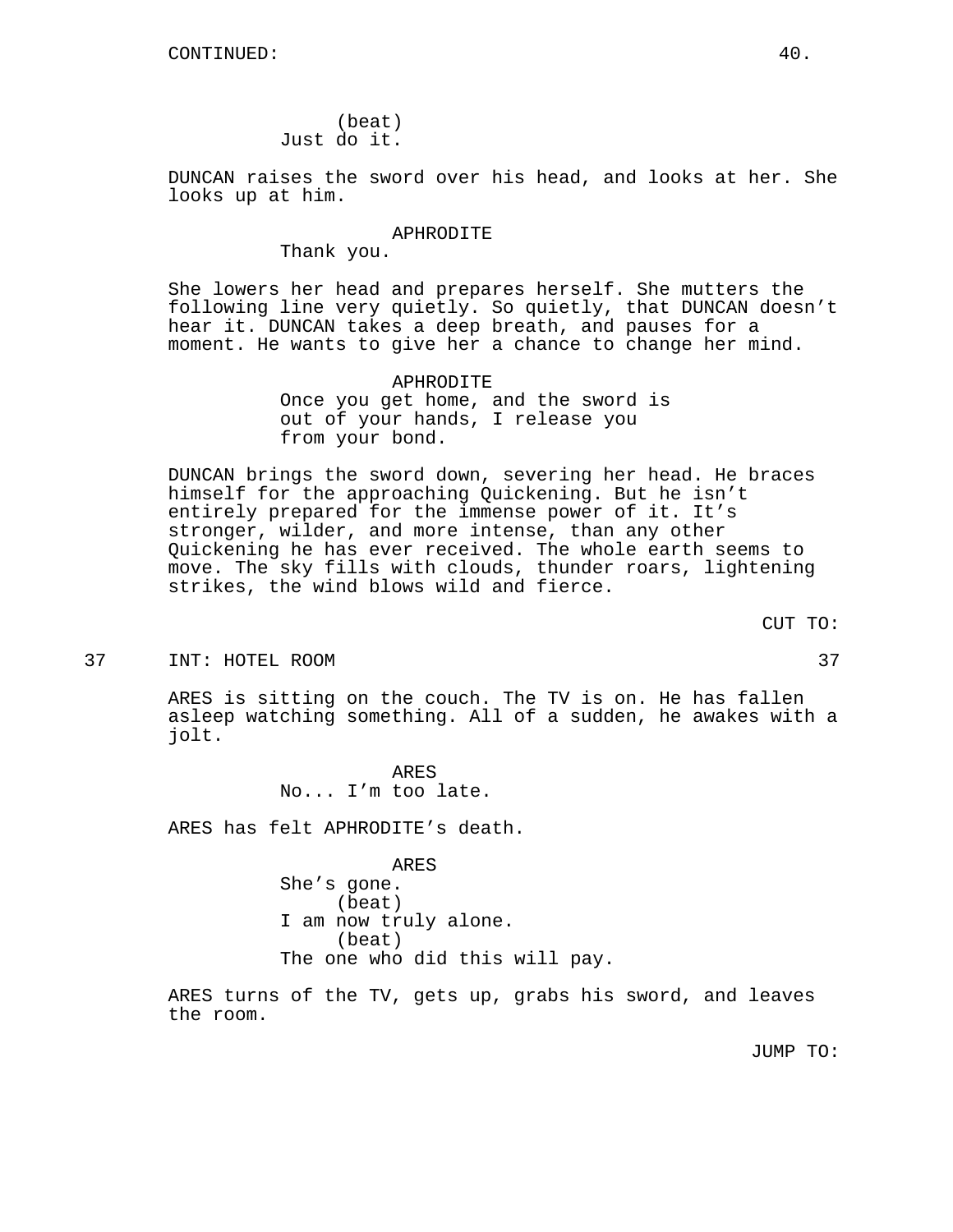(beat) Just do it.

DUNCAN raises the sword over his head, and looks at her. She looks up at him.

#### APHRODITE

Thank you.

She lowers her head and prepares herself. She mutters the following line very quietly. So quietly, that DUNCAN doesn't hear it. DUNCAN takes a deep breath, and pauses for a moment. He wants to give her a chance to change her mind.

> APHRODITE Once you get home, and the sword is out of your hands, I release you from your bond.

DUNCAN brings the sword down, severing her head. He braces himself for the approaching Quickening. But he isn't entirely prepared for the immense power of it. It's stronger, wilder, and more intense, than any other Quickening he has ever received. The whole earth seems to move. The sky fills with clouds, thunder roars, lightening strikes, the wind blows wild and fierce.

37 INT: HOTEL ROOM 37

ARES is sitting on the couch. The TV is on. He has fallen asleep watching something. All of a sudden, he awakes with a jolt.

> ARES No... I'm too late.

ARES has felt APHRODITE's death.

ARES She's gone. (beat) I am now truly alone. (beat) The one who did this will pay.

ARES turns of the TV, gets up, grabs his sword, and leaves the room.

JUMP TO:

CUT TO: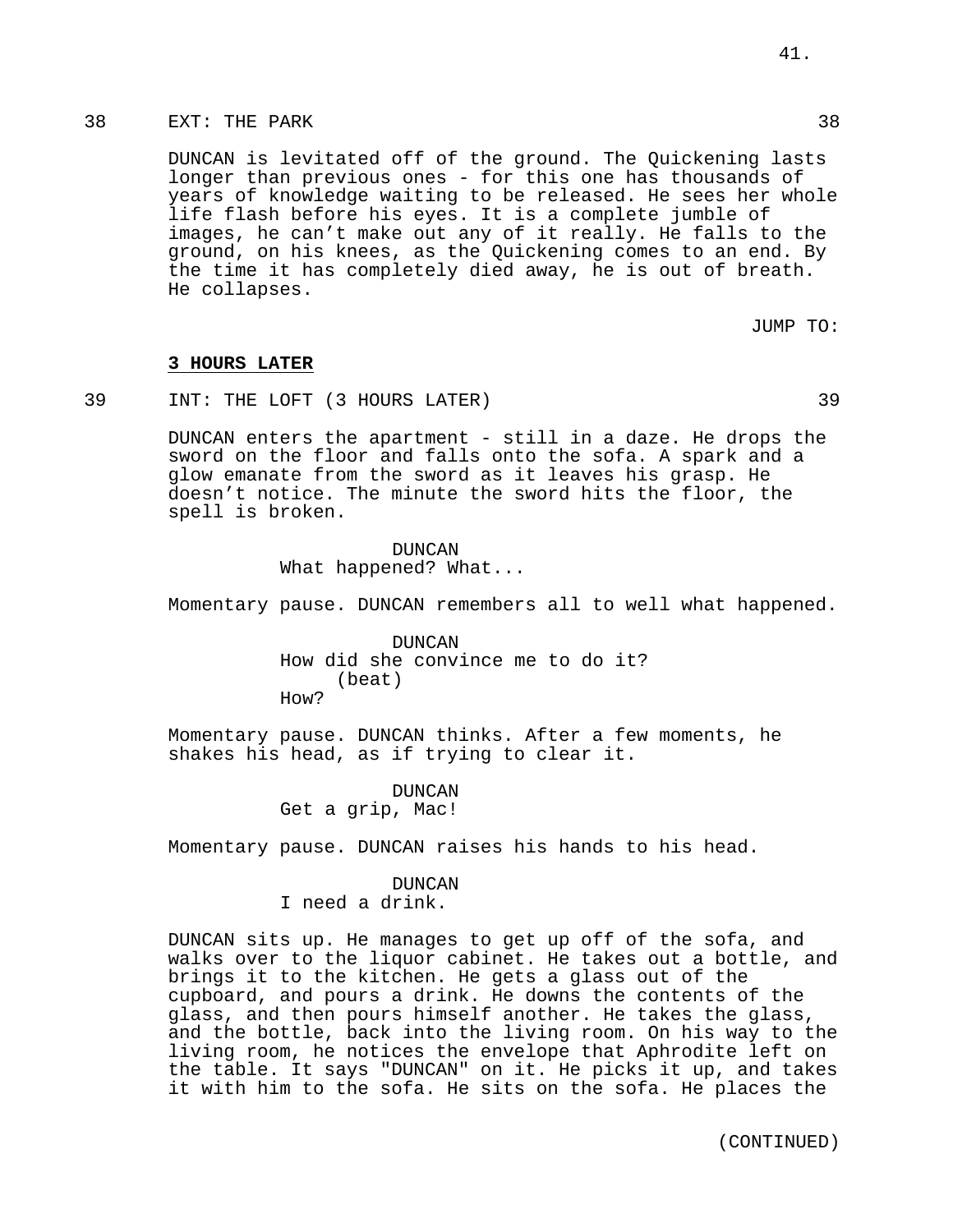DUNCAN is levitated off of the ground. The Quickening lasts longer than previous ones - for this one has thousands of years of knowledge waiting to be released. He sees her whole life flash before his eyes. It is a complete jumble of images, he can't make out any of it really. He falls to the ground, on his knees, as the Quickening comes to an end. By the time it has completely died away, he is out of breath. He collapses.

JUMP TO:

#### **3 HOURS LATER**

39 INT: THE LOFT (3 HOURS LATER) 39

DUNCAN enters the apartment - still in a daze. He drops the sword on the floor and falls onto the sofa. A spark and a glow emanate from the sword as it leaves his grasp. He doesn't notice. The minute the sword hits the floor, the spell is broken.

> DUNCAN What happened? What...

Momentary pause. DUNCAN remembers all to well what happened.

DUNCAN How did she convince me to do it? (beat) How?

Momentary pause. DUNCAN thinks. After a few moments, he shakes his head, as if trying to clear it.

> DUNCAN Get a grip, Mac!

Momentary pause. DUNCAN raises his hands to his head.

## DUNCAN

I need a drink.

DUNCAN sits up. He manages to get up off of the sofa, and walks over to the liquor cabinet. He takes out a bottle, and brings it to the kitchen. He gets a glass out of the cupboard, and pours a drink. He downs the contents of the glass, and then pours himself another. He takes the glass, and the bottle, back into the living room. On his way to the living room, he notices the envelope that Aphrodite left on the table. It says "DUNCAN" on it. He picks it up, and takes it with him to the sofa. He sits on the sofa. He places the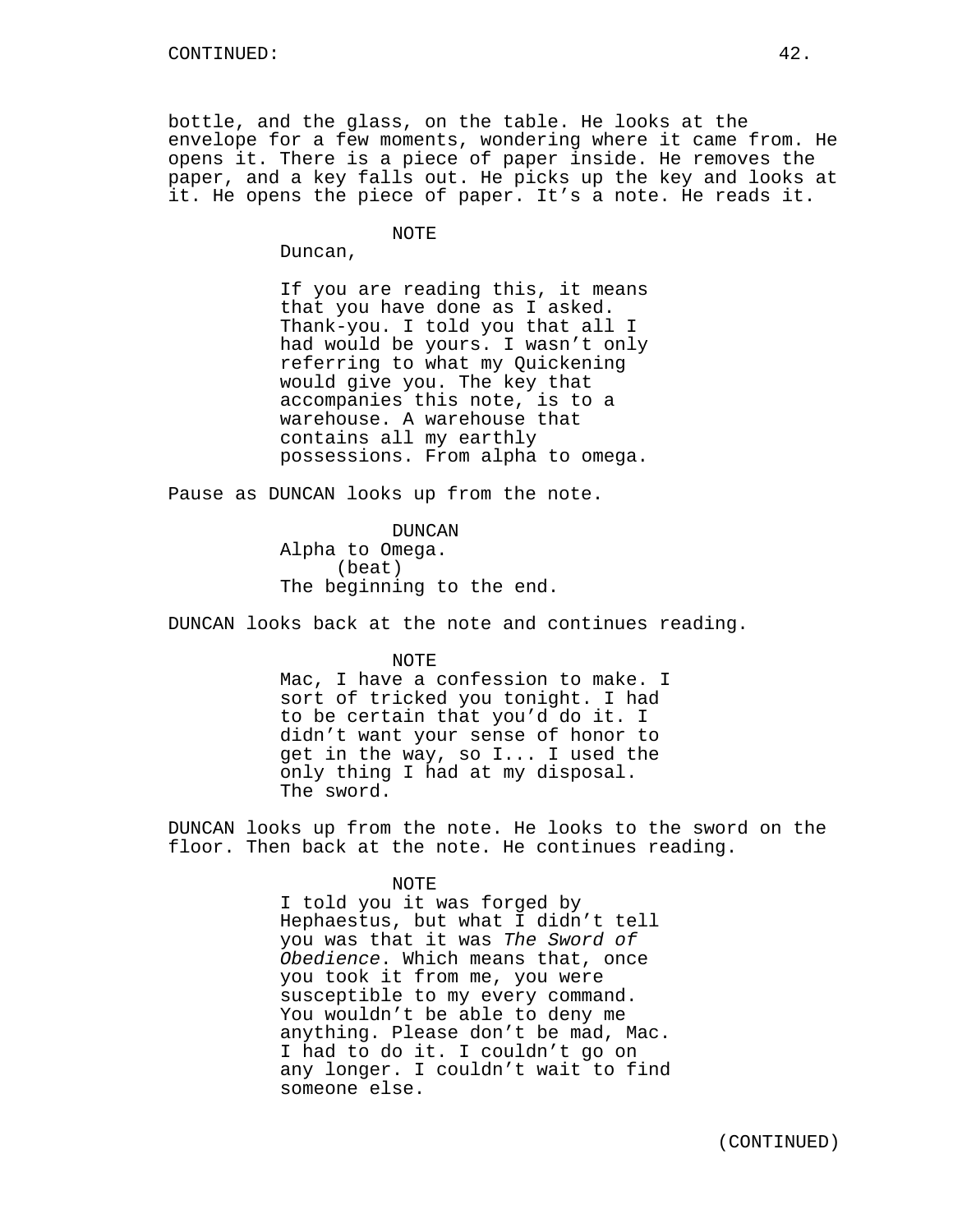bottle, and the glass, on the table. He looks at the envelope for a few moments, wondering where it came from. He opens it. There is a piece of paper inside. He removes the paper, and a key falls out. He picks up the key and looks at it. He opens the piece of paper. It's a note. He reads it.

NOTE

Duncan,

If you are reading this, it means that you have done as I asked. Thank-you. I told you that all I had would be yours. I wasn't only referring to what my Quickening would give you. The key that accompanies this note, is to a warehouse. A warehouse that contains all my earthly possessions. From alpha to omega.

Pause as DUNCAN looks up from the note.

DUNCAN Alpha to Omega. (beat) The beginning to the end.

DUNCAN looks back at the note and continues reading.

NOTE

Mac, I have a confession to make. I sort of tricked you tonight. I had to be certain that you'd do it. I didn't want your sense of honor to get in the way, so I... I used the only thing I had at my disposal. The sword.

DUNCAN looks up from the note. He looks to the sword on the floor. Then back at the note. He continues reading.

NOTE

I told you it was forged by Hephaestus, but what I didn't tell you was that it was The Sword of Obedience. Which means that, once you took it from me, you were susceptible to my every command. You wouldn't be able to deny me anything. Please don't be mad, Mac. I had to do it. I couldn't go on any longer. I couldn't wait to find someone else.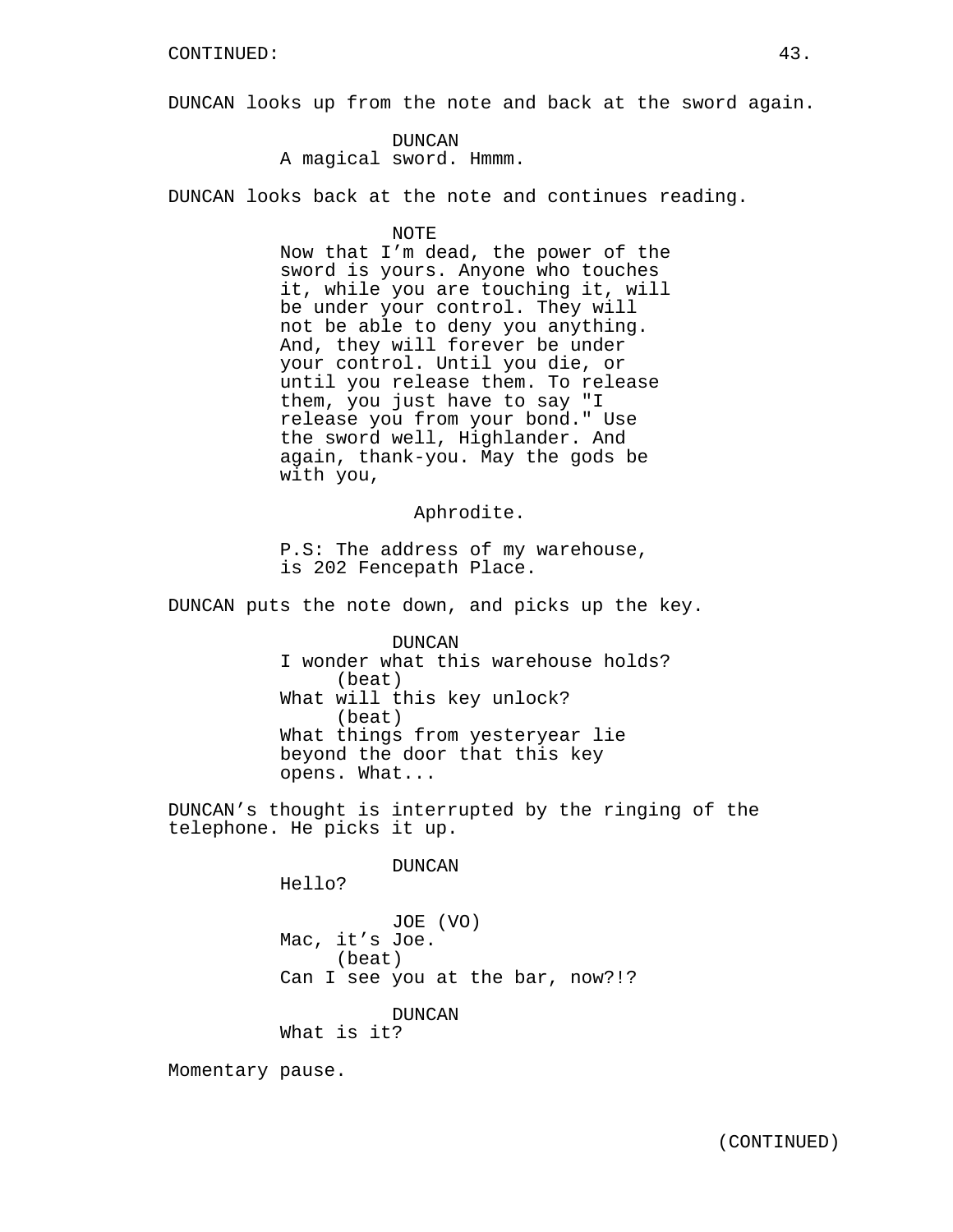DUNCAN looks up from the note and back at the sword again.

DUNCAN A magical sword. Hmmm.

DUNCAN looks back at the note and continues reading.

NOTE

Now that I'm dead, the power of the sword is yours. Anyone who touches it, while you are touching it, will be under your control. They will not be able to deny you anything. And, they will forever be under your control. Until you die, or until you release them. To release them, you just have to say "I release you from your bond." Use the sword well, Highlander. And again, thank-you. May the gods be with you,

Aphrodite.

P.S: The address of my warehouse, is 202 Fencepath Place.

DUNCAN puts the note down, and picks up the key.

DUNCAN I wonder what this warehouse holds? (beat) What will this key unlock? (beat) What things from yesteryear lie beyond the door that this key opens. What...

DUNCAN's thought is interrupted by the ringing of the telephone. He picks it up.

DUNCAN

Hello?

JOE (VO) Mac, it's Joe. (beat) Can I see you at the bar, now?!?

DUNCAN

What is it?

Momentary pause.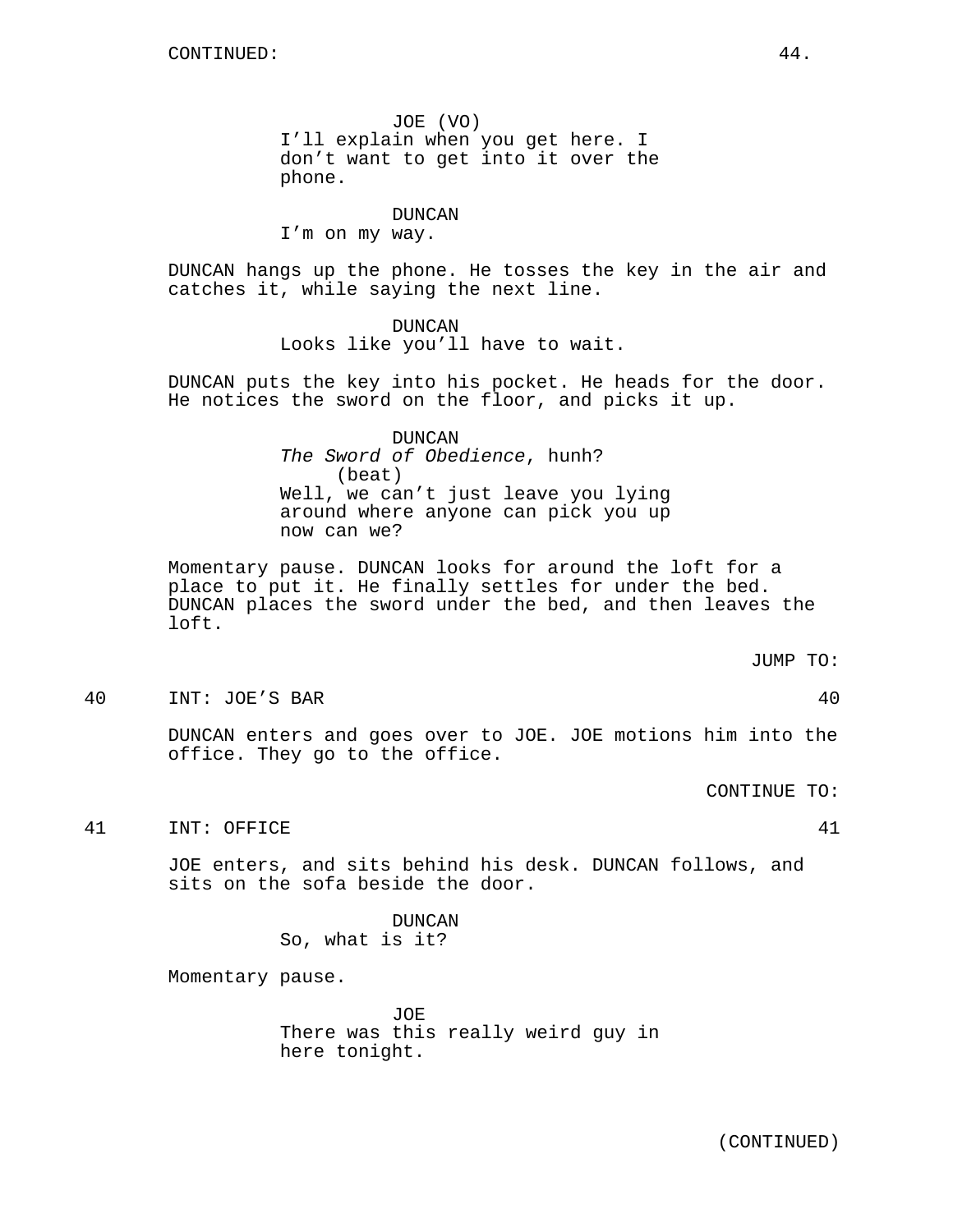JOE (VO) I'll explain when you get here. I don't want to get into it over the phone.

DUNCAN

I'm on my way.

DUNCAN hangs up the phone. He tosses the key in the air and catches it, while saying the next line.

> DUNCAN Looks like you'll have to wait.

DUNCAN puts the key into his pocket. He heads for the door. He notices the sword on the floor, and picks it up.

> DUNCAN The Sword of Obedience, hunh? (beat) Well, we can't just leave you lying around where anyone can pick you up now can we?

Momentary pause. DUNCAN looks for around the loft for a place to put it. He finally settles for under the bed. DUNCAN places the sword under the bed, and then leaves the loft.

JUMP TO:

40 INT: JOE'S BAR 40

DUNCAN enters and goes over to JOE. JOE motions him into the office. They go to the office.

CONTINUE TO:

41 INT: OFFICE 41

JOE enters, and sits behind his desk. DUNCAN follows, and sits on the sofa beside the door.

> DUNCAN So, what is it?

Momentary pause.

JOE There was this really weird guy in here tonight.

(CONTINUED)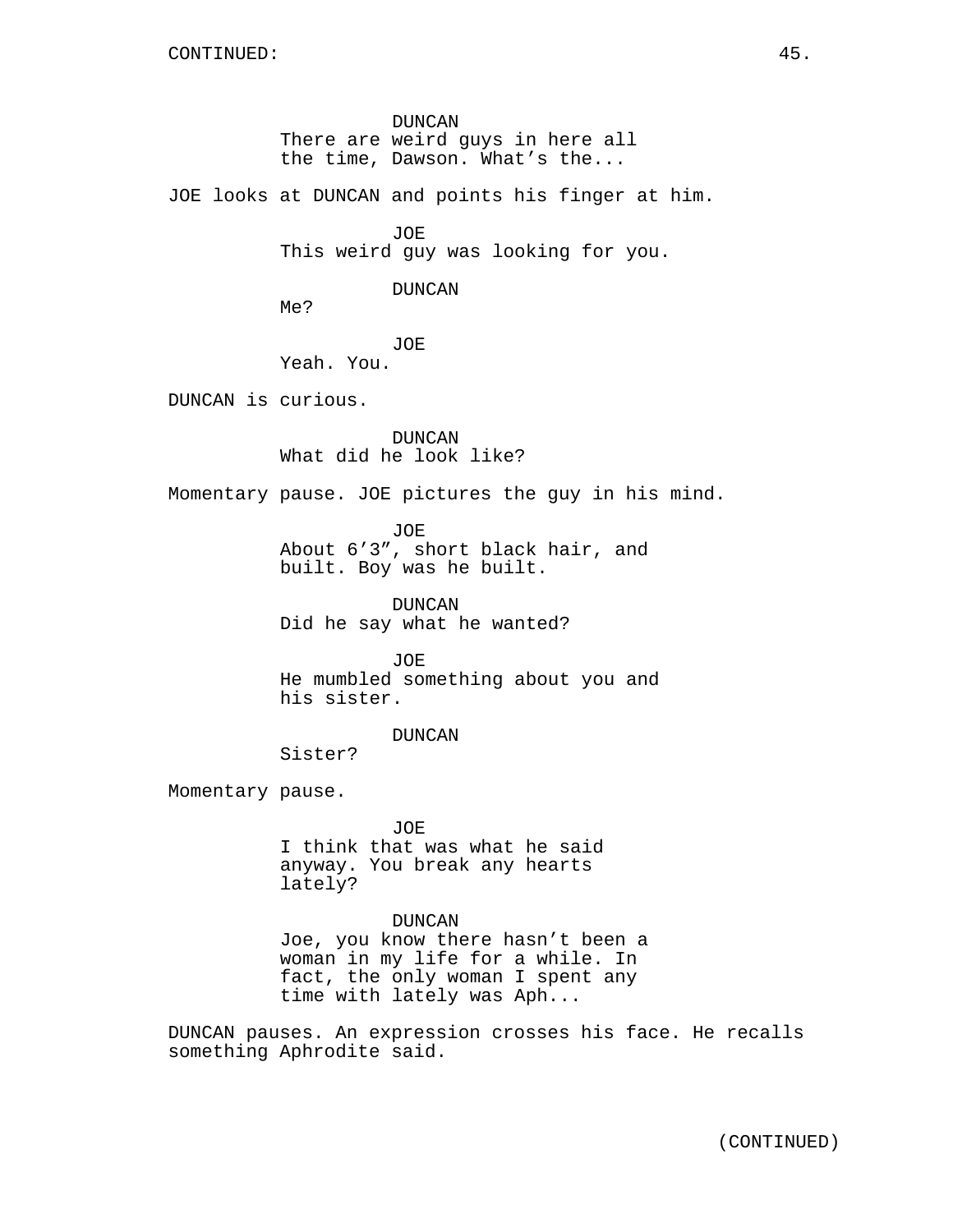DUNCAN There are weird guys in here all the time, Dawson. What's the...

JOE looks at DUNCAN and points his finger at him.

JOE This weird guy was looking for you.

DUNCAN

Me?

JOE Yeah. You.

DUNCAN is curious.

DUNCAN What did he look like?

Momentary pause. JOE pictures the guy in his mind.

JOE About 6'3", short black hair, and built. Boy was he built.

DUNCAN Did he say what he wanted?

JOE He mumbled something about you and his sister.

DUNCAN

Sister?

Momentary pause.

JOE

I think that was what he said anyway. You break any hearts lately?

DUNCAN

Joe, you know there hasn't been a woman in my life for a while. In fact, the only woman I spent any time with lately was Aph...

DUNCAN pauses. An expression crosses his face. He recalls something Aphrodite said.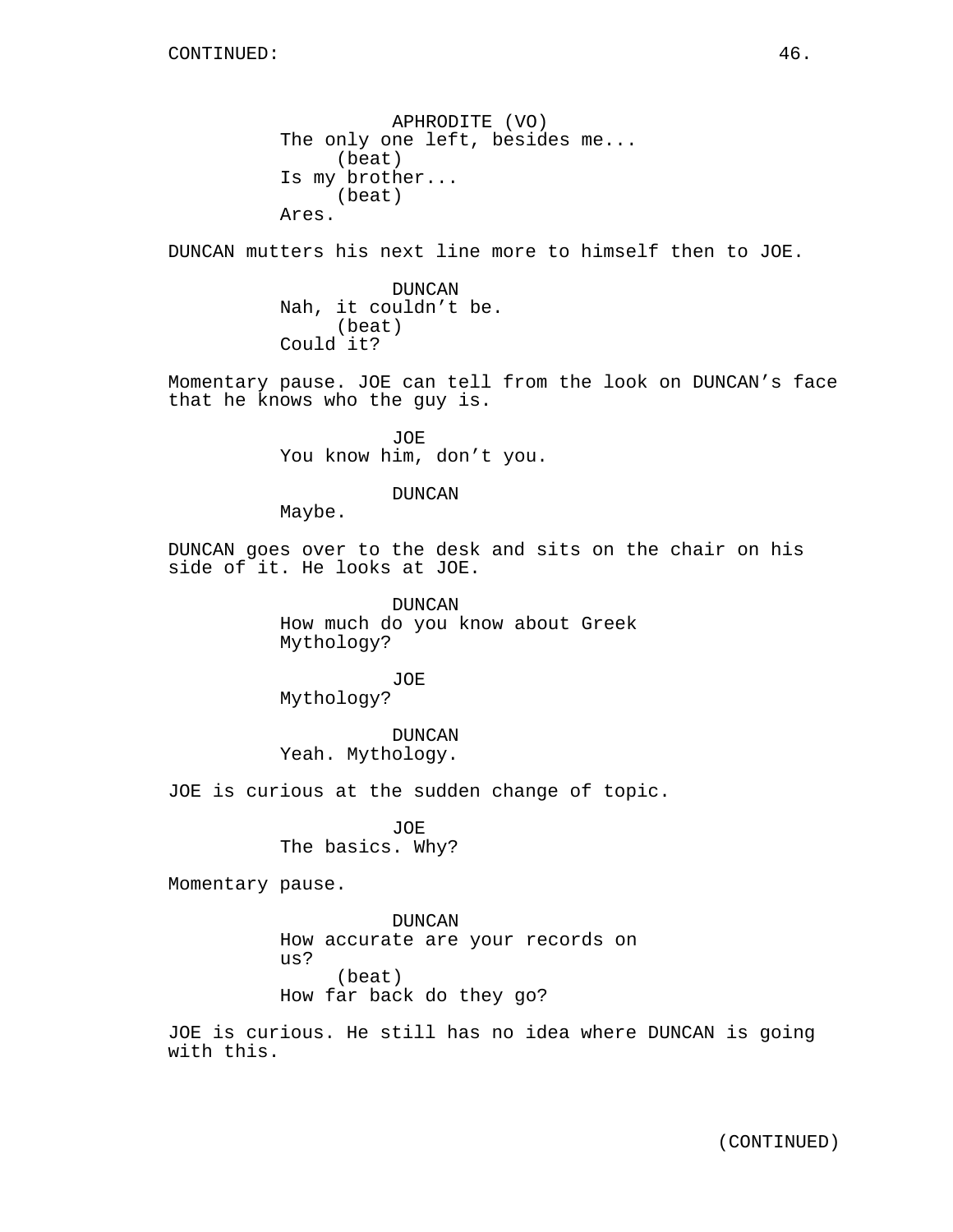APHRODITE (VO) The only one left, besides me... (beat) Is my brother... (beat) Ares.

DUNCAN mutters his next line more to himself then to JOE.

DUNCAN Nah, it couldn't be. (beat) Could it?

Momentary pause. JOE can tell from the look on DUNCAN's face that he knows who the guy is.

> JOE You know him, don't you.

> > DUNCAN

Maybe.

DUNCAN goes over to the desk and sits on the chair on his side of it. He looks at JOE.

> DUNCAN How much do you know about Greek Mythology?

JOE Mythology?

DUNCAN Yeah. Mythology.

JOE is curious at the sudden change of topic.

JOE The basics. Why?

Momentary pause.

DUNCAN How accurate are your records on us? (beat) How far back do they go?

JOE is curious. He still has no idea where DUNCAN is going with this.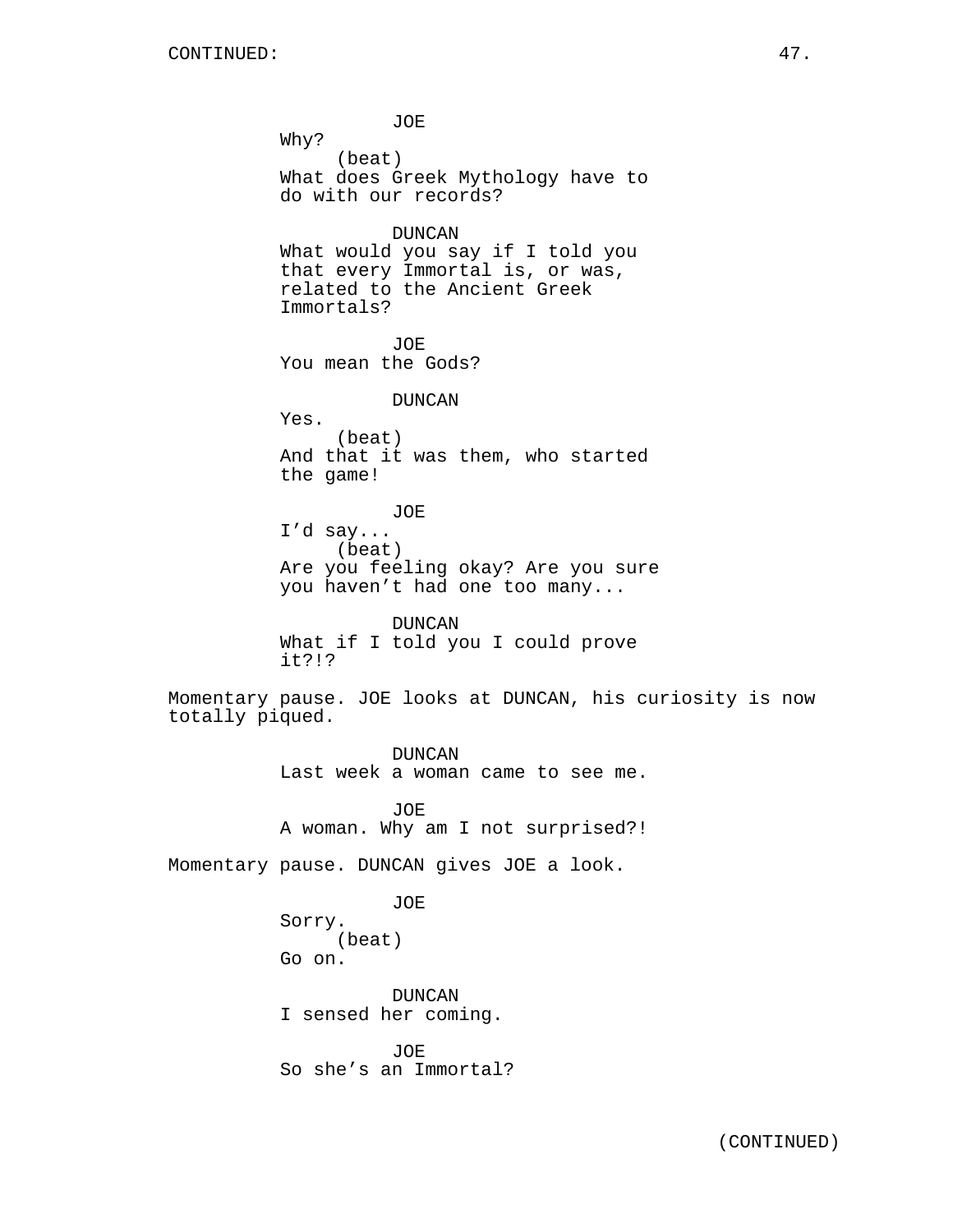JOE Why? (beat) What does Greek Mythology have to do with our records? DUNCAN What would you say if I told you that every Immortal is, or was, related to the Ancient Greek Immortals? JOE You mean the Gods? DUNCAN Yes. (beat) And that it was them, who started the game! JOE I'd say... (beat) Are you feeling okay? Are you sure you haven't had one too many... DUNCAN What if I told you I could prove it?!? Momentary pause. JOE looks at DUNCAN, his curiosity is now totally piqued. DUNCAN Last week a woman came to see me. JOE A woman. Why am I not surprised?! Momentary pause. DUNCAN gives JOE a look. JOE Sorry. (beat) Go on. DUNCAN I sensed her coming. JOE So she's an Immortal?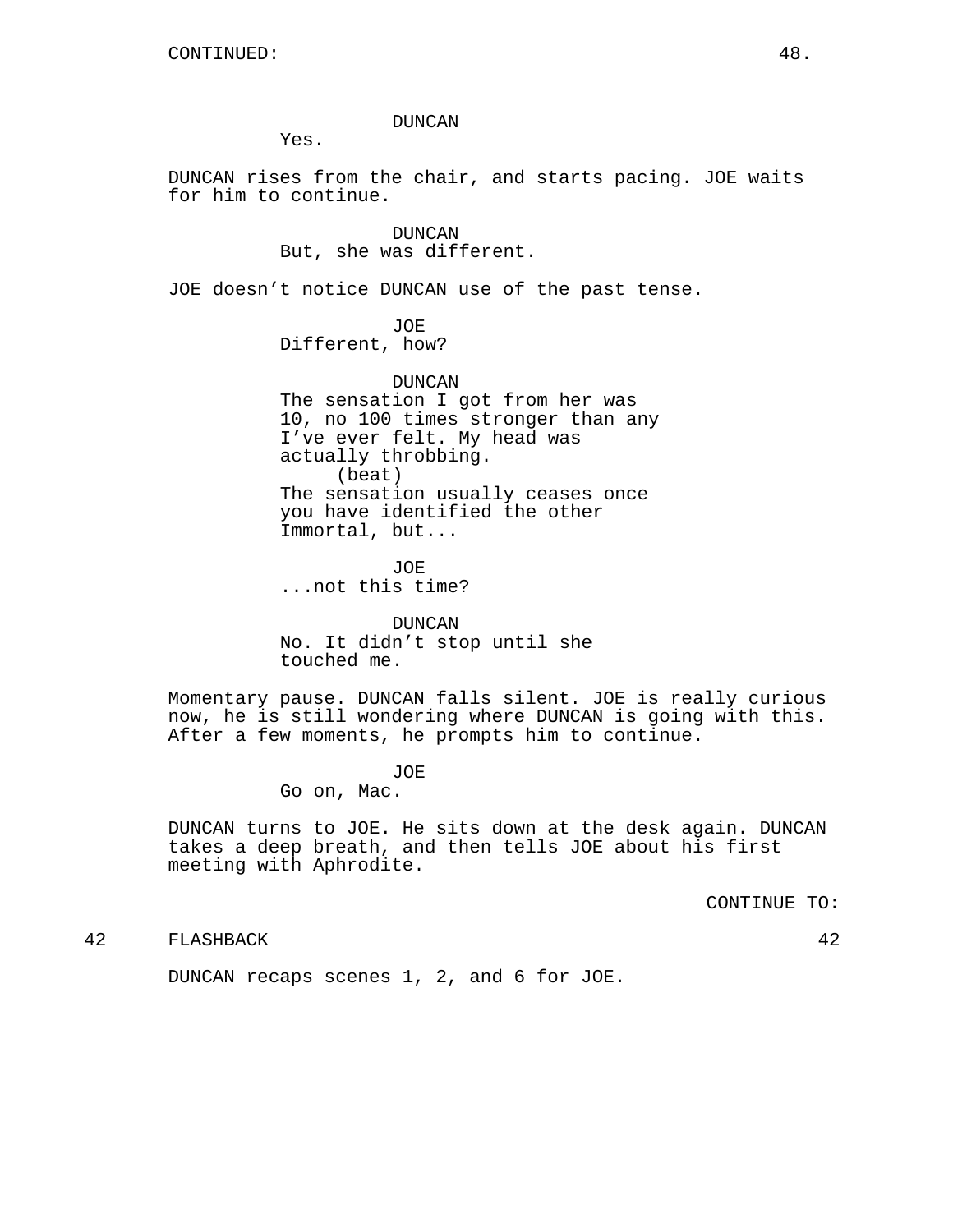#### DUNCAN

Yes.

DUNCAN rises from the chair, and starts pacing. JOE waits for him to continue.

> DUNCAN But, she was different.

JOE doesn't notice DUNCAN use of the past tense.

JOE Different, how?

DUNCAN The sensation I got from her was 10, no 100 times stronger than any I've ever felt. My head was actually throbbing. (beat) The sensation usually ceases once you have identified the other Immortal, but...

JOE ...not this time?

DUNCAN No. It didn't stop until she touched me.

Momentary pause. DUNCAN falls silent. JOE is really curious now, he is still wondering where DUNCAN is going with this. After a few moments, he prompts him to continue.

JOE

Go on, Mac.

DUNCAN turns to JOE. He sits down at the desk again. DUNCAN takes a deep breath, and then tells JOE about his first meeting with Aphrodite.

CONTINUE TO:

42 FLASHBACK 42

DUNCAN recaps scenes 1, 2, and 6 for JOE.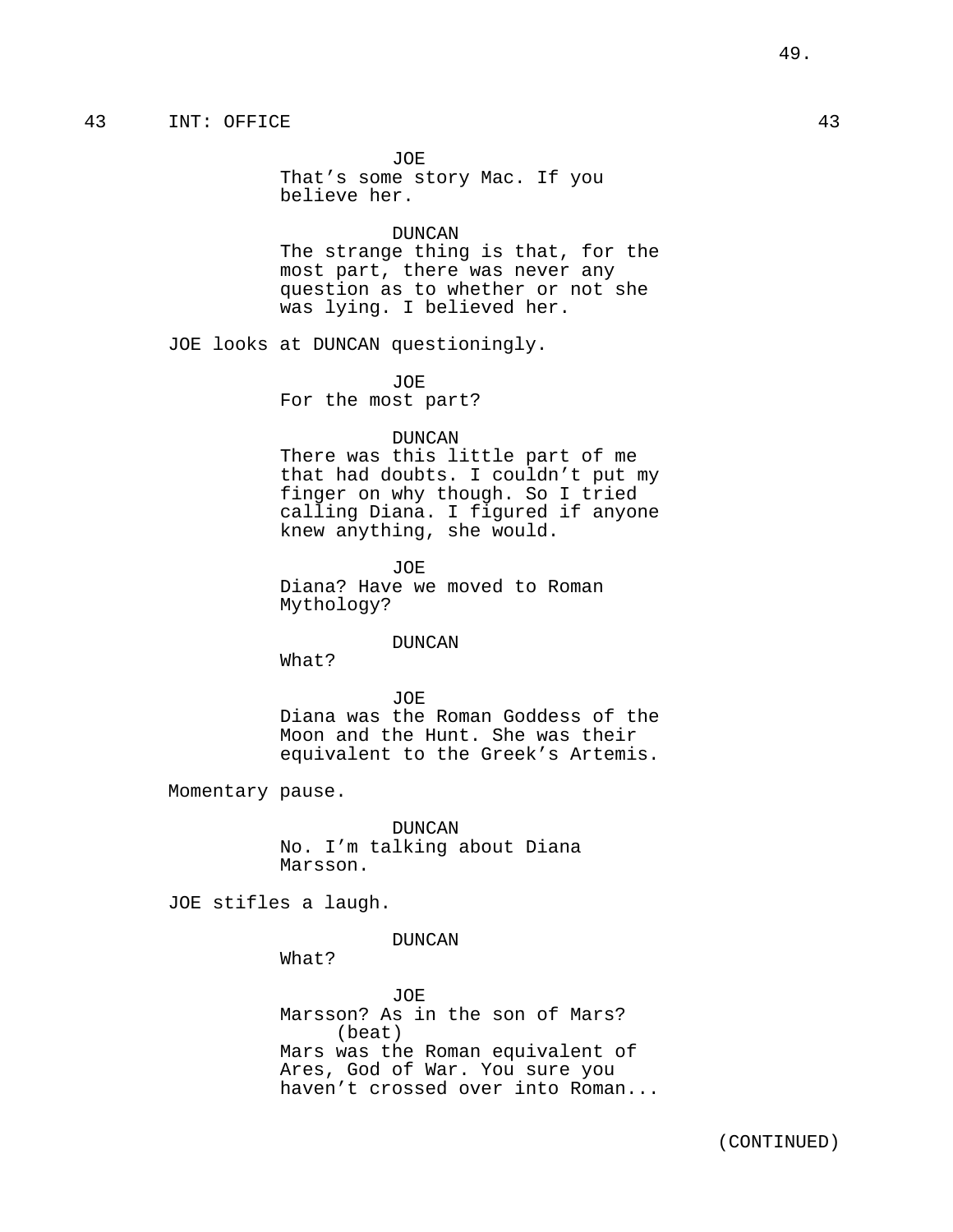JOE That's some story Mac. If you believe her.

### DUNCAN

The strange thing is that, for the most part, there was never any question as to whether or not she was lying. I believed her.

JOE looks at DUNCAN questioningly.

JOE

For the most part?

#### DUNCAN

There was this little part of me that had doubts. I couldn't put my finger on why though. So I tried calling Diana. I figured if anyone knew anything, she would.

JOE Diana? Have we moved to Roman Mythology?

#### DUNCAN

What?

JOE Diana was the Roman Goddess of the Moon and the Hunt. She was their equivalent to the Greek's Artemis.

Momentary pause.

DUNCAN No. I'm talking about Diana Marsson.

JOE stifles a laugh.

## DUNCAN

What?

JOE Marsson? As in the son of Mars? (beat) Mars was the Roman equivalent of Ares, God of War. You sure you haven't crossed over into Roman...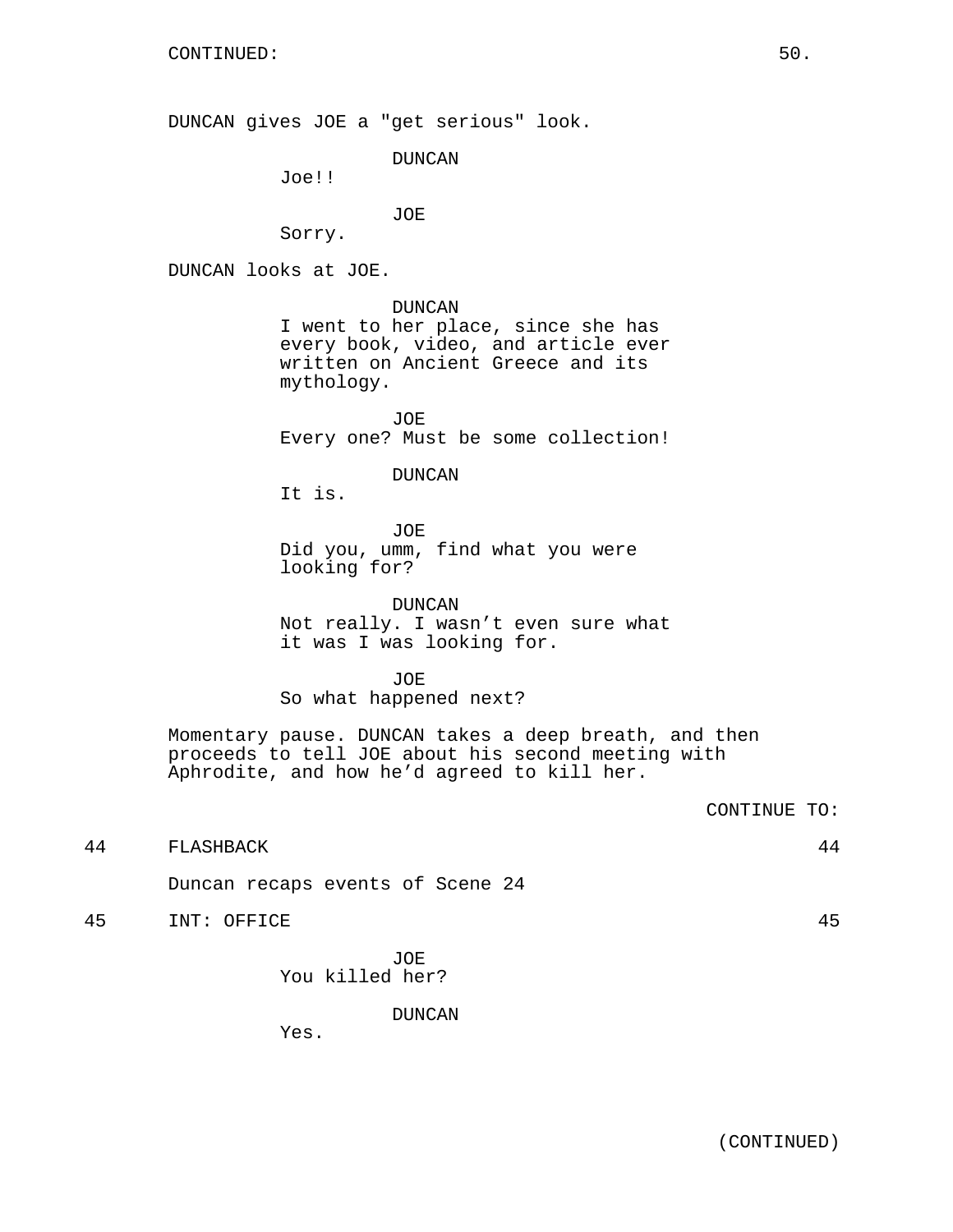DUNCAN gives JOE a "get serious" look.

DUNCAN

Joe!!

JOE

Sorry.

DUNCAN looks at JOE.

DUNCAN

I went to her place, since she has every book, video, and article ever written on Ancient Greece and its mythology.

JOE Every one? Must be some collection!

DUNCAN

It is.

JOE Did you, umm, find what you were looking for?

DUNCAN Not really. I wasn't even sure what it was I was looking for.

JOE So what happened next?

Momentary pause. DUNCAN takes a deep breath, and then proceeds to tell JOE about his second meeting with Aphrodite, and how he'd agreed to kill her.

```
44 FLASHBACK 44
```
Duncan recaps events of Scene 24

45 INT: OFFICE 45

JOE You killed her?

DUNCAN

Yes.

CONTINUE TO: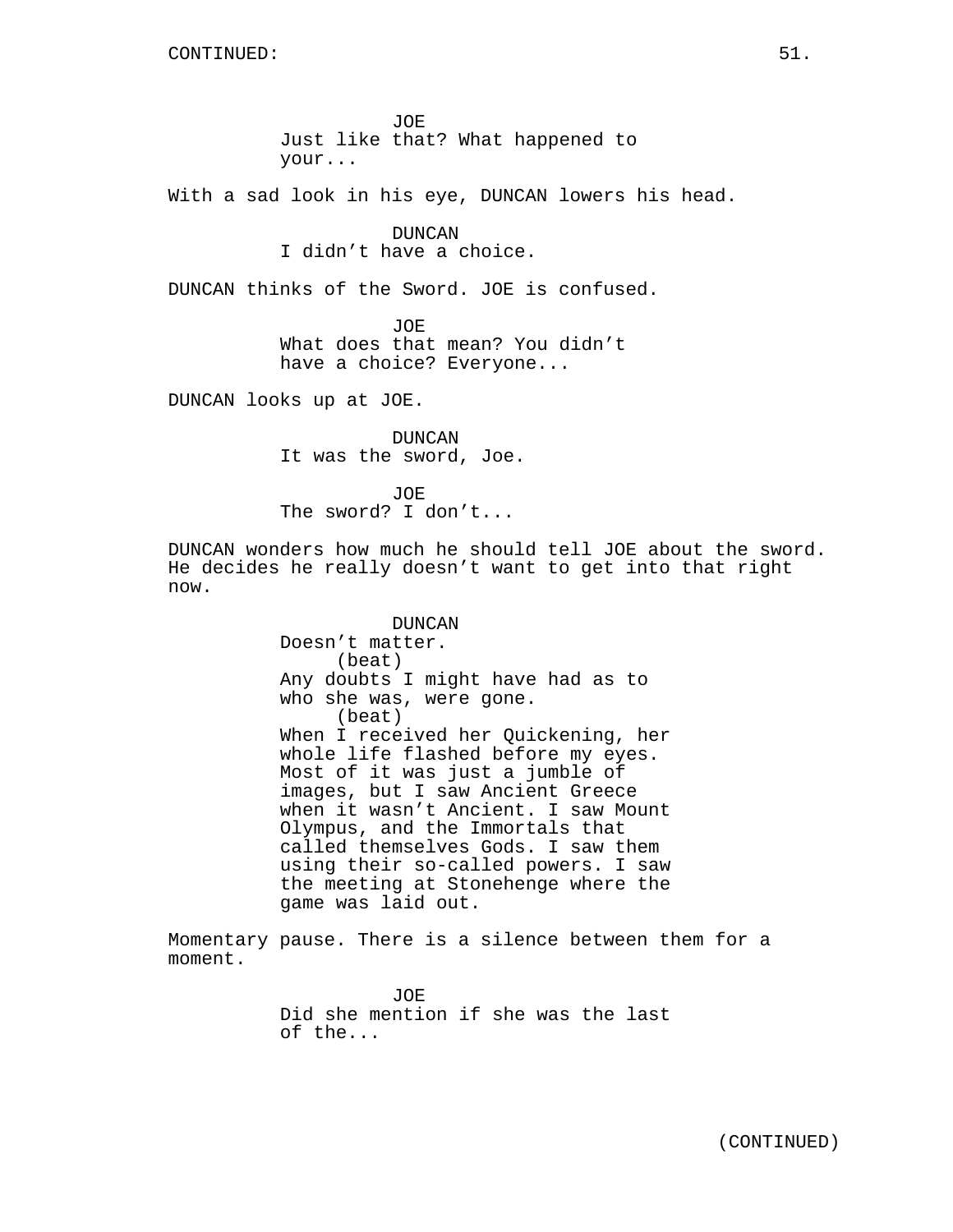JOE Just like that? What happened to your...

With a sad look in his eye, DUNCAN lowers his head.

DUNCAN I didn't have a choice.

DUNCAN thinks of the Sword. JOE is confused.

JOE What does that mean? You didn't have a choice? Everyone...

DUNCAN looks up at JOE.

DUNCAN It was the sword, Joe.

JOE The sword? I don't...

DUNCAN wonders how much he should tell JOE about the sword. He decides he really doesn't want to get into that right now.

> DUNCAN Doesn't matter. (beat) Any doubts I might have had as to who she was, were gone. (beat) When I received her Quickening, her whole life flashed before my eyes. Most of it was just a jumble of images, but I saw Ancient Greece when it wasn't Ancient. I saw Mount Olympus, and the Immortals that called themselves Gods. I saw them using their so-called powers. I saw the meeting at Stonehenge where the game was laid out.

Momentary pause. There is a silence between them for a moment.

> JOE Did she mention if she was the last of the...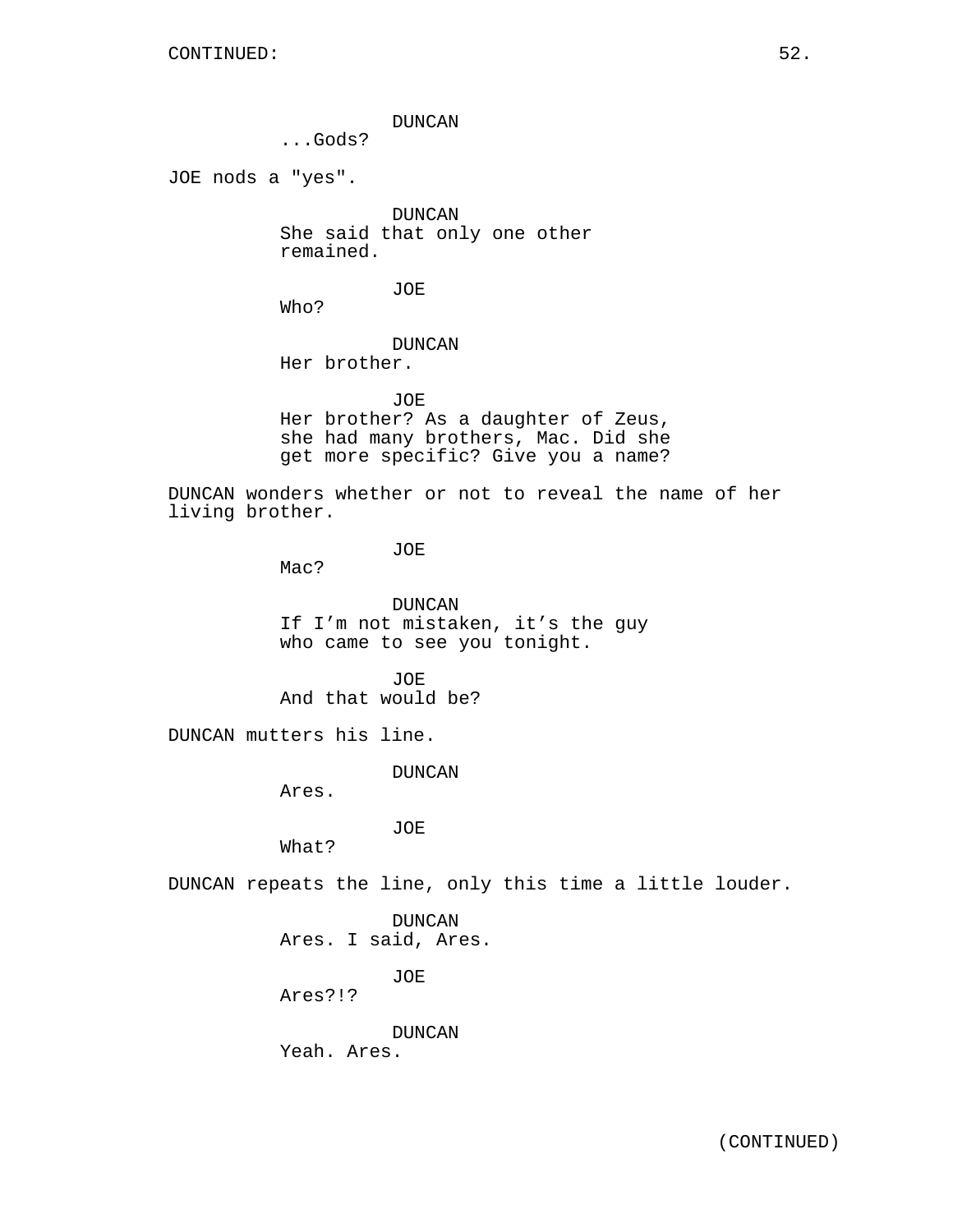DUNCAN

...Gods?

JOE nods a "yes".

DUNCAN She said that only one other remained.

JOE

Who?

## DUNCAN Her brother.

JOE Her brother? As a daughter of Zeus, she had many brothers, Mac. Did she get more specific? Give you a name?

DUNCAN wonders whether or not to reveal the name of her living brother.

JOE

Mac?

DUNCAN If I'm not mistaken, it's the guy who came to see you tonight.

JOE. And that would be?

DUNCAN mutters his line.

DUNCAN

Ares.

JOE

What?

DUNCAN repeats the line, only this time a little louder.

DUNCAN Ares. I said, Ares.

JOE

Ares?!?

DUNCAN Yeah. Ares.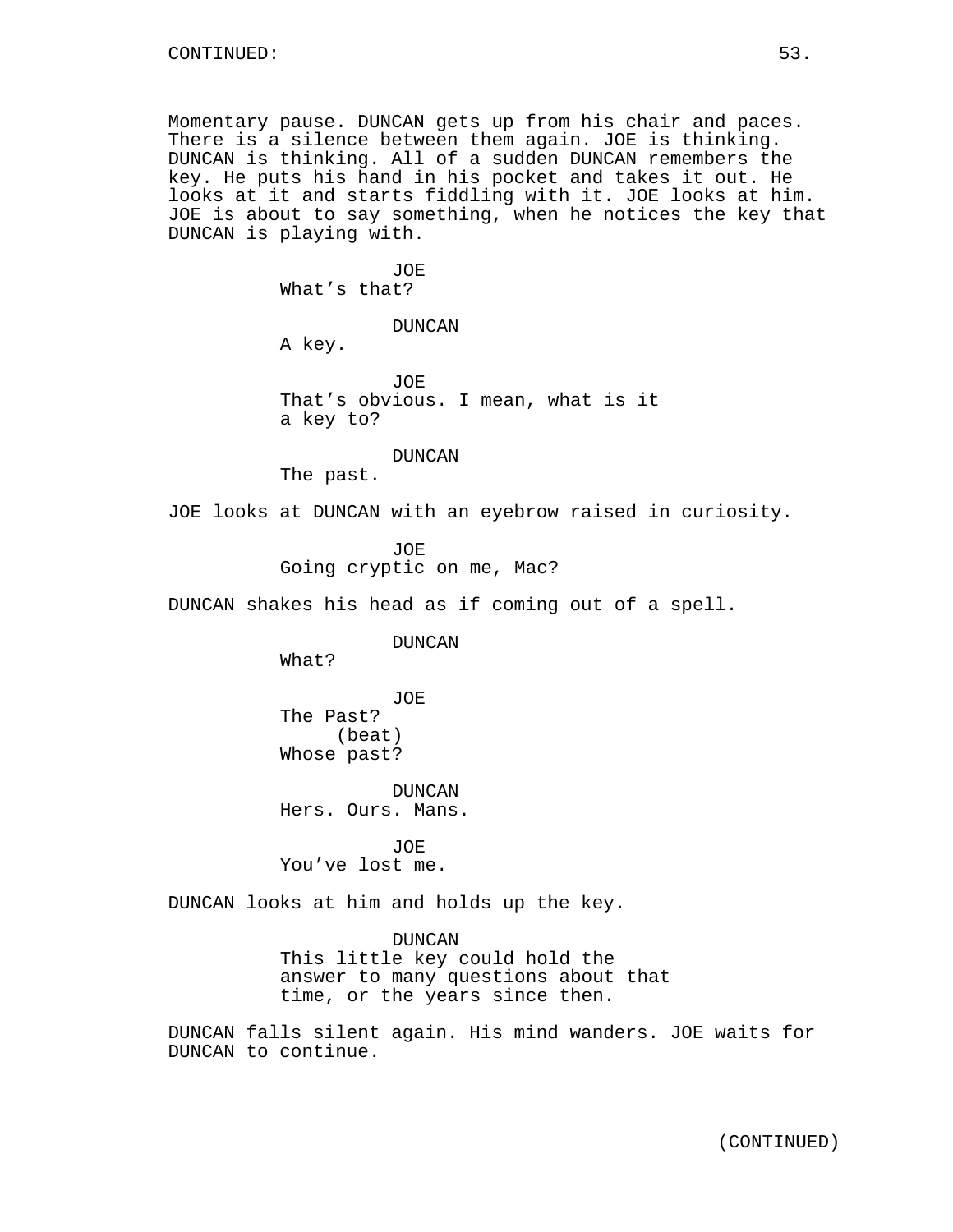Momentary pause. DUNCAN gets up from his chair and paces. There is a silence between them again. JOE is thinking. DUNCAN is thinking. All of a sudden DUNCAN remembers the key. He puts his hand in his pocket and takes it out. He looks at it and starts fiddling with it. JOE looks at him. JOE is about to say something, when he notices the key that DUNCAN is playing with.

> JOE What's that?

> > DUNCAN

A key.

JOE That's obvious. I mean, what is it a key to?

DUNCAN

The past.

JOE looks at DUNCAN with an eyebrow raised in curiosity.

JOE Going cryptic on me, Mac?

DUNCAN shakes his head as if coming out of a spell.

DUNCAN

What?

JOE The Past? (beat) Whose past?

DUNCAN Hers. Ours. Mans.

JOE You've lost me.

DUNCAN looks at him and holds up the key.

DUNCAN

This little key could hold the answer to many questions about that time, or the years since then.

DUNCAN falls silent again. His mind wanders. JOE waits for DUNCAN to continue.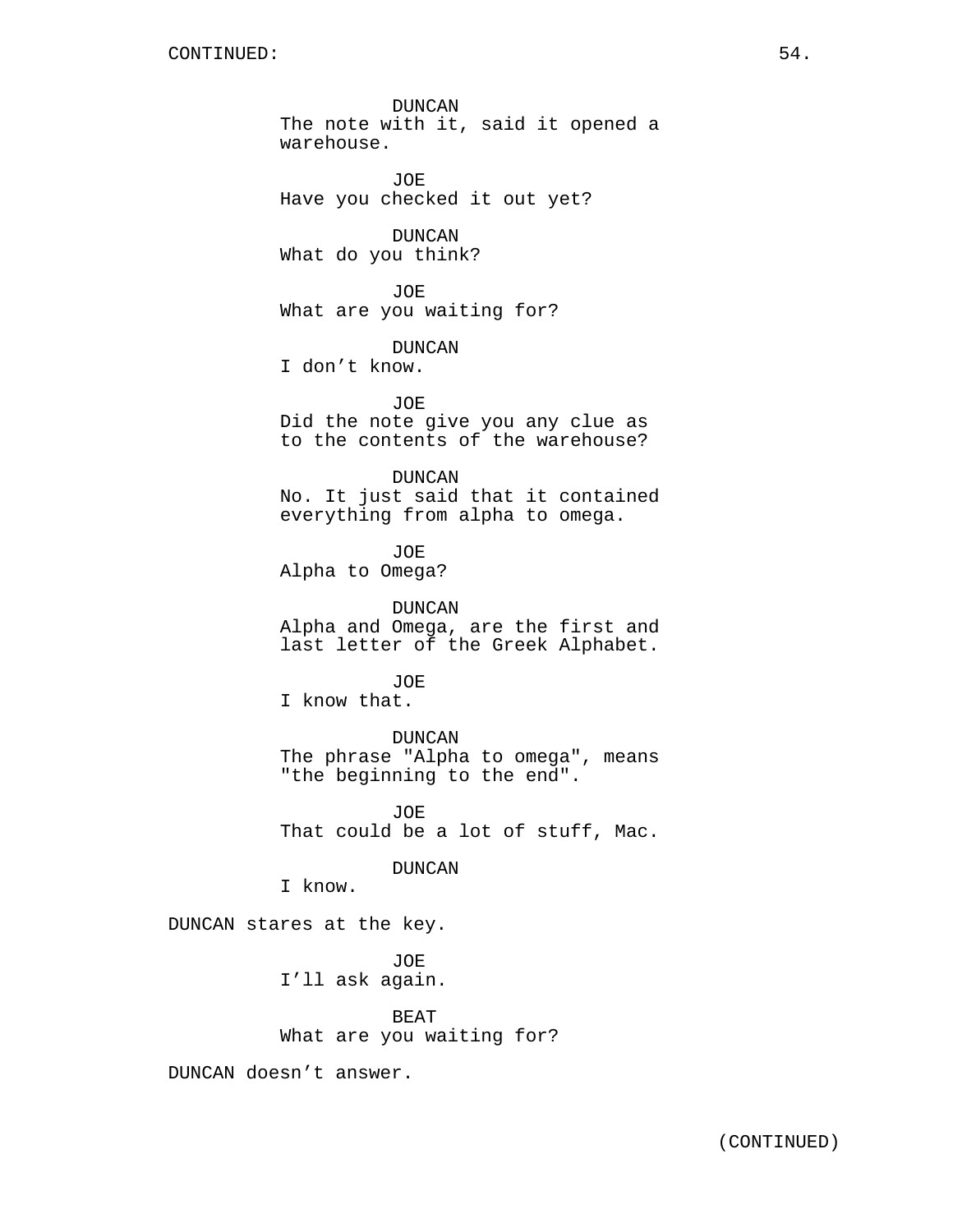DUNCAN The note with it, said it opened a warehouse.

JOE Have you checked it out yet?

DUNCAN What do you think?

JOE What are you waiting for?

DUNCAN

I don't know.

JOE Did the note give you any clue as to the contents of the warehouse?

DUNCAN No. It just said that it contained everything from alpha to omega.

JOE Alpha to Omega?

DUNCAN Alpha and Omega, are the first and last letter of the Greek Alphabet.

JOE I know that.

DUNCAN The phrase "Alpha to omega", means "the beginning to the end".

JOE That could be a lot of stuff, Mac.

DUNCAN

I know.

DUNCAN stares at the key.

JOE I'll ask again.

BEAT What are you waiting for?

DUNCAN doesn't answer.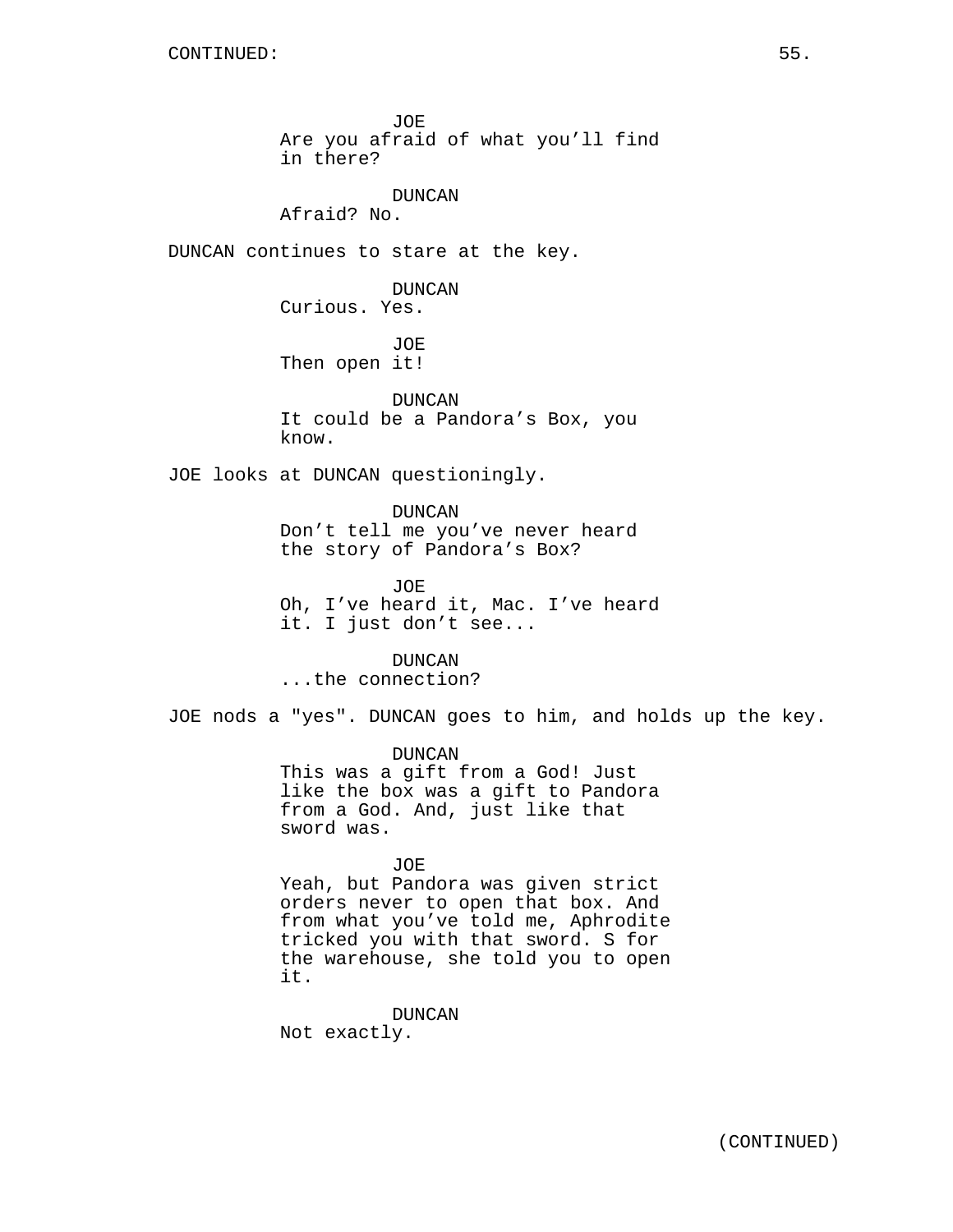DUNCAN

Afraid? No.

DUNCAN continues to stare at the key.

DUNCAN Curious. Yes.

JOE Then open it!

DUNCAN It could be a Pandora's Box, you know.

JOE looks at DUNCAN questioningly.

DUNCAN Don't tell me you've never heard the story of Pandora's Box?

JOE Oh, I've heard it, Mac. I've heard it. I just don't see...

DUNCAN ...the connection?

JOE nods a "yes". DUNCAN goes to him, and holds up the key.

DUNCAN This was a gift from a God! Just like the box was a gift to Pandora from a God. And, just like that sword was.

JOE

Yeah, but Pandora was given strict orders never to open that box. And from what you've told me, Aphrodite tricked you with that sword. S for the warehouse, she told you to open it.

DUNCAN Not exactly.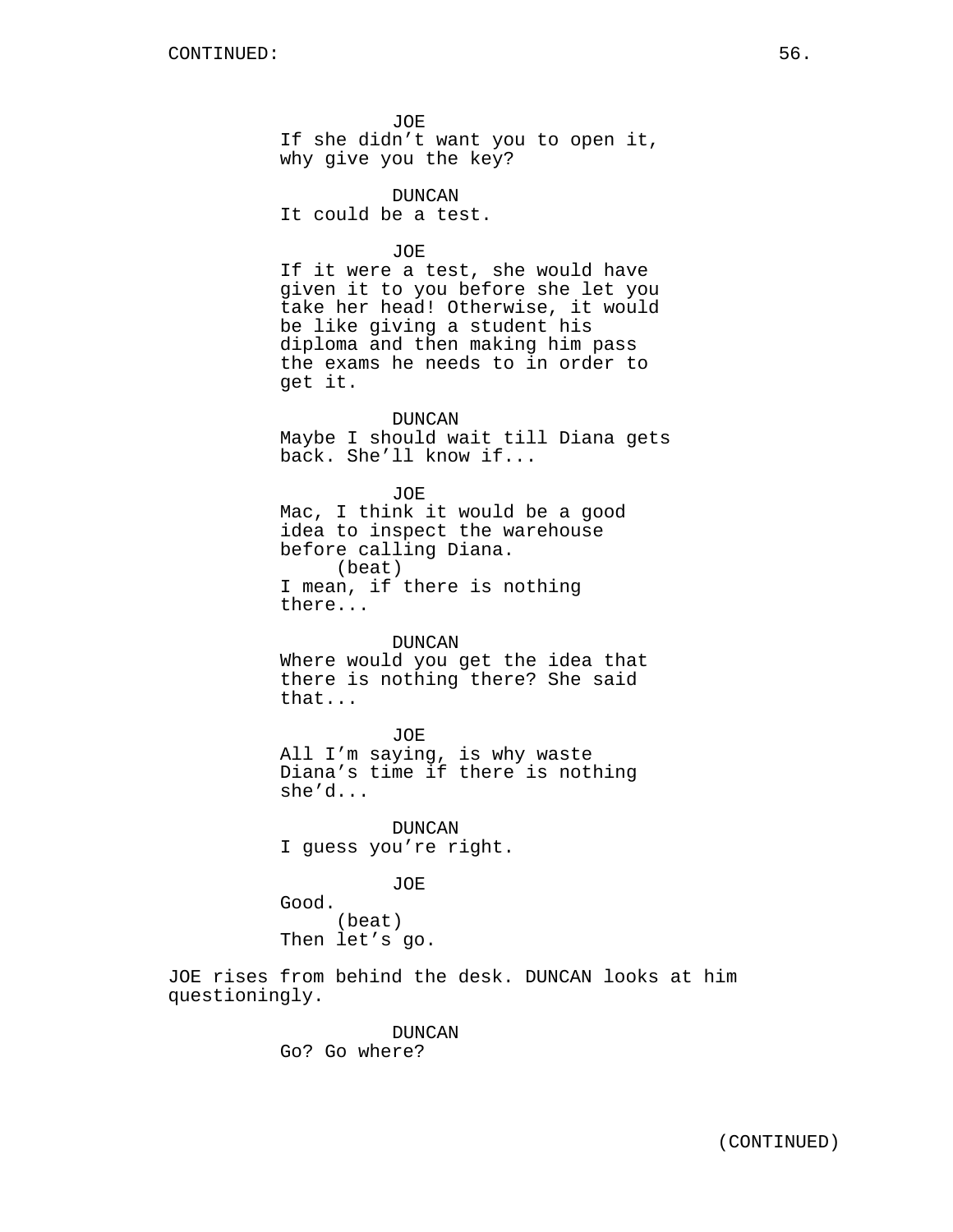JOE If she didn't want you to open it, why give you the key?

DUNCAN It could be a test.

## JOE

If it were a test, she would have given it to you before she let you take her head! Otherwise, it would be like giving a student his diploma and then making him pass the exams he needs to in order to get it.

DUNCAN Maybe I should wait till Diana gets back. She'll know if...

JOE Mac, I think it would be a good idea to inspect the warehouse before calling Diana. (beat) I mean, if there is nothing there...

#### DUNCAN

Where would you get the idea that there is nothing there? She said that...

JOE All I'm saying, is why waste Diana's time if there is nothing she'd...

DUNCAN I guess you're right.

JOE

Good. (beat) Then let's go.

JOE rises from behind the desk. DUNCAN looks at him questioningly.

> DUNCAN Go? Go where?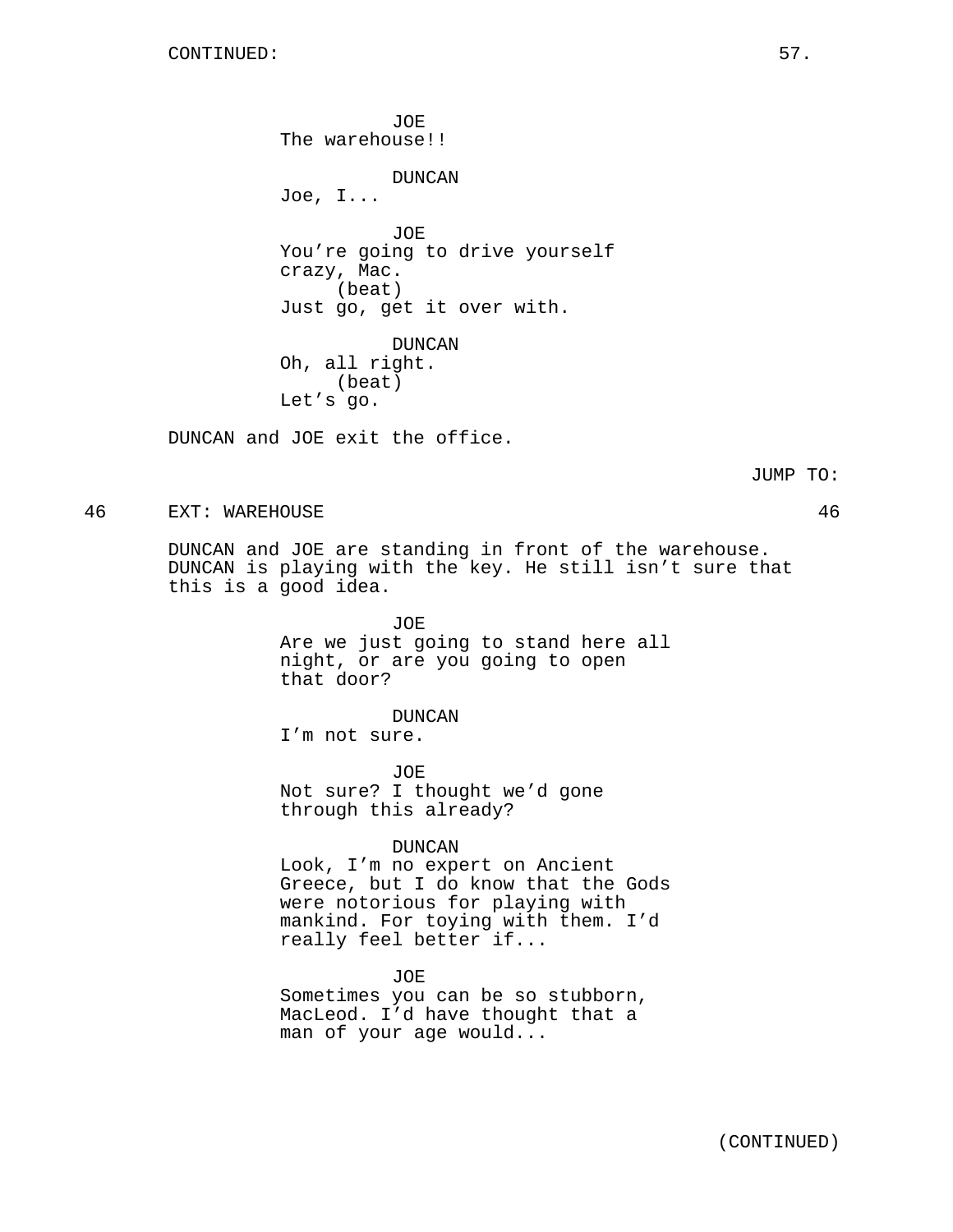JOE The warehouse!! DUNCAN Joe, I... JOE You're going to drive yourself crazy, Mac. (beat) Just go, get it over with. DUNCAN Oh, all right. (beat) Let's go.

DUNCAN and JOE exit the office.

JUMP TO:

46 EXT: WAREHOUSE 46

DUNCAN and JOE are standing in front of the warehouse. DUNCAN is playing with the key. He still isn't sure that this is a good idea.

> JOE Are we just going to stand here all night, or are you going to open that door?

DUNCAN I'm not sure.

JOE Not sure? I thought we'd gone through this already?

## DUNCAN

Look, I'm no expert on Ancient Greece, but I do know that the Gods were notorious for playing with mankind. For toying with them. I'd really feel better if...

JOE Sometimes you can be so stubborn, MacLeod. I'd have thought that a man of your age would...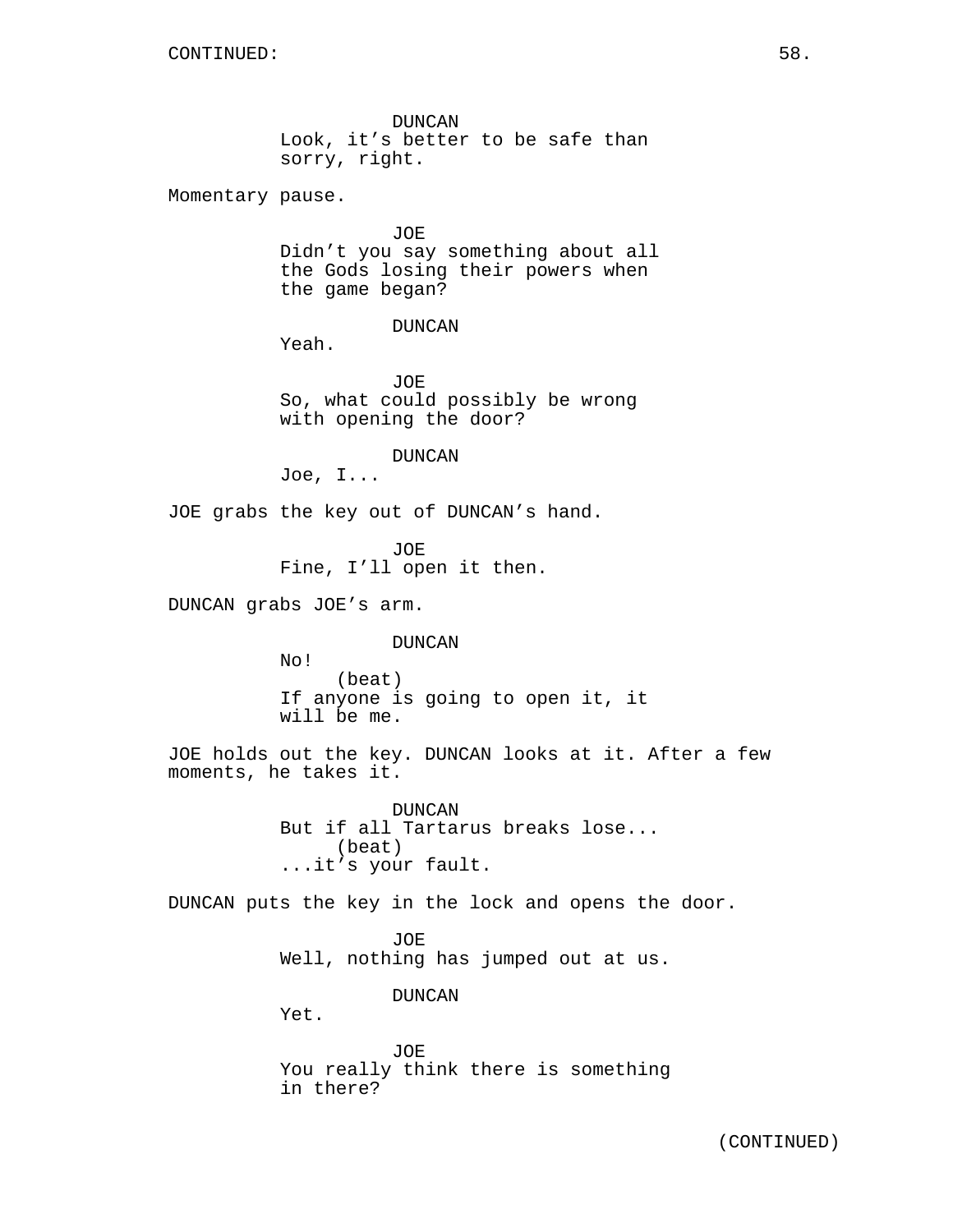DUNCAN Look, it's better to be safe than sorry, right.

Momentary pause.

JOE Didn't you say something about all the Gods losing their powers when the game began?

DUNCAN

Yeah.

JOE So, what could possibly be wrong with opening the door?

DUNCAN

Joe, I...

JOE grabs the key out of DUNCAN's hand.

JOE Fine, I'll open it then.

DUNCAN grabs JOE's arm.

DUNCAN

No! (beat) If anyone is going to open it, it will be me.

JOE holds out the key. DUNCAN looks at it. After a few moments, he takes it.

> DUNCAN But if all Tartarus breaks lose... (beat) ...it's your fault.

DUNCAN puts the key in the lock and opens the door.

JOE Well, nothing has jumped out at us.

DUNCAN

Yet.

JOE You really think there is something in there?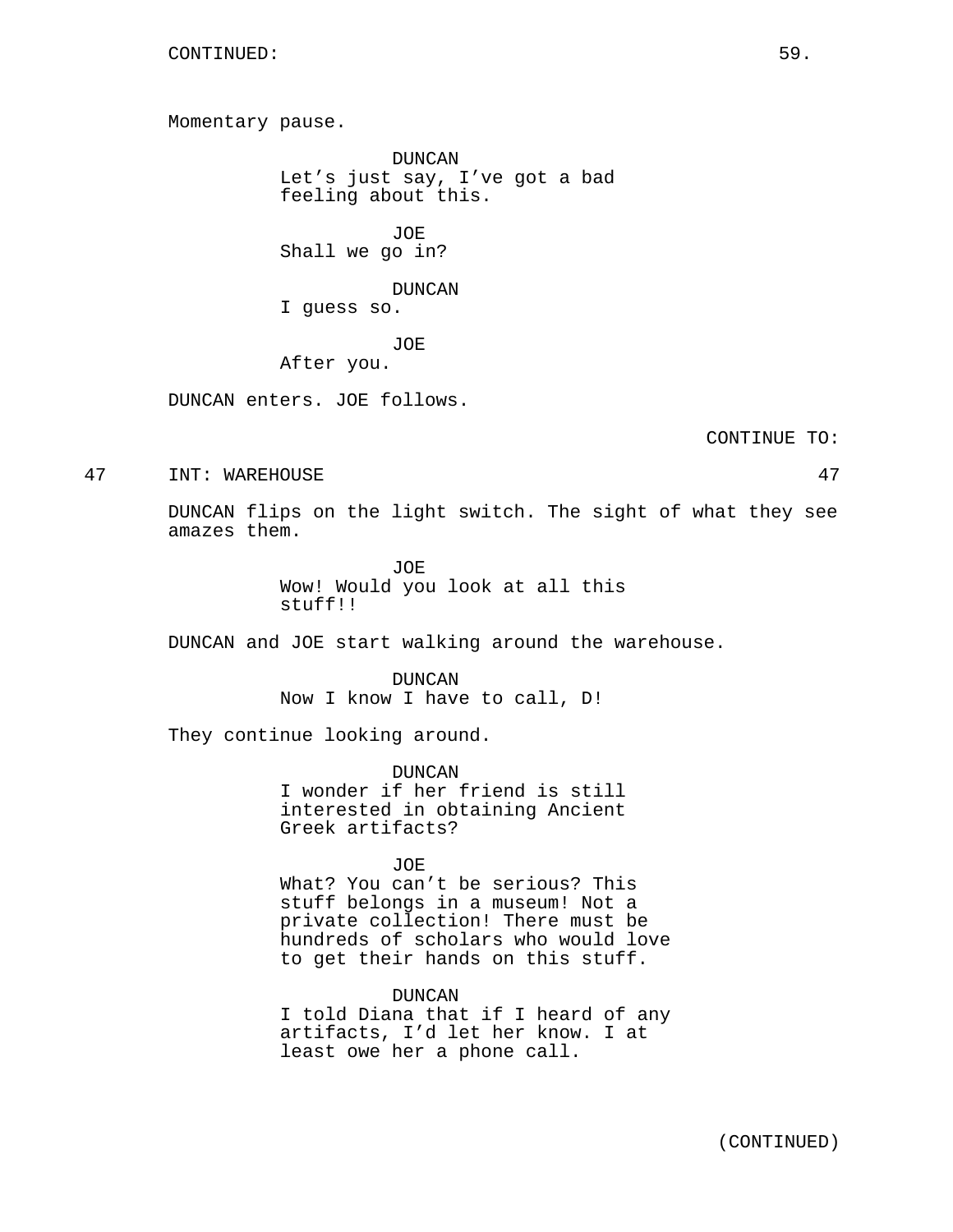Momentary pause.

DUNCAN Let's just say, I've got a bad feeling about this.

JOE Shall we go in?

DUNCAN

I guess so.

JOE

After you.

DUNCAN enters. JOE follows.

CONTINUE TO:

47 INT: WAREHOUSE 47

DUNCAN flips on the light switch. The sight of what they see amazes them.

> JOE Wow! Would you look at all this stuff!!

DUNCAN and JOE start walking around the warehouse.

DUNCAN Now I know I have to call, D!

They continue looking around.

DUNCAN I wonder if her friend is still interested in obtaining Ancient Greek artifacts?

JOE

What? You can't be serious? This stuff belongs in a museum! Not a private collection! There must be hundreds of scholars who would love to get their hands on this stuff.

DUNCAN I told Diana that if I heard of any artifacts, I'd let her know. I at least owe her a phone call.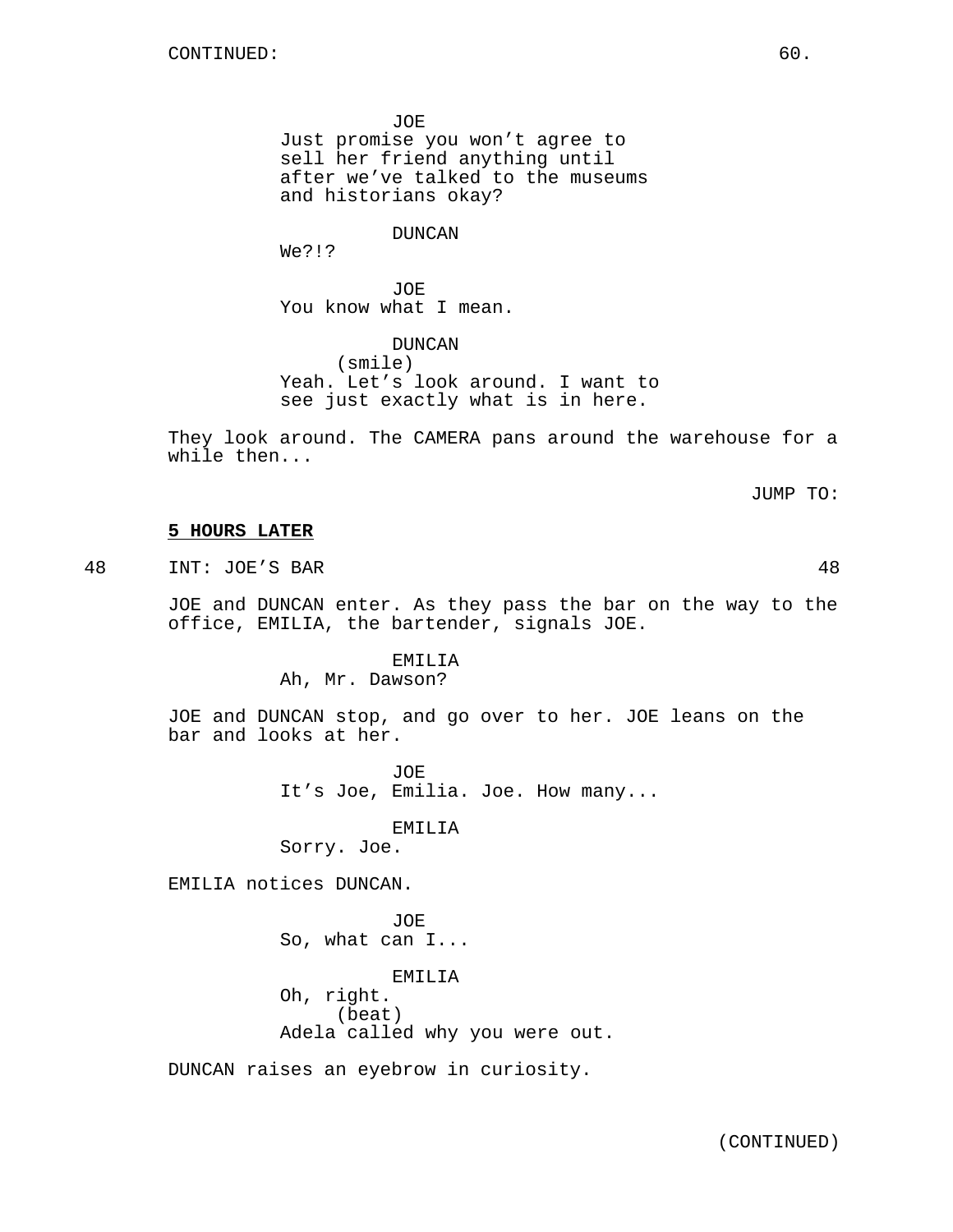JOE Just promise you won't agree to sell her friend anything until after we've talked to the museums and historians okay?

DUNCAN

We?!?

JOE You know what I mean.

DUNCAN (smile) Yeah. Let's look around. I want to see just exactly what is in here.

They look around. The CAMERA pans around the warehouse for a while then...

JUMP TO:

## **5 HOURS LATER**

48 INT: JOE'S BAR 48

JOE and DUNCAN enter. As they pass the bar on the way to the office, EMILIA, the bartender, signals JOE.

EMILIA

Ah, Mr. Dawson?

JOE and DUNCAN stop, and go over to her. JOE leans on the bar and looks at her.

> JOE It's Joe, Emilia. Joe. How many...

> > EMILIA

Sorry. Joe.

EMILIA notices DUNCAN.

JOE So, what can I... EMILIA Oh, right. (beat) Adela called why you were out.

DUNCAN raises an eyebrow in curiosity.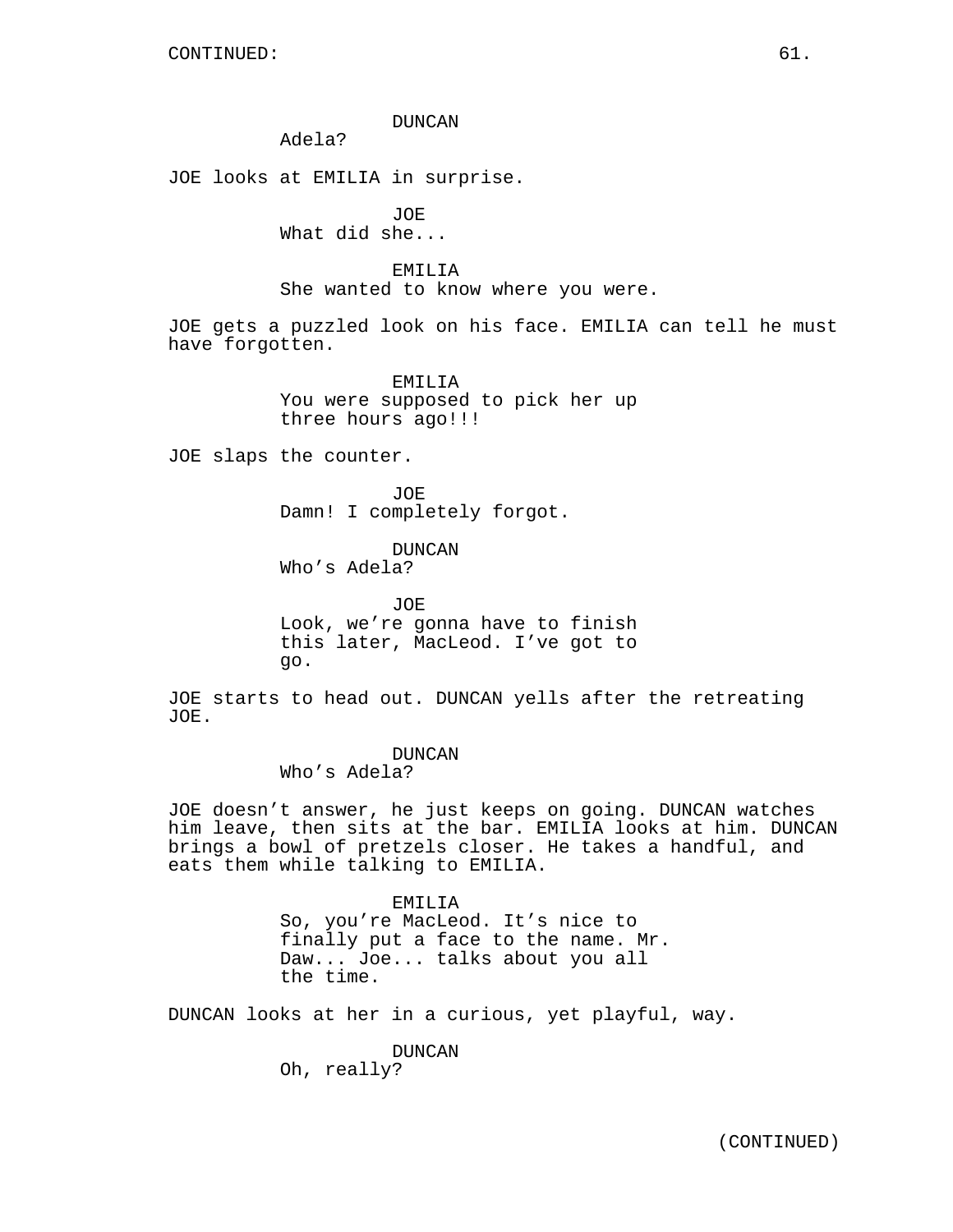### DUNCAN

Adela?

JOE looks at EMILIA in surprise.

JOE What did she...

EMILIA She wanted to know where you were.

JOE gets a puzzled look on his face. EMILIA can tell he must have forgotten.

> EMILIA You were supposed to pick her up three hours ago!!!

JOE slaps the counter.

JOE Damn! I completely forgot.

DUNCAN Who's Adela?

JOE Look, we're gonna have to finish this later, MacLeod. I've got to go.

JOE starts to head out. DUNCAN yells after the retreating JOE.

> DUNCAN Who's Adela?

JOE doesn't answer, he just keeps on going. DUNCAN watches him leave, then sits at the bar. EMILIA looks at him. DUNCAN brings a bowl of pretzels closer. He takes a handful, and eats them while talking to EMILIA.

> EMILIA So, you're MacLeod. It's nice to finally put a face to the name. Mr. Daw... Joe... talks about you all the time.

DUNCAN looks at her in a curious, yet playful, way.

DUNCAN Oh, really?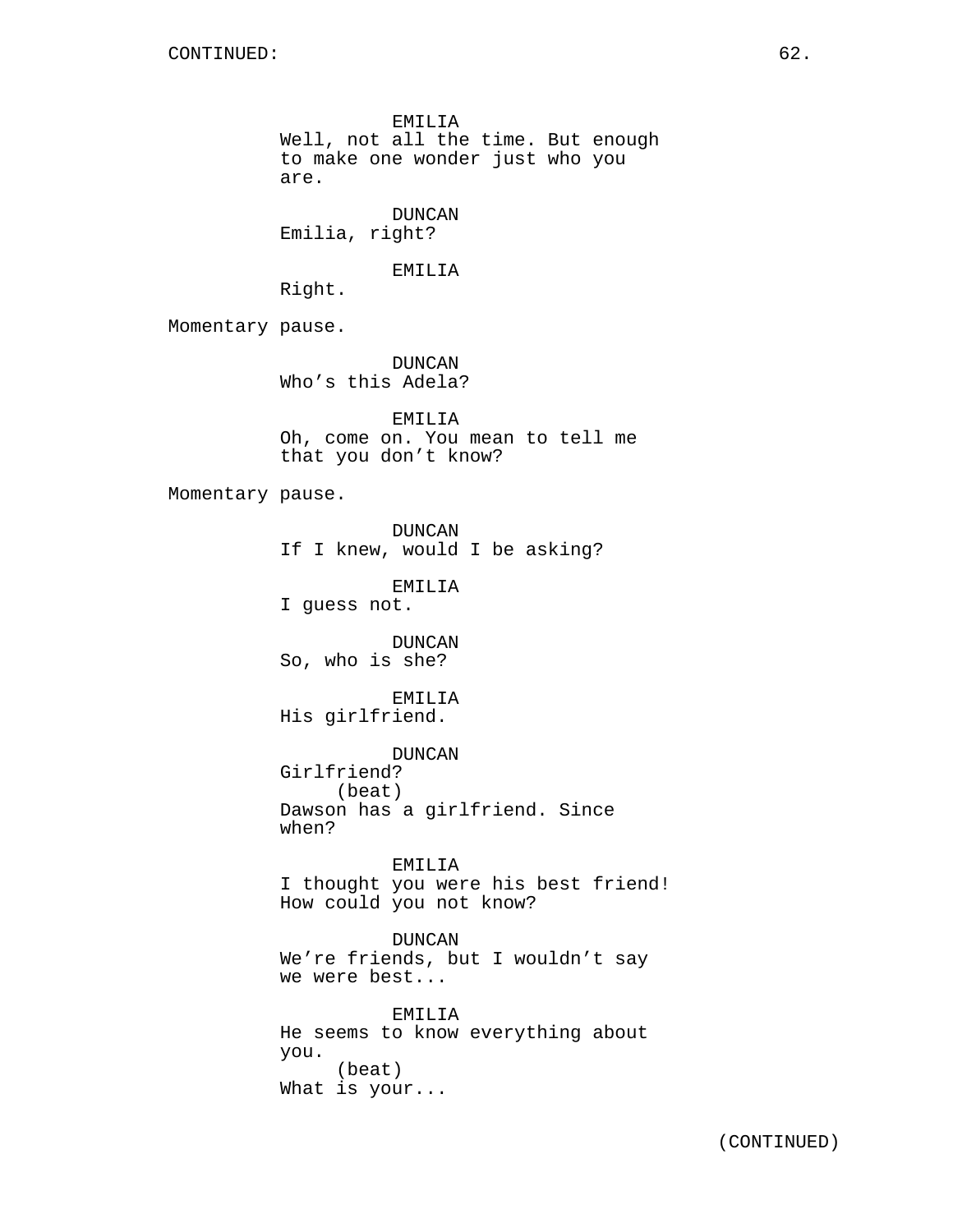EMILIA Well, not all the time. But enough to make one wonder just who you are. DUNCAN Emilia, right?

EMILIA

Right.

Momentary pause.

DUNCAN Who's this Adela?

EMILIA Oh, come on. You mean to tell me that you don't know?

Momentary pause.

DUNCAN If I knew, would I be asking?

EMILIA I guess not.

DUNCAN So, who is she?

EMILIA His girlfriend.

DUNCAN Girlfriend? (beat) Dawson has a girlfriend. Since when?

EMILIA I thought you were his best friend! How could you not know?

DUNCAN We're friends, but I wouldn't say we were best...

EMILIA He seems to know everything about you. (beat) What is your...